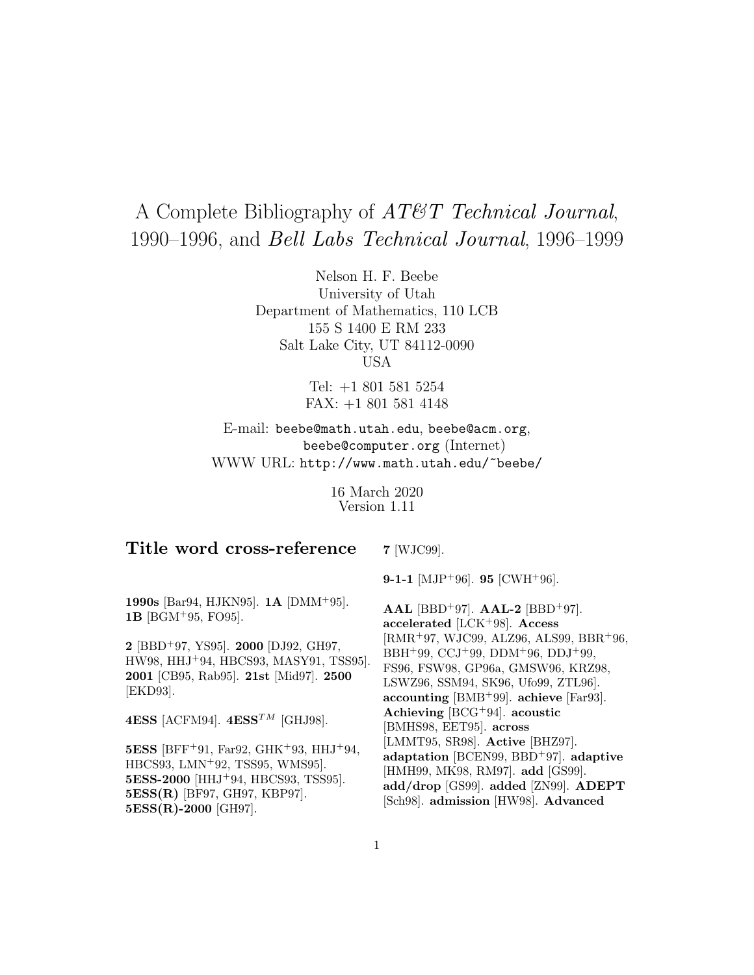# A Complete Bibliography of *AT&T Technical Journal*, 1990–1996, and *Bell Labs Technical Journal*, 1996–1999

Nelson H. F. Beebe University of Utah Department of Mathematics, 110 LCB 155 S 1400 E RM 233 Salt Lake City, UT 84112-0090 USA

> Tel: +1 801 581 5254 FAX: +1 801 581 4148

E-mail: beebe@math.utah.edu, beebe@acm.org, beebe@computer.org (Internet) WWW URL: http://www.math.utah.edu/~beebe/

> 16 March 2020 Version 1.11

# **Title word cross-reference**

**7** [WJC99].

**1990s** [Bar94, HJKN95]. **1A** [DMM<sup>+</sup>95]. **1B** [BGM<sup>+</sup>95, FO95].

**2** [BBD<sup>+</sup>97, YS95]. **2000** [DJ92, GH97, HW98, HHJ<sup>+</sup>94, HBCS93, MASY91, TSS95]. **2001** [CB95, Rab95]. **21st** [Mid97]. **2500** [EKD93].

**4ESS** [ACFM94].  $4ESS^{TM}$  [GHJ98].

**5ESS** [BFF<sup>+</sup>91, Far92, GHK<sup>+</sup>93, HHJ<sup>+</sup>94, HBCS93, LMN<sup>+</sup>92, TSS95, WMS95]. **5ESS-2000** [HHJ<sup>+</sup>94, HBCS93, TSS95]. **5ESS(R)** [BF97, GH97, KBP97]. **5ESS(R)-2000** [GH97].

**9-1-1** [MJP<sup>+</sup>96]. **95** [CWH<sup>+</sup>96].

**AAL** [BBD<sup>+</sup>97]. **AAL-2** [BBD<sup>+</sup>97]. **accelerated** [LCK<sup>+</sup>98]. **Access** [RMR<sup>+</sup>97, WJC99, ALZ96, ALS99, BBR<sup>+</sup>96, BBH<sup>+</sup>99, CCJ<sup>+</sup>99, DDM<sup>+</sup>96, DDJ<sup>+</sup>99, FS96, FSW98, GP96a, GMSW96, KRZ98, LSWZ96, SSM94, SK96, Ufo99, ZTL96]. **accounting** [BMB<sup>+</sup>99]. **achieve** [Far93]. **Achieving** [BCG<sup>+</sup>94]. **acoustic** [BMHS98, EET95]. **across** [LMMT95, SR98]. **Active** [BHZ97]. **adaptation** [BCEN99, BBD<sup>+</sup>97]. **adaptive** [HMH99, MK98, RM97]. **add** [GS99]. **add/drop** [GS99]. **added** [ZN99]. **ADEPT** [Sch98]. **admission** [HW98]. **Advanced**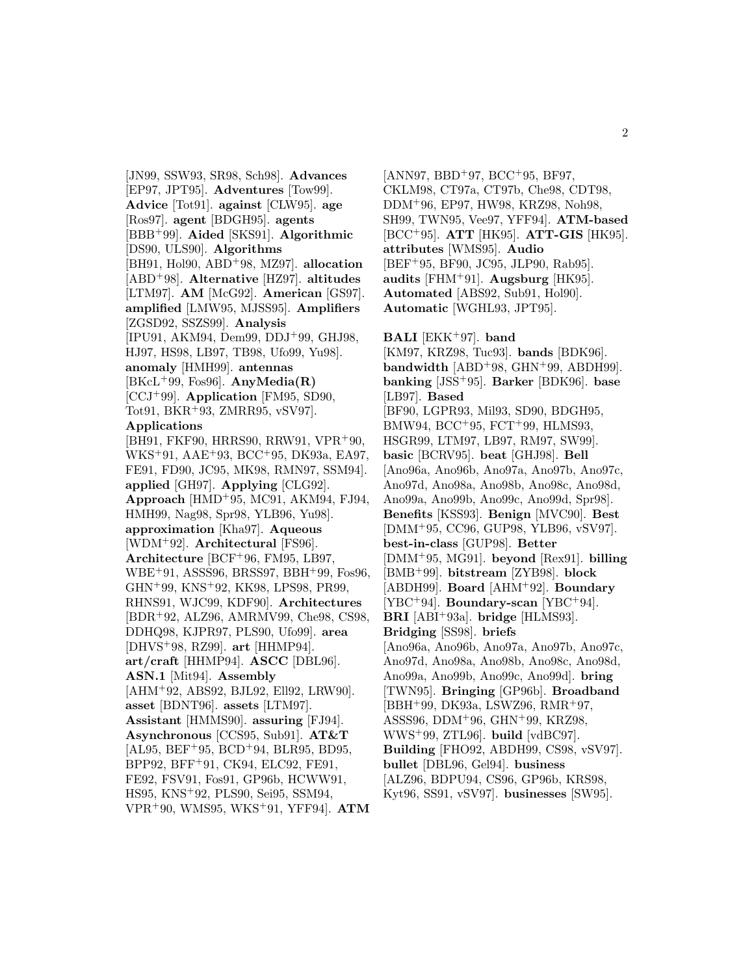[JN99, SSW93, SR98, Sch98]. **Advances** [EP97, JPT95]. **Adventures** [Tow99]. **Advice** [Tot91]. **against** [CLW95]. **age** [Ros97]. **agent** [BDGH95]. **agents** [BBB<sup>+</sup>99]. **Aided** [SKS91]. **Algorithmic** [DS90, ULS90]. **Algorithms** [BH91, Hol90, ABD<sup>+</sup>98, MZ97]. **allocation** [ABD<sup>+</sup>98]. **Alternative** [HZ97]. **altitudes** [LTM97]. **AM** [McG92]. **American** [GS97]. **amplified** [LMW95, MJSS95]. **Amplifiers** [ZGSD92, SSZS99]. **Analysis** [IPU91, AKM94, Dem99, DDJ<sup>+</sup>99, GHJ98, HJ97, HS98, LB97, TB98, Ufo99, Yu98]. **anomaly** [HMH99]. **antennas** [BKcL<sup>+</sup>99, Fos96]. **AnyMedia(R)** [CCJ<sup>+</sup>99]. **Application** [FM95, SD90, Tot91, BKR<sup>+</sup>93, ZMRR95, vSV97]. **Applications** [BH91, FKF90, HRRS90, RRW91, VPR<sup>+</sup>90, WKS<sup>+</sup>91, AAE<sup>+</sup>93, BCC<sup>+</sup>95, DK93a, EA97, FE91, FD90, JC95, MK98, RMN97, SSM94]. **applied** [GH97]. **Applying** [CLG92]. **Approach** [HMD<sup>+</sup>95, MC91, AKM94, FJ94, HMH99, Nag98, Spr98, YLB96, Yu98]. **approximation** [Kha97]. **Aqueous** [WDM<sup>+</sup>92]. **Architectural** [FS96]. **Architecture** [BCF<sup>+</sup>96, FM95, LB97, WBE<sup>+</sup>91, ASSS96, BRSS97, BBH<sup>+</sup>99, Fos96, GHN<sup>+</sup>99, KNS<sup>+</sup>92, KK98, LPS98, PR99, RHNS91, WJC99, KDF90]. **Architectures** [BDR<sup>+</sup>92, ALZ96, AMRMV99, Che98, CS98, DDHQ98, KJPR97, PLS90, Ufo99]. **area** [DHVS<sup>+</sup>98, RZ99]. **art** [HHMP94]. **art/craft** [HHMP94]. **ASCC** [DBL96]. **ASN.1** [Mit94]. **Assembly** [AHM<sup>+</sup>92, ABS92, BJL92, Ell92, LRW90]. **asset** [BDNT96]. **assets** [LTM97]. **Assistant** [HMMS90]. **assuring** [FJ94]. **Asynchronous** [CCS95, Sub91]. **AT&T**  $[AL95, BEF+95, BCD+94, BLR95, BD95,$ BPP92, BFF<sup>+</sup>91, CK94, ELC92, FE91, FE92, FSV91, Fos91, GP96b, HCWW91, HS95, KNS<sup>+</sup>92, PLS90, Sei95, SSM94, VPR<sup>+</sup>90, WMS95, WKS<sup>+</sup>91, YFF94]. **ATM**

 $[ANN97, BBD+97, BCC+95, BF97,$ CKLM98, CT97a, CT97b, Che98, CDT98, DDM<sup>+</sup>96, EP97, HW98, KRZ98, Noh98, SH99, TWN95, Vee97, YFF94]. **ATM-based** [BCC<sup>+</sup>95]. **ATT** [HK95]. **ATT-GIS** [HK95]. **attributes** [WMS95]. **Audio** [BEF<sup>+</sup>95, BF90, JC95, JLP90, Rab95]. **audits** [FHM<sup>+</sup>91]. **Augsburg** [HK95]. **Automated** [ABS92, Sub91, Hol90]. **Automatic** [WGHL93, JPT95]. **BALI** [EKK<sup>+</sup>97]. **band** [KM97, KRZ98, Tuc93]. **bands** [BDK96]. **bandwidth** [ABD<sup>+</sup>98, GHN<sup>+</sup>99, ABDH99]. **banking** [JSS<sup>+</sup>95]. **Barker** [BDK96]. **base** [LB97]. **Based**

[BF90, LGPR93, Mil93, SD90, BDGH95, BMW94, BCC<sup>+</sup>95, FCT<sup>+</sup>99, HLMS93, HSGR99, LTM97, LB97, RM97, SW99]. **basic** [BCRV95]. **beat** [GHJ98]. **Bell** [Ano96a, Ano96b, Ano97a, Ano97b, Ano97c, Ano97d, Ano98a, Ano98b, Ano98c, Ano98d, Ano99a, Ano99b, Ano99c, Ano99d, Spr98]. **Benefits** [KSS93]. **Benign** [MVC90]. **Best** [DMM<sup>+</sup>95, CC96, GUP98, YLB96, vSV97]. **best-in-class** [GUP98]. **Better** [DMM<sup>+</sup>95, MG91]. **beyond** [Rex91]. **billing** [BMB<sup>+</sup>99]. **bitstream** [ZYB98]. **block** [ABDH99]. **Board** [AHM<sup>+</sup>92]. **Boundary** [YBC<sup>+</sup>94]. **Boundary-scan** [YBC<sup>+</sup>94]. **BRI** [ABI<sup>+</sup>93a]. **bridge** [HLMS93]. **Bridging** [SS98]. **briefs** [Ano96a, Ano96b, Ano97a, Ano97b, Ano97c, Ano97d, Ano98a, Ano98b, Ano98c, Ano98d, Ano99a, Ano99b, Ano99c, Ano99d]. **bring** [TWN95]. **Bringing** [GP96b]. **Broadband** [BBH<sup>+</sup>99, DK93a, LSWZ96, RMR<sup>+</sup>97, ASSS96, DDM<sup>+</sup>96, GHN<sup>+</sup>99, KRZ98, WWS<sup>+</sup>99, ZTL96]. **build** [vdBC97]. **Building** [FHO92, ABDH99, CS98, vSV97]. **bullet** [DBL96, Gel94]. **business** [ALZ96, BDPU94, CS96, GP96b, KRS98, Kyt96, SS91, vSV97]. **businesses** [SW95].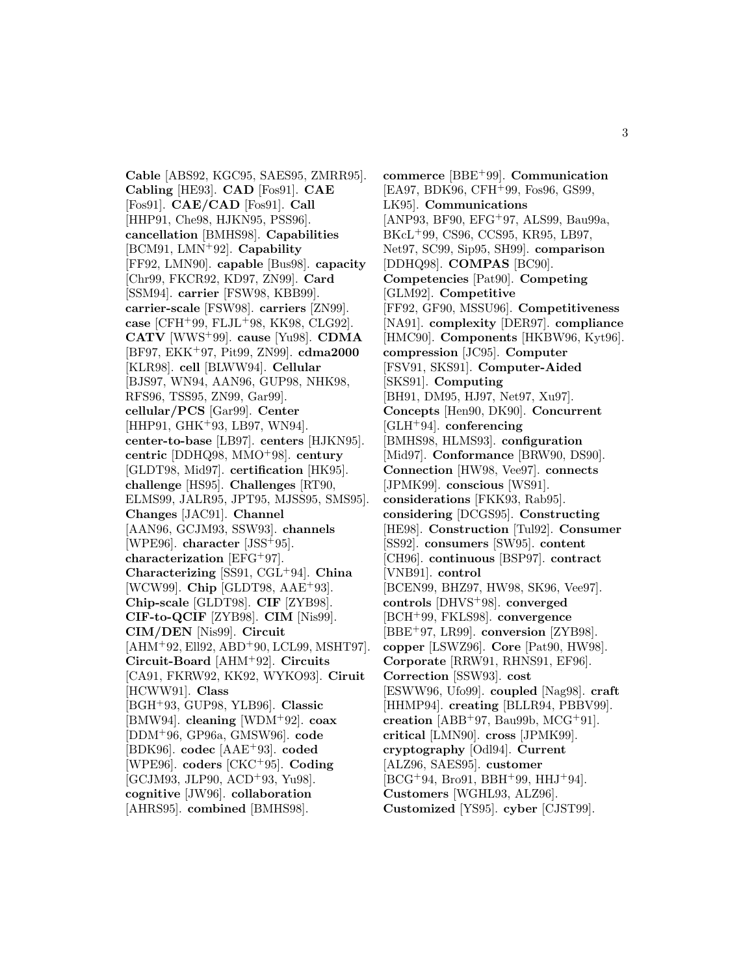**Cable** [ABS92, KGC95, SAES95, ZMRR95]. **Cabling** [HE93]. **CAD** [Fos91]. **CAE** [Fos91]. **CAE/CAD** [Fos91]. **Call** [HHP91, Che98, HJKN95, PSS96]. **cancellation** [BMHS98]. **Capabilities** [BCM91, LMN<sup>+</sup>92]. **Capability** [FF92, LMN90]. **capable** [Bus98]. **capacity** [Chr99, FKCR92, KD97, ZN99]. **Card** [SSM94]. **carrier** [FSW98, KBB99]. **carrier-scale** [FSW98]. **carriers** [ZN99]. **case** [CFH<sup>+</sup>99, FLJL<sup>+</sup>98, KK98, CLG92]. **CATV** [WWS<sup>+</sup>99]. **cause** [Yu98]. **CDMA** [BF97, EKK<sup>+</sup>97, Pit99, ZN99]. **cdma2000** [KLR98]. **cell** [BLWW94]. **Cellular** [BJS97, WN94, AAN96, GUP98, NHK98, RFS96, TSS95, ZN99, Gar99]. **cellular/PCS** [Gar99]. **Center** [HHP91, GHK+93, LB97, WN94]. **center-to-base** [LB97]. **centers** [HJKN95]. **centric** [DDHQ98, MMO<sup>+</sup>98]. **century** [GLDT98, Mid97]. **certification** [HK95]. **challenge** [HS95]. **Challenges** [RT90, ELMS99, JALR95, JPT95, MJSS95, SMS95]. **Changes** [JAC91]. **Channel** [AAN96, GCJM93, SSW93]. **channels** [WPE96]. **character** [JSS<sup>+</sup>95]. **characterization** [EFG<sup>+</sup>97]. **Characterizing** [SS91, CGL<sup>+</sup>94]. **China** [WCW99]. **Chip** [GLDT98, AAE<sup>+</sup>93]. **Chip-scale** [GLDT98]. **CIF** [ZYB98]. **CIF-to-QCIF** [ZYB98]. **CIM** [Nis99]. **CIM/DEN** [Nis99]. **Circuit**  $[AHM+92, El192, ABD+90, LCL99, MSHT97].$ **Circuit-Board** [AHM<sup>+</sup>92]. **Circuits** [CA91, FKRW92, KK92, WYKO93]. **Ciruit** [HCWW91]. **Class** [BGH<sup>+</sup>93, GUP98, YLB96]. **Classic** [BMW94]. **cleaning** [WDM<sup>+</sup>92]. **coax** [DDM<sup>+</sup>96, GP96a, GMSW96]. **code** [BDK96]. **codec** [AAE<sup>+</sup>93]. **coded** [WPE96]. **coders** [CKC<sup>+</sup>95]. **Coding** [GCJM93, JLP90, ACD<sup>+</sup>93, Yu98]. **cognitive** [JW96]. **collaboration** [AHRS95]. **combined** [BMHS98].

**commerce** [BBE<sup>+</sup>99]. **Communication** [EA97, BDK96, CFH<sup>+</sup>99, Fos96, GS99, LK95]. **Communications** [ANP93, BF90, EFG<sup>+</sup>97, ALS99, Bau99a, BKcL<sup>+</sup>99, CS96, CCS95, KR95, LB97, Net97, SC99, Sip95, SH99]. **comparison** [DDHQ98]. **COMPAS** [BC90]. **Competencies** [Pat90]. **Competing** [GLM92]. **Competitive** [FF92, GF90, MSSU96]. **Competitiveness** [NA91]. **complexity** [DER97]. **compliance** [HMC90]. **Components** [HKBW96, Kyt96]. **compression** [JC95]. **Computer** [FSV91, SKS91]. **Computer-Aided** [SKS91]. **Computing** [BH91, DM95, HJ97, Net97, Xu97]. **Concepts** [Hen90, DK90]. **Concurrent** [GLH<sup>+</sup>94]. **conferencing** [BMHS98, HLMS93]. **configuration** [Mid97]. **Conformance** [BRW90, DS90]. **Connection** [HW98, Vee97]. **connects** [JPMK99]. **conscious** [WS91]. **considerations** [FKK93, Rab95]. **considering** [DCGS95]. **Constructing** [HE98]. **Construction** [Tul92]. **Consumer** [SS92]. **consumers** [SW95]. **content** [CH96]. **continuous** [BSP97]. **contract** [VNB91]. **control** [BCEN99, BHZ97, HW98, SK96, Vee97]. **controls** [DHVS<sup>+</sup>98]. **converged** [BCH<sup>+</sup>99, FKLS98]. **convergence** [BBE<sup>+</sup>97, LR99]. **conversion** [ZYB98]. **copper** [LSWZ96]. **Core** [Pat90, HW98]. **Corporate** [RRW91, RHNS91, EF96]. **Correction** [SSW93]. **cost** [ESWW96, Ufo99]. **coupled** [Nag98]. **craft** [HHMP94]. **creating** [BLLR94, PBBV99]. **creation** [ABB<sup>+</sup>97, Bau99b, MCG<sup>+</sup>91]. **critical** [LMN90]. **cross** [JPMK99]. **cryptography** [Odl94]. **Current** [ALZ96, SAES95]. **customer**  $[BCG+94, Bro91, BBH+99, HHJ+94].$ **Customers** [WGHL93, ALZ96]. **Customized** [YS95]. **cyber** [CJST99].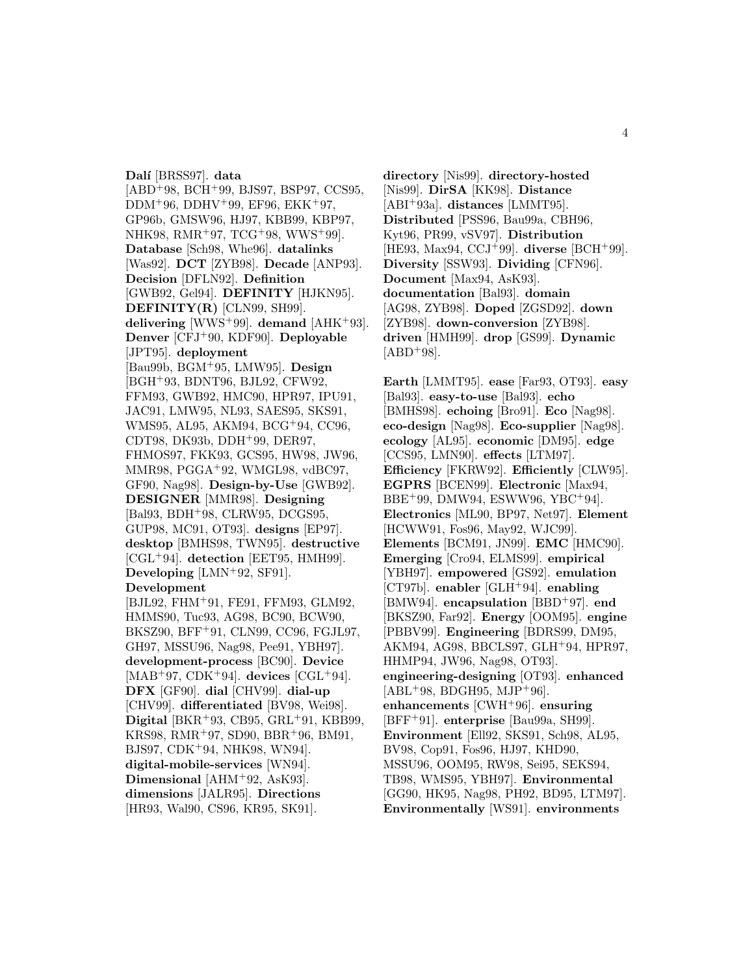**Dal´ı** [BRSS97]. **data** [ABD<sup>+</sup>98, BCH<sup>+</sup>99, BJS97, BSP97, CCS95,  $DDM+96$ ,  $DDHV+99$ , EF96, EKK $+97$ , GP96b, GMSW96, HJ97, KBB99, KBP97, NHK98, RMR<sup>+</sup>97, TCG<sup>+</sup>98, WWS<sup>+</sup>99]. **Database** [Sch98, Whe96]. **datalinks** [Was92]. **DCT** [ZYB98]. **Decade** [ANP93]. **Decision** [DFLN92]. **Definition** [GWB92, Gel94]. **DEFINITY** [HJKN95]. **DEFINITY(R)** [CLN99, SH99]. **delivering** [WWS<sup>+</sup>99]. **demand** [AHK<sup>+</sup>93]. **Denver** [CFJ<sup>+</sup>90, KDF90]. **Deployable** [JPT95]. **deployment** [Bau99b, BGM<sup>+</sup>95, LMW95]. **Design** [BGH<sup>+</sup>93, BDNT96, BJL92, CFW92, FFM93, GWB92, HMC90, HPR97, IPU91, JAC91, LMW95, NL93, SAES95, SKS91, WMS95, AL95, AKM94, BCG<sup>+</sup>94, CC96, CDT98, DK93b, DDH<sup>+</sup>99, DER97, FHMOS97, FKK93, GCS95, HW98, JW96, MMR98, PGGA<sup>+</sup>92, WMGL98, vdBC97, GF90, Nag98]. **Design-by-Use** [GWB92]. **DESIGNER** [MMR98]. **Designing** [Bal93, BDH<sup>+</sup>98, CLRW95, DCGS95, GUP98, MC91, OT93]. **designs** [EP97]. **desktop** [BMHS98, TWN95]. **destructive** [CGL<sup>+</sup>94]. **detection** [EET95, HMH99]. **Developing** [LMN<sup>+</sup>92, SF91]. **Development** [BJL92, FHM<sup>+</sup>91, FE91, FFM93, GLM92, HMMS90, Tuc93, AG98, BC90, BCW90, BKSZ90, BFF<sup>+</sup>91, CLN99, CC96, FGJL97, GH97, MSSU96, Nag98, Pee91, YBH97]. **development-process** [BC90]. **Device** [MAB<sup>+</sup>97, CDK<sup>+</sup>94]. **devices** [CGL<sup>+</sup>94]. **DFX** [GF90]. **dial** [CHV99]. **dial-up** [CHV99]. **differentiated** [BV98, Wei98]. **Digital** [BKR<sup>+</sup>93, CB95, GRL<sup>+</sup>91, KBB99, KRS98, RMR<sup>+</sup>97, SD90, BBR<sup>+</sup>96, BM91,

BJS97, CDK<sup>+</sup>94, NHK98, WN94]. **digital-mobile-services** [WN94]. **Dimensional** [AHM<sup>+</sup>92, AsK93]. **dimensions** [JALR95]. **Directions** [HR93, Wal90, CS96, KR95, SK91].

**directory** [Nis99]. **directory-hosted** [Nis99]. **DirSA** [KK98]. **Distance** [ABI<sup>+</sup>93a]. **distances** [LMMT95]. **Distributed** [PSS96, Bau99a, CBH96, Kyt96, PR99, vSV97]. **Distribution** [HE93, Max94, CCJ<sup>+</sup>99]. **diverse** [BCH<sup>+</sup>99]. **Diversity** [SSW93]. **Dividing** [CFN96]. **Document** [Max94, AsK93]. **documentation** [Bal93]. **domain** [AG98, ZYB98]. **Doped** [ZGSD92]. **down** [ZYB98]. **down-conversion** [ZYB98]. **driven** [HMH99]. **drop** [GS99]. **Dynamic**  $[ABD+98]$ .

**Earth** [LMMT95]. **ease** [Far93, OT93]. **easy** [Bal93]. **easy-to-use** [Bal93]. **echo** [BMHS98]. **echoing** [Bro91]. **Eco** [Nag98]. **eco-design** [Nag98]. **Eco-supplier** [Nag98]. **ecology** [AL95]. **economic** [DM95]. **edge** [CCS95, LMN90]. **effects** [LTM97]. **Efficiency** [FKRW92]. **Efficiently** [CLW95]. **EGPRS** [BCEN99]. **Electronic** [Max94, BBE<sup>+</sup>99, DMW94, ESWW96, YBC<sup>+</sup>94]. **Electronics** [ML90, BP97, Net97]. **Element** [HCWW91, Fos96, May92, WJC99]. **Elements** [BCM91, JN99]. **EMC** [HMC90]. **Emerging** [Cro94, ELMS99]. **empirical** [YBH97]. **empowered** [GS92]. **emulation** [CT97b]. **enabler** [GLH<sup>+</sup>94]. **enabling** [BMW94]. **encapsulation** [BBD<sup>+</sup>97]. **end** [BKSZ90, Far92]. **Energy** [OOM95]. **engine** [PBBV99]. **Engineering** [BDRS99, DM95, AKM94, AG98, BBCLS97, GLH<sup>+</sup>94, HPR97, HHMP94, JW96, Nag98, OT93]. **engineering-designing** [OT93]. **enhanced**  $[ABL+98, BDGH95, MJP+96].$ **enhancements** [CWH<sup>+</sup>96]. **ensuring** [BFF<sup>+</sup>91]. **enterprise** [Bau99a, SH99]. **Environment** [Ell92, SKS91, Sch98, AL95, BV98, Cop91, Fos96, HJ97, KHD90, MSSU96, OOM95, RW98, Sei95, SEKS94, TB98, WMS95, YBH97]. **Environmental** [GG90, HK95, Nag98, PH92, BD95, LTM97]. **Environmentally** [WS91]. **environments**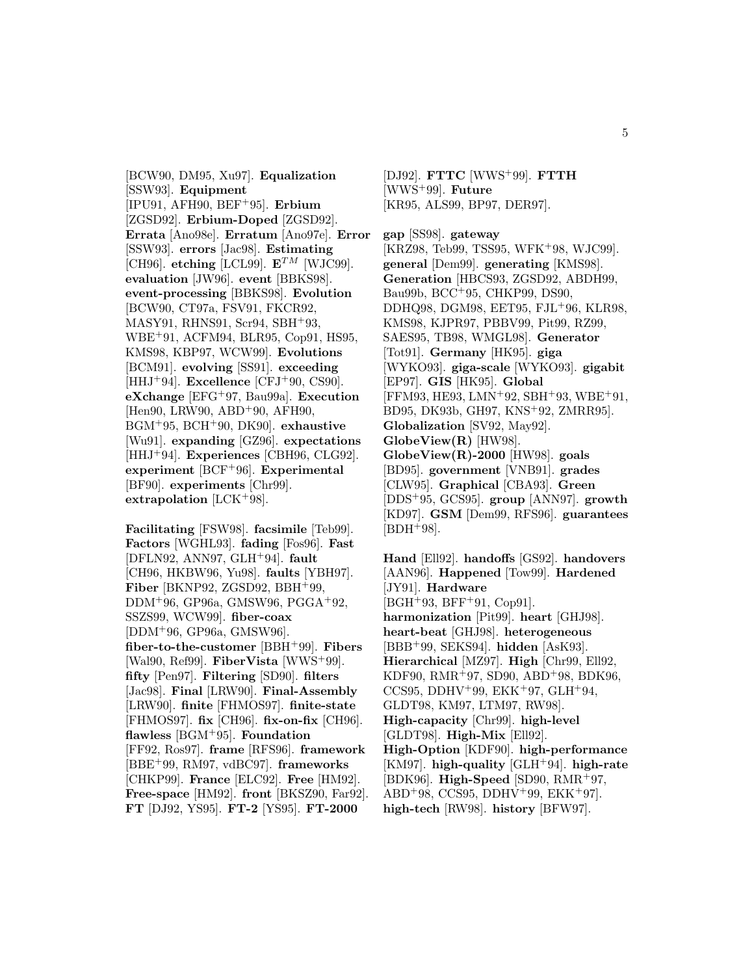[BCW90, DM95, Xu97]. **Equalization** [SSW93]. **Equipment** [IPU91, AFH90, BEF<sup>+</sup>95]. **Erbium** [ZGSD92]. **Erbium-Doped** [ZGSD92]. **Errata** [Ano98e]. **Erratum** [Ano97e]. **Error** [SSW93]. **errors** [Jac98]. **Estimating** [CH96]. **etching** [LCL99].  $\mathbf{E}^{TM}$  [WJC99]. **evaluation** [JW96]. **event** [BBKS98]. **event-processing** [BBKS98]. **Evolution** [BCW90, CT97a, FSV91, FKCR92, MASY91, RHNS91, Scr94, SBH<sup>+</sup>93, WBE<sup>+</sup>91, ACFM94, BLR95, Cop91, HS95, KMS98, KBP97, WCW99]. **Evolutions** [BCM91]. **evolving** [SS91]. **exceeding** [HHJ<sup>+</sup>94]. **Excellence** [CFJ<sup>+</sup>90, CS90]. **eXchange** [EFG<sup>+</sup>97, Bau99a]. **Execution** [Hen90, LRW90, ABD<sup>+</sup>90, AFH90, BGM<sup>+</sup>95, BCH<sup>+</sup>90, DK90]. **exhaustive** [Wu91]. **expanding** [GZ96]. **expectations** [HHJ<sup>+</sup>94]. **Experiences** [CBH96, CLG92]. **experiment** [BCF<sup>+</sup>96]. **Experimental** [BF90]. **experiments** [Chr99]. **extrapolation** [LCK<sup>+</sup>98].

**Facilitating** [FSW98]. **facsimile** [Teb99]. **Factors** [WGHL93]. **fading** [Fos96]. **Fast** [DFLN92, ANN97, GLH<sup>+</sup>94]. **fault** [CH96, HKBW96, Yu98]. **faults** [YBH97]. **Fiber** [BKNP92, ZGSD92, BBH<sup>+</sup>99, DDM<sup>+</sup>96, GP96a, GMSW96, PGGA<sup>+</sup>92, SSZS99, WCW99]. **fiber-coax** [DDM<sup>+</sup>96, GP96a, GMSW96]. **fiber-to-the-customer** [BBH<sup>+</sup>99]. **Fibers** [Wal90, Ref99]. **FiberVista** [WWS<sup>+</sup>99]. **fifty** [Pen97]. **Filtering** [SD90]. **filters** [Jac98]. **Final** [LRW90]. **Final-Assembly** [LRW90]. **finite** [FHMOS97]. **finite-state** [FHMOS97]. **fix** [CH96]. **fix-on-fix** [CH96]. **flawless** [BGM<sup>+</sup>95]. **Foundation** [FF92, Ros97]. **frame** [RFS96]. **framework** [BBE<sup>+</sup>99, RM97, vdBC97]. **frameworks** [CHKP99]. **France** [ELC92]. **Free** [HM92]. **Free-space** [HM92]. **front** [BKSZ90, Far92]. **FT** [DJ92, YS95]. **FT-2** [YS95]. **FT-2000**

[DJ92]. **FTTC** [WWS<sup>+</sup>99]. **FTTH** [WWS<sup>+</sup>99]. **Future** [KR95, ALS99, BP97, DER97].

**gap** [SS98]. **gateway** [KRZ98, Teb99, TSS95, WFK<sup>+</sup>98, WJC99]. **general** [Dem99]. **generating** [KMS98]. **Generation** [HBCS93, ZGSD92, ABDH99, Bau99b, BCC<sup>+</sup>95, CHKP99, DS90, DDHQ98, DGM98, EET95, FJL<sup>+</sup>96, KLR98, KMS98, KJPR97, PBBV99, Pit99, RZ99, SAES95, TB98, WMGL98]. **Generator** [Tot91]. **Germany** [HK95]. **giga** [WYKO93]. **giga-scale** [WYKO93]. **gigabit** [EP97]. **GIS** [HK95]. **Global** [FFM93, HE93, LMN<sup>+</sup>92, SBH<sup>+</sup>93, WBE<sup>+</sup>91, BD95, DK93b, GH97, KNS<sup>+</sup>92, ZMRR95]. **Globalization** [SV92, May92]. **GlobeView(R)** [HW98]. **GlobeView(R)-2000** [HW98]. **goals** [BD95]. **government** [VNB91]. **grades** [CLW95]. **Graphical** [CBA93]. **Green** [DDS<sup>+</sup>95, GCS95]. **group** [ANN97]. **growth** [KD97]. **GSM** [Dem99, RFS96]. **guarantees**  $[BDH+98]$ .

**Hand** [Ell92]. **handoffs** [GS92]. **handovers** [AAN96]. **Happened** [Tow99]. **Hardened** [JY91]. **Hardware** [BGH<sup>+</sup>93, BFF<sup>+</sup>91, Cop91]. **harmonization** [Pit99]. **heart** [GHJ98]. **heart-beat** [GHJ98]. **heterogeneous** [BBB<sup>+</sup>99, SEKS94]. **hidden** [AsK93]. **Hierarchical** [MZ97]. **High** [Chr99, Ell92, KDF90, RMR<sup>+</sup>97, SD90, ABD<sup>+</sup>98, BDK96, CCS95, DDHV<sup>+</sup>99, EKK<sup>+</sup>97, GLH<sup>+</sup>94, GLDT98, KM97, LTM97, RW98]. **High-capacity** [Chr99]. **high-level** [GLDT98]. **High-Mix** [Ell92]. **High-Option** [KDF90]. **high-performance** [KM97]. **high-quality** [GLH<sup>+</sup>94]. **high-rate** [BDK96]. **High-Speed** [SD90, RMR<sup>+</sup>97,  $ABD+98$ , CCS95, DDHV+99, EKK+97]. **high-tech** [RW98]. **history** [BFW97].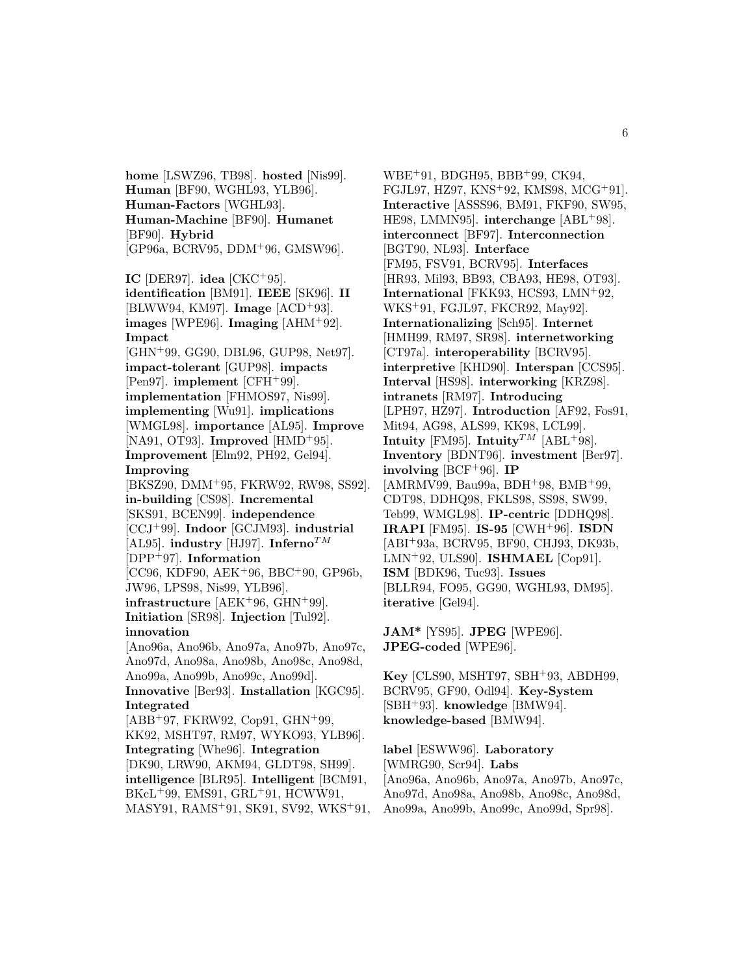**home** [LSWZ96, TB98]. **hosted** [Nis99]. **Human** [BF90, WGHL93, YLB96]. **Human-Factors** [WGHL93]. **Human-Machine** [BF90]. **Humanet** [BF90]. **Hybrid** [GP96a, BCRV95, DDM<sup>+</sup>96, GMSW96].

**IC** [DER97]. **idea** [CKC<sup>+</sup>95]. **identification** [BM91]. **IEEE** [SK96]. **II** [BLWW94, KM97]. **Image** [ACD<sup>+</sup>93]. **images** [WPE96]. **Imaging** [AHM<sup>+</sup>92]. **Impact**

[GHN<sup>+</sup>99, GG90, DBL96, GUP98, Net97]. **impact-tolerant** [GUP98]. **impacts** [Pen97]. **implement** [CFH<sup>+</sup>99]. **implementation** [FHMOS97, Nis99]. **implementing** [Wu91]. **implications** [WMGL98]. **importance** [AL95]. **Improve** [NA91, OT93]. **Improved** [HMD<sup>+</sup>95]. **Improvement** [Elm92, PH92, Gel94]. **Improving**

[BKSZ90, DMM<sup>+</sup>95, FKRW92, RW98, SS92]. **in-building** [CS98]. **Incremental** [SKS91, BCEN99]. **independence** [CCJ<sup>+</sup>99]. **Indoor** [GCJM93]. **industrial** [AL95]. **industry** [HJ97]. **Inferno**TM [DPP<sup>+</sup>97]. **Information** [CC96, KDF90, AEK<sup>+</sup>96, BBC<sup>+</sup>90, GP96b, JW96, LPS98, Nis99, YLB96].

**infrastructure** [AEK<sup>+</sup>96, GHN<sup>+</sup>99]. **Initiation** [SR98]. **Injection** [Tul92]. **innovation** [Ano96a, Ano96b, Ano97a, Ano97b, Ano97c,

Ano97d, Ano98a, Ano98b, Ano98c, Ano98d, Ano99a, Ano99b, Ano99c, Ano99d]. **Innovative** [Ber93]. **Installation** [KGC95]. **Integrated**  $[ABB<sup>+</sup>97, FKRW92, Cop91, GHN<sup>+</sup>99,$ 

KK92, MSHT97, RM97, WYKO93, YLB96]. **Integrating** [Whe96]. **Integration** [DK90, LRW90, AKM94, GLDT98, SH99]. **intelligence** [BLR95]. **Intelligent** [BCM91, BKcL<sup>+</sup>99, EMS91, GRL<sup>+</sup>91, HCWW91,

MASY91, RAMS<sup>+</sup>91, SK91, SV92, WKS<sup>+</sup>91,

WBE<sup>+</sup>91, BDGH95, BBB<sup>+</sup>99, CK94, FGJL97, HZ97, KNS<sup>+</sup>92, KMS98, MCG<sup>+</sup>91]. **Interactive** [ASSS96, BM91, FKF90, SW95, HE98, LMMN95]. **interchange** [ABL<sup>+</sup>98]. **interconnect** [BF97]. **Interconnection** [BGT90, NL93]. **Interface** [FM95, FSV91, BCRV95]. **Interfaces** [HR93, Mil93, BB93, CBA93, HE98, OT93]. **International** [FKK93, HCS93, LMN<sup>+</sup>92, WKS<sup>+</sup>91, FGJL97, FKCR92, May92]. **Internationalizing** [Sch95]. **Internet** [HMH99, RM97, SR98]. **internetworking** [CT97a]. **interoperability** [BCRV95]. **interpretive** [KHD90]. **Interspan** [CCS95]. **Interval** [HS98]. **interworking** [KRZ98]. **intranets** [RM97]. **Introducing** [LPH97, HZ97]. **Introduction** [AF92, Fos91, Mit94, AG98, ALS99, KK98, LCL99]. **Intuity** [FM95]. **Intuity**<sup>TM</sup> [ABL+98]. **Inventory** [BDNT96]. **investment** [Ber97]. **involving** [BCF<sup>+</sup>96]. **IP** [AMRMV99, Bau99a, BDH<sup>+</sup>98, BMB<sup>+</sup>99, CDT98, DDHQ98, FKLS98, SS98, SW99, Teb99, WMGL98]. **IP-centric** [DDHQ98]. **IRAPI** [FM95]. **IS-95** [CWH<sup>+</sup>96]. **ISDN** [ABI<sup>+</sup>93a, BCRV95, BF90, CHJ93, DK93b, LMN<sup>+</sup>92, ULS90]. **ISHMAEL** [Cop91]. **ISM** [BDK96, Tuc93]. **Issues** [BLLR94, FO95, GG90, WGHL93, DM95]. **iterative** [Gel94].

**JAM\*** [YS95]. **JPEG** [WPE96]. **JPEG-coded** [WPE96].

**Key** [CLS90, MSHT97, SBH<sup>+</sup>93, ABDH99, BCRV95, GF90, Odl94]. **Key-System** [SBH<sup>+</sup>93]. **knowledge** [BMW94]. **knowledge-based** [BMW94].

**label** [ESWW96]. **Laboratory** [WMRG90, Scr94]. **Labs** [Ano96a, Ano96b, Ano97a, Ano97b, Ano97c, Ano97d, Ano98a, Ano98b, Ano98c, Ano98d, Ano99a, Ano99b, Ano99c, Ano99d, Spr98].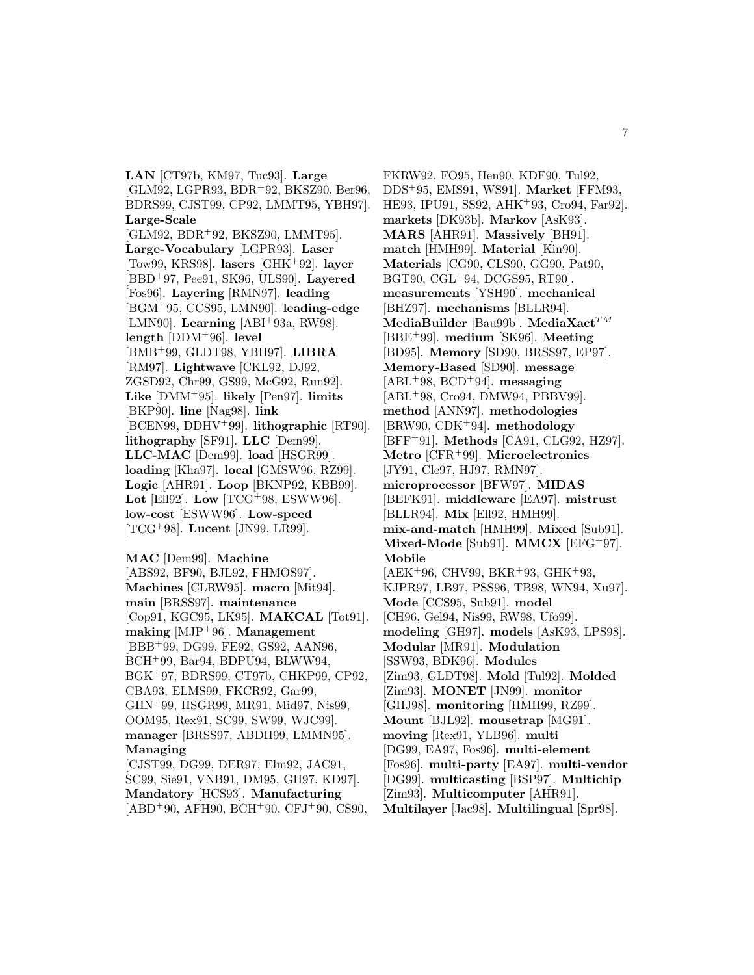**LAN** [CT97b, KM97, Tuc93]. **Large** [GLM92, LGPR93, BDR<sup>+</sup>92, BKSZ90, Ber96, BDRS99, CJST99, CP92, LMMT95, YBH97]. **Large-Scale** [GLM92, BDR<sup>+</sup>92, BKSZ90, LMMT95]. **Large-Vocabulary** [LGPR93]. **Laser** [Tow99, KRS98]. **lasers** [GHK<sup>+</sup>92]. **layer** [BBD<sup>+</sup>97, Pee91, SK96, ULS90]. **Layered** [Fos96]. **Layering** [RMN97]. **leading** [BGM<sup>+</sup>95, CCS95, LMN90]. **leading-edge** [LMN90]. **Learning** [ABI<sup>+</sup>93a, RW98]. **length** [DDM<sup>+</sup>96]. **level** [BMB<sup>+</sup>99, GLDT98, YBH97]. **LIBRA** [RM97]. **Lightwave** [CKL92, DJ92, ZGSD92, Chr99, GS99, McG92, Run92]. **Like** [DMM<sup>+</sup>95]. **likely** [Pen97]. **limits** [BKP90]. **line** [Nag98]. **link** [BCEN99, DDHV<sup>+</sup>99]. **lithographic** [RT90]. **lithography** [SF91]. **LLC** [Dem99]. **LLC-MAC** [Dem99]. **load** [HSGR99]. **loading** [Kha97]. **local** [GMSW96, RZ99]. **Logic** [AHR91]. **Loop** [BKNP92, KBB99]. **Lot** [Ell92]. **Low** [TCG<sup>+</sup>98, ESWW96]. **low-cost** [ESWW96]. **Low-speed** [TCG<sup>+</sup>98]. **Lucent** [JN99, LR99].

**MAC** [Dem99]. **Machine** [ABS92, BF90, BJL92, FHMOS97]. **Machines** [CLRW95]. **macro** [Mit94]. **main** [BRSS97]. **maintenance** [Cop91, KGC95, LK95]. **MAKCAL** [Tot91]. **making** [MJP<sup>+</sup>96]. **Management** [BBB<sup>+</sup>99, DG99, FE92, GS92, AAN96, BCH<sup>+</sup>99, Bar94, BDPU94, BLWW94, BGK<sup>+</sup>97, BDRS99, CT97b, CHKP99, CP92, CBA93, ELMS99, FKCR92, Gar99, GHN<sup>+</sup>99, HSGR99, MR91, Mid97, Nis99, OOM95, Rex91, SC99, SW99, WJC99]. **manager** [BRSS97, ABDH99, LMMN95]. **Managing** [CJST99, DG99, DER97, Elm92, JAC91,

SC99, Sie91, VNB91, DM95, GH97, KD97]. **Mandatory** [HCS93]. **Manufacturing**  $[ABD+90, AFH90, BCH+90, CFJ+90, CS90,$ 

FKRW92, FO95, Hen90, KDF90, Tul92, DDS<sup>+</sup>95, EMS91, WS91]. **Market** [FFM93, HE93, IPU91, SS92, AHK<sup>+</sup>93, Cro94, Far92]. **markets** [DK93b]. **Markov** [AsK93]. **MARS** [AHR91]. **Massively** [BH91]. **match** [HMH99]. **Material** [Kin90]. **Materials** [CG90, CLS90, GG90, Pat90, BGT90, CGL<sup>+</sup>94, DCGS95, RT90]. **measurements** [YSH90]. **mechanical** [BHZ97]. **mechanisms** [BLLR94]. **MediaBuilder** [Bau99b]. **MediaXact**<sup>TM</sup> [BBE<sup>+</sup>99]. **medium** [SK96]. **Meeting** [BD95]. **Memory** [SD90, BRSS97, EP97]. **Memory-Based** [SD90]. **message**  $[ABL+98, BCD+94]$ . **messaging** [ABL<sup>+</sup>98, Cro94, DMW94, PBBV99]. **method** [ANN97]. **methodologies** [BRW90, CDK<sup>+</sup>94]. **methodology** [BFF<sup>+</sup>91]. **Methods** [CA91, CLG92, HZ97]. **Metro** [CFR<sup>+</sup>99]. **Microelectronics** [JY91, Cle97, HJ97, RMN97]. **microprocessor** [BFW97]. **MIDAS** [BEFK91]. **middleware** [EA97]. **mistrust** [BLLR94]. **Mix** [Ell92, HMH99]. **mix-and-match** [HMH99]. **Mixed** [Sub91]. **Mixed-Mode** [Sub91]. **MMCX** [EFG<sup>+</sup>97]. **Mobile** [AEK<sup>+</sup>96, CHV99, BKR<sup>+</sup>93, GHK<sup>+</sup>93, KJPR97, LB97, PSS96, TB98, WN94, Xu97]. **Mode** [CCS95, Sub91]. **model** [CH96, Gel94, Nis99, RW98, Ufo99]. **modeling** [GH97]. **models** [AsK93, LPS98]. **Modular** [MR91]. **Modulation** [SSW93, BDK96]. **Modules** [Zim93, GLDT98]. **Mold** [Tul92]. **Molded** [Zim93]. **MONET** [JN99]. **monitor** [GHJ98]. **monitoring** [HMH99, RZ99]. **Mount** [BJL92]. **mousetrap** [MG91]. **moving** [Rex91, YLB96]. **multi** [DG99, EA97, Fos96]. **multi-element** [Fos96]. **multi-party** [EA97]. **multi-vendor** [DG99]. **multicasting** [BSP97]. **Multichip** [Zim93]. **Multicomputer** [AHR91]. **Multilayer** [Jac98]. **Multilingual** [Spr98].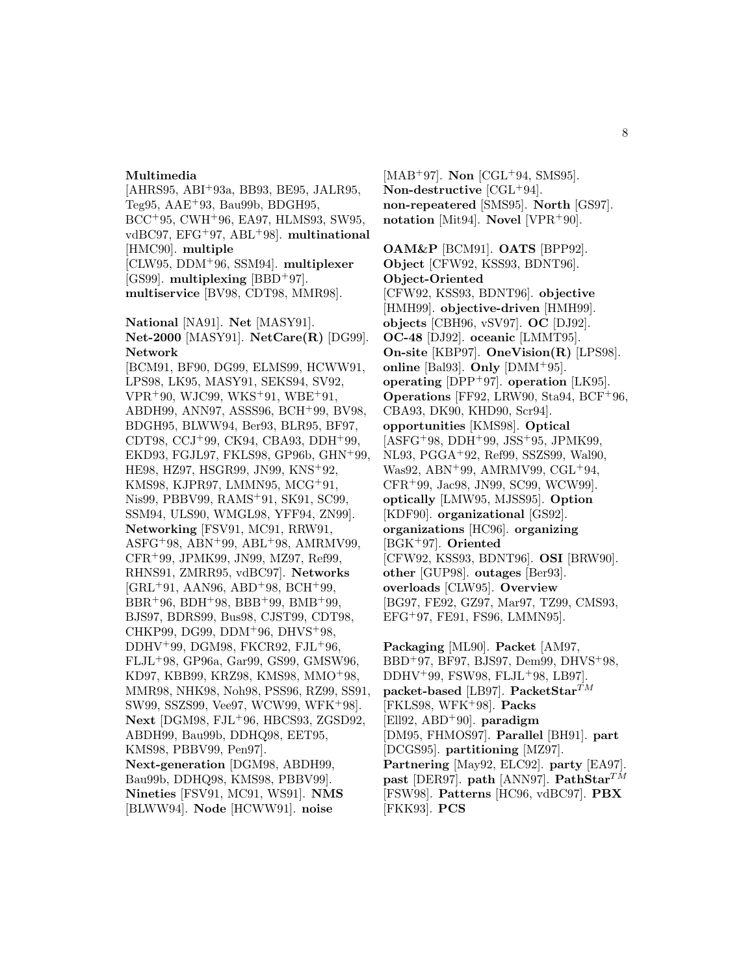#### **Multimedia**

[AHRS95, ABI<sup>+</sup>93a, BB93, BE95, JALR95, Teg $95, \text{AAE}$ + $93, \text{Bau}$  $99b, \text{BDGH}$  $95, \text{AAE}$ BCC<sup>+</sup>95, CWH<sup>+</sup>96, EA97, HLMS93, SW95, vdBC97, EFG<sup>+</sup>97, ABL<sup>+</sup>98]. **multinational** [HMC90]. **multiple** [CLW95, DDM<sup>+</sup>96, SSM94]. **multiplexer** [GS99]. **multiplexing** [BBD<sup>+</sup>97]. **multiservice** [BV98, CDT98, MMR98]. **National** [NA91]. **Net** [MASY91].

**Net-2000** [MASY91]. **NetCare(R)** [DG99]. **Network**

[BCM91, BF90, DG99, ELMS99, HCWW91, LPS98, LK95, MASY91, SEKS94, SV92, VPR<sup>+</sup>90, WJC99, WKS<sup>+</sup>91, WBE<sup>+</sup>91, ABDH99, ANN97, ASSS96, BCH<sup>+</sup>99, BV98, BDGH95, BLWW94, Ber93, BLR95, BF97, CDT98, CCJ<sup>+</sup>99, CK94, CBA93, DDH<sup>+</sup>99, EKD93, FGJL97, FKLS98, GP96b, GHN<sup>+</sup>99, HE98, HZ97, HSGR99, JN99, KNS<sup>+</sup>92, KMS98, KJPR97, LMMN95, MCG<sup>+</sup>91, Nis99, PBBV99, RAMS<sup>+</sup>91, SK91, SC99, SSM94, ULS90, WMGL98, YFF94, ZN99]. **Networking** [FSV91, MC91, RRW91,  $A SFG+98$ ,  $ABN+99$ ,  $ABL+98$ ,  $AMRMV99$ , CFR<sup>+</sup>99, JPMK99, JN99, MZ97, Ref99, RHNS91, ZMRR95, vdBC97]. **Networks**  $[GRL+91, AAN96, ABD+98, BCH+99,$  $BBR+96, BDH+98, BBB+99, BMB+99,$ BJS97, BDRS99, Bus98, CJST99, CDT98, CHKP99, DG99, DDM<sup>+</sup>96, DHVS<sup>+</sup>98, DDHV<sup>+</sup>99, DGM98, FKCR92, FJL<sup>+</sup>96, FLJL<sup>+</sup>98, GP96a, Gar99, GS99, GMSW96, KD97, KBB99, KRZ98, KMS98, MMO<sup>+</sup>98, MMR98, NHK98, Noh98, PSS96, RZ99, SS91, SW99, SSZS99, Vee97, WCW99, WFK<sup>+</sup>98]. **Next** [DGM98, FJL<sup>+</sup>96, HBCS93, ZGSD92, ABDH99, Bau99b, DDHQ98, EET95, KMS98, PBBV99, Pen97]. **Next-generation** [DGM98, ABDH99, Bau99b, DDHQ98, KMS98, PBBV99]. **Nineties** [FSV91, MC91, WS91]. **NMS** [BLWW94]. **Node** [HCWW91]. **noise**

[MAB<sup>+</sup>97]. **Non** [CGL<sup>+</sup>94, SMS95]. **Non-destructive** [CGL<sup>+</sup>94]. **non-repeatered** [SMS95]. **North** [GS97]. **notation** [Mit94]. **Novel** [VPR<sup>+</sup>90].

**OAM&P** [BCM91]. **OATS** [BPP92]. **Object** [CFW92, KSS93, BDNT96]. **Object-Oriented** [CFW92, KSS93, BDNT96]. **objective** [HMH99]. **objective-driven** [HMH99]. **objects** [CBH96, vSV97]. **OC** [DJ92]. **OC-48** [DJ92]. **oceanic** [LMMT95]. **On-site** [KBP97]. **OneVision(R)** [LPS98]. **online** [Bal93]. **Only** [DMM<sup>+</sup>95]. **operating** [DPP<sup>+</sup>97]. **operation** [LK95]. **Operations** [FF92, LRW90, Sta94, BCF<sup>+</sup>96, CBA93, DK90, KHD90, Scr94]. **opportunities** [KMS98]. **Optical** [ASFG<sup>+</sup>98, DDH<sup>+</sup>99, JSS<sup>+</sup>95, JPMK99, NL93, PGGA<sup>+</sup>92, Ref99, SSZS99, Wal90, Was92, ABN<sup>+</sup>99, AMRMV99, CGL<sup>+</sup>94, CFR<sup>+</sup>99, Jac98, JN99, SC99, WCW99]. **optically** [LMW95, MJSS95]. **Option** [KDF90]. **organizational** [GS92]. **organizations** [HC96]. **organizing** [BGK<sup>+</sup>97]. **Oriented** [CFW92, KSS93, BDNT96]. **OSI** [BRW90]. **other** [GUP98]. **outages** [Ber93]. **overloads** [CLW95]. **Overview** [BG97, FE92, GZ97, Mar97, TZ99, CMS93, EFG<sup>+</sup>97, FE91, FS96, LMMN95].

**Packaging** [ML90]. **Packet** [AM97, BBD<sup>+</sup>97, BF97, BJS97, Dem99, DHVS<sup>+</sup>98, DDHV<sup>+</sup>99, FSW98, FLJL<sup>+</sup>98, LB97]. **packet-based** [LB97]. **PacketStar**<sup>TM</sup> [FKLS98, WFK<sup>+</sup>98]. **Packs** [Ell92, ABD<sup>+</sup>90]. **paradigm** [DM95, FHMOS97]. **Parallel** [BH91]. **part** [DCGS95]. **partitioning** [MZ97]. **Partnering** [May92, ELC92]. **party** [EA97]. **past** [DER97]. **path** [ANN97]. **PathStar**<sup>TM</sup> [FSW98]. **Patterns** [HC96, vdBC97]. **PBX** [FKK93]. **PCS**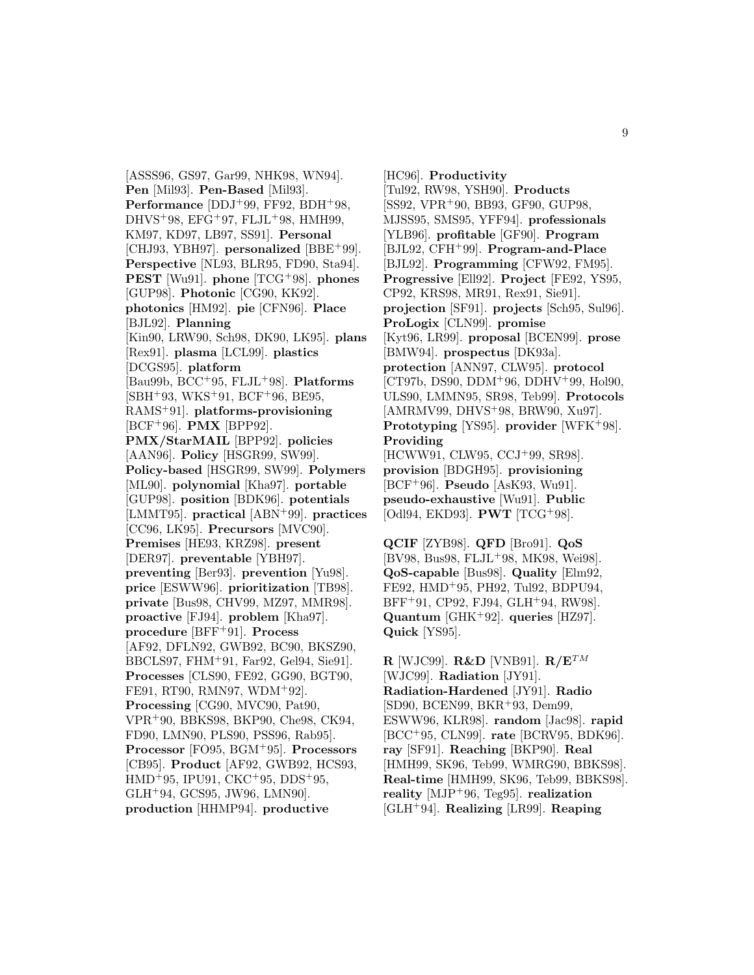[ASSS96, GS97, Gar99, NHK98, WN94]. **Pen** [Mil93]. **Pen-Based** [Mil93]. **Performance** [DDJ<sup>+</sup>99, FF92, BDH<sup>+</sup>98, DHVS<sup>+</sup>98, EFG<sup>+</sup>97, FLJL<sup>+</sup>98, HMH99, KM97, KD97, LB97, SS91]. **Personal** [CHJ93, YBH97]. **personalized** [BBE<sup>+</sup>99]. **Perspective** [NL93, BLR95, FD90, Sta94]. **PEST** [Wu91]. **phone** [TCG<sup>+</sup>98]. **phones** [GUP98]. **Photonic** [CG90, KK92]. **photonics** [HM92]. **pie** [CFN96]. **Place** [BJL92]. **Planning** [Kin90, LRW90, Sch98, DK90, LK95]. **plans** [Rex91]. **plasma** [LCL99]. **plastics** [DCGS95]. **platform** [Bau99b, BCC<sup>+</sup>95, FLJL<sup>+</sup>98]. **Platforms**  $[SBH+93, WKS+91, BCF+96, BE95,$ RAMS<sup>+</sup>91]. **platforms-provisioning** [BCF<sup>+</sup>96]. **PMX** [BPP92]. **PMX/StarMAIL** [BPP92]. **policies** [AAN96]. **Policy** [HSGR99, SW99]. **Policy-based** [HSGR99, SW99]. **Polymers** [ML90]. **polynomial** [Kha97]. **portable** [GUP98]. **position** [BDK96]. **potentials** [LMMT95]. **practical** [ABN<sup>+</sup>99]. **practices** [CC96, LK95]. **Precursors** [MVC90]. **Premises** [HE93, KRZ98]. **present** [DER97]. **preventable** [YBH97]. **preventing** [Ber93]. **prevention** [Yu98]. **price** [ESWW96]. **prioritization** [TB98]. **private** [Bus98, CHV99, MZ97, MMR98]. **proactive** [FJ94]. **problem** [Kha97]. **procedure** [BFF<sup>+</sup>91]. **Process** [AF92, DFLN92, GWB92, BC90, BKSZ90, BBCLS97, FHM<sup>+</sup>91, Far92, Gel94, Sie91]. **Processes** [CLS90, FE92, GG90, BGT90, FE91, RT90, RMN97, WDM<sup>+</sup>92]. **Processing** [CG90, MVC90, Pat90, VPR<sup>+</sup>90, BBKS98, BKP90, Che98, CK94, FD90, LMN90, PLS90, PSS96, Rab95]. **Processor** [FO95, BGM<sup>+</sup>95]. **Processors** [CB95]. **Product** [AF92, GWB92, HCS93, HMD<sup>+</sup>95, IPU91, CKC<sup>+</sup>95, DDS<sup>+</sup>95, GLH<sup>+</sup>94, GCS95, JW96, LMN90]. **production** [HHMP94]. **productive**

[HC96]. **Productivity** [Tul92, RW98, YSH90]. **Products** [SS92, VPR<sup>+</sup>90, BB93, GF90, GUP98, MJSS95, SMS95, YFF94]. **professionals** [YLB96]. **profitable** [GF90]. **Program** [BJL92, CFH<sup>+</sup>99]. **Program-and-Place** [BJL92]. **Programming** [CFW92, FM95]. **Progressive** [Ell92]. **Project** [FE92, YS95, CP92, KRS98, MR91, Rex91, Sie91]. **projection** [SF91]. **projects** [Sch95, Sul96]. **ProLogix** [CLN99]. **promise** [Kyt96, LR99]. **proposal** [BCEN99]. **prose** [BMW94]. **prospectus** [DK93a]. **protection** [ANN97, CLW95]. **protocol** [CT97b, DS90, DDM<sup>+</sup>96, DDHV<sup>+</sup>99, Hol90, ULS90, LMMN95, SR98, Teb99]. **Protocols** [AMRMV99, DHVS<sup>+</sup>98, BRW90, Xu97]. **Prototyping** [YS95]. **provider** [WFK<sup>+</sup>98]. **Providing** [HCWW91, CLW95, CCJ<sup>+</sup>99, SR98]. **provision** [BDGH95]. **provisioning** [BCF<sup>+</sup>96]. **Pseudo** [AsK93, Wu91]. **pseudo-exhaustive** [Wu91]. **Public**

**QCIF** [ZYB98]. **QFD** [Bro91]. **QoS** [BV98, Bus98, FLJL<sup>+</sup>98, MK98, Wei98]. **QoS-capable** [Bus98]. **Quality** [Elm92, FE92, HMD<sup>+</sup>95, PH92, Tul92, BDPU94, BFF<sup>+</sup>91, CP92, FJ94, GLH<sup>+</sup>94, RW98]. **Quantum** [GHK<sup>+</sup>92]. **queries** [HZ97]. **Quick** [YS95].

[Odl94, EKD93]. **PWT** [TCG<sup>+</sup>98].

**R** [WJC99]. **R&D** [VNB91]. **R/E**TM [WJC99]. **Radiation** [JY91]. **Radiation-Hardened** [JY91]. **Radio** [SD90, BCEN99, BKR<sup>+</sup>93, Dem99, ESWW96, KLR98]. **random** [Jac98]. **rapid** [BCC<sup>+</sup>95, CLN99]. **rate** [BCRV95, BDK96]. **ray** [SF91]. **Reaching** [BKP90]. **Real** [HMH99, SK96, Teb99, WMRG90, BBKS98]. **Real-time** [HMH99, SK96, Teb99, BBKS98]. **reality** [MJP<sup>+</sup>96, Teg95]. **realization** [GLH<sup>+</sup>94]. **Realizing** [LR99]. **Reaping**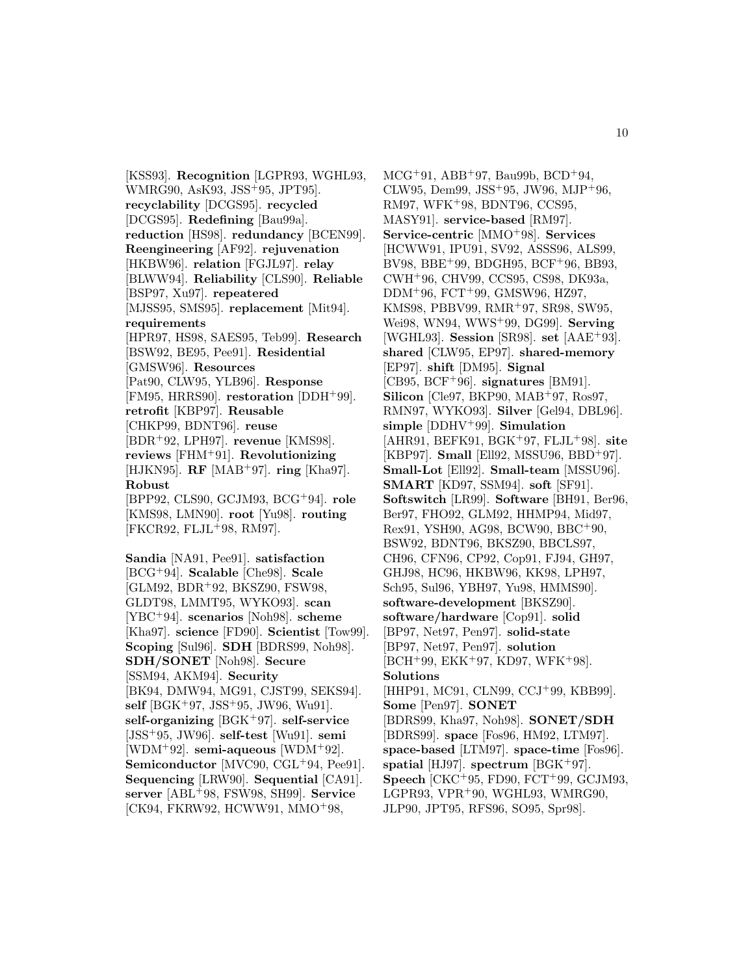[KSS93]. **Recognition** [LGPR93, WGHL93, WMRG90, AsK93, JSS<sup>+</sup>95, JPT95]. **recyclability** [DCGS95]. **recycled** [DCGS95]. **Redefining** [Bau99a]. **reduction** [HS98]. **redundancy** [BCEN99]. **Reengineering** [AF92]. **rejuvenation** [HKBW96]. **relation** [FGJL97]. **relay** [BLWW94]. **Reliability** [CLS90]. **Reliable** [BSP97, Xu97]. **repeatered** [MJSS95, SMS95]. **replacement** [Mit94]. **requirements** [HPR97, HS98, SAES95, Teb99]. **Research** [BSW92, BE95, Pee91]. **Residential** [GMSW96]. **Resources** [Pat90, CLW95, YLB96]. **Response** [FM95, HRRS90]. **restoration** [DDH<sup>+</sup>99]. **retrofit** [KBP97]. **Reusable** [CHKP99, BDNT96]. **reuse** [BDR<sup>+</sup>92, LPH97]. **revenue** [KMS98]. **reviews** [FHM<sup>+</sup>91]. **Revolutionizing** [HJKN95]. **RF** [MAB<sup>+</sup>97]. **ring** [Kha97]. **Robust** [BPP92, CLS90, GCJM93, BCG<sup>+</sup>94]. **role** [KMS98, LMN90]. **root** [Yu98]. **routing** [FKCR92, FLJL<sup>+</sup>98, RM97]. **Sandia** [NA91, Pee91]. **satisfaction**

[BCG<sup>+</sup>94]. **Scalable** [Che98]. **Scale** [GLM92, BDR<sup>+</sup>92, BKSZ90, FSW98, GLDT98, LMMT95, WYKO93]. **scan** [YBC<sup>+</sup>94]. **scenarios** [Noh98]. **scheme** [Kha97]. **science** [FD90]. **Scientist** [Tow99]. **Scoping** [Sul96]. **SDH** [BDRS99, Noh98]. **SDH/SONET** [Noh98]. **Secure** [SSM94, AKM94]. **Security** [BK94, DMW94, MG91, CJST99, SEKS94]. **self** [BGK<sup>+</sup>97, JSS<sup>+</sup>95, JW96, Wu91]. **self-organizing** [BGK<sup>+</sup>97]. **self-service** [JSS<sup>+</sup>95, JW96]. **self-test** [Wu91]. **semi** [WDM<sup>+</sup>92]. **semi-aqueous** [WDM<sup>+</sup>92]. **Semiconductor** [MVC90, CGL<sup>+</sup>94, Pee91]. **Sequencing** [LRW90]. **Sequential** [CA91]. **server** [ABL<sup>+</sup>98, FSW98, SH99]. **Service** [CK94, FKRW92, HCWW91, MMO<sup>+</sup>98,

 $MCG+91, ABB+97, Bau99b, BCD+94,$ CLW95, Dem99, JSS<sup>+</sup>95, JW96, MJP<sup>+</sup>96, RM97, WFK<sup>+</sup>98, BDNT96, CCS95, MASY91]. **service-based** [RM97]. **Service-centric** [MMO<sup>+</sup>98]. **Services** [HCWW91, IPU91, SV92, ASSS96, ALS99, BV98, BBE<sup>+</sup>99, BDGH95, BCF<sup>+</sup>96, BB93, CWH<sup>+</sup>96, CHV99, CCS95, CS98, DK93a, DDM<sup>+</sup>96, FCT<sup>+</sup>99, GMSW96, HZ97, KMS98, PBBV99, RMR<sup>+</sup>97, SR98, SW95, Wei98, WN94, WWS<sup>+</sup>99, DG99]. **Serving** [WGHL93]. **Session** [SR98]. **set** [AAE<sup>+</sup>93]. **shared** [CLW95, EP97]. **shared-memory** [EP97]. **shift** [DM95]. **Signal** [CB95, BCF<sup>+</sup>96]. **signatures** [BM91]. **Silicon** [Cle97, BKP90, MAB<sup>+</sup>97, Ros97, RMN97, WYKO93]. **Silver** [Gel94, DBL96]. **simple** [DDHV<sup>+</sup>99]. **Simulation** [AHR91, BEFK91, BGK<sup>+</sup>97, FLJL<sup>+</sup>98]. **site** [KBP97]. **Small** [Ell92, MSSU96, BBD<sup>+</sup>97]. **Small-Lot** [Ell92]. **Small-team** [MSSU96]. **SMART** [KD97, SSM94]. **soft** [SF91]. **Softswitch** [LR99]. **Software** [BH91, Ber96, Ber97, FHO92, GLM92, HHMP94, Mid97, Rex91, YSH90, AG98, BCW90, BBC<sup>+</sup>90, BSW92, BDNT96, BKSZ90, BBCLS97, CH96, CFN96, CP92, Cop91, FJ94, GH97, GHJ98, HC96, HKBW96, KK98, LPH97, Sch95, Sul96, YBH97, Yu98, HMMS90]. **software-development** [BKSZ90]. **software/hardware** [Cop91]. **solid** [BP97, Net97, Pen97]. **solid-state** [BP97, Net97, Pen97]. **solution** [BCH<sup>+</sup>99, EKK<sup>+</sup>97, KD97, WFK<sup>+</sup>98]. **Solutions** [HHP91, MC91, CLN99, CCJ<sup>+</sup>99, KBB99]. **Some** [Pen97]. **SONET** [BDRS99, Kha97, Noh98]. **SONET/SDH** [BDRS99]. **space** [Fos96, HM92, LTM97]. **space-based** [LTM97]. **space-time** [Fos96]. **spatial** [HJ97]. **spectrum** [BGK<sup>+</sup>97]. **Speech** [CKC<sup>+</sup>95, FD90, FCT<sup>+</sup>99, GCJM93, LGPR93,  $VPR+90$ , WGHL93, WMRG90, JLP90, JPT95, RFS96, SO95, Spr98].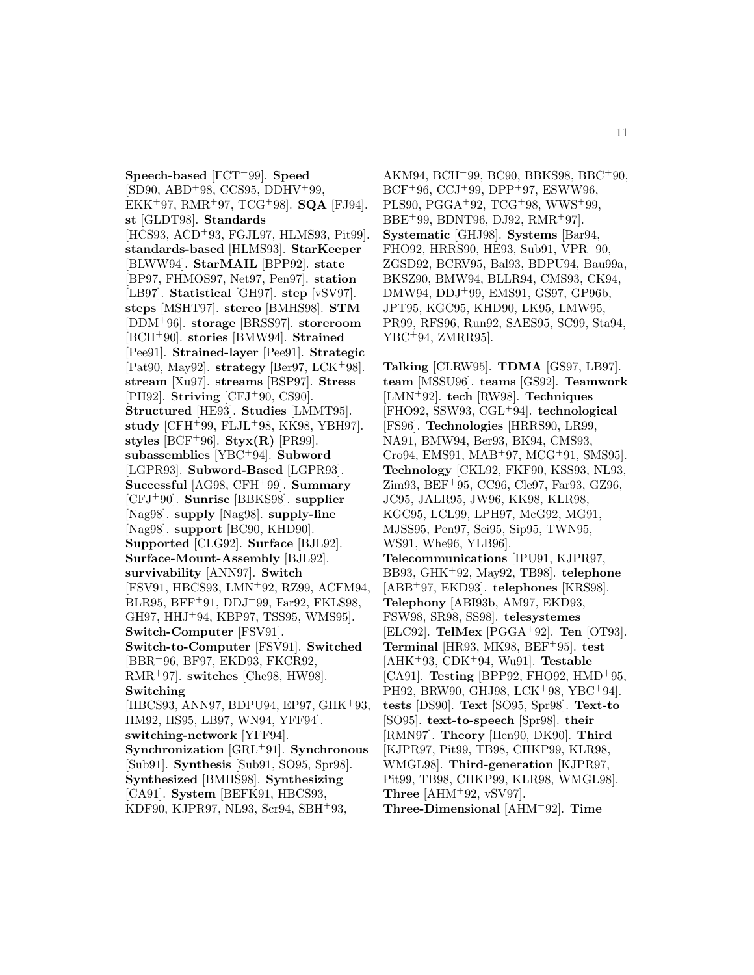**Speech-based** [FCT<sup>+</sup>99]. **Speed**  $[SD90, ABD+98, CCS95, DDHV+99,$ EKK<sup>+</sup>97, RMR<sup>+</sup>97, TCG<sup>+</sup>98]. **SQA** [FJ94]. **st** [GLDT98]. **Standards** [HCS93, ACD<sup>+</sup>93, FGJL97, HLMS93, Pit99]. **standards-based** [HLMS93]. **StarKeeper** [BLWW94]. **StarMAIL** [BPP92]. **state** [BP97, FHMOS97, Net97, Pen97]. **station** [LB97]. **Statistical** [GH97]. **step** [vSV97]. **steps** [MSHT97]. **stereo** [BMHS98]. **STM** [DDM<sup>+</sup>96]. **storage** [BRSS97]. **storeroom** [BCH<sup>+</sup>90]. **stories** [BMW94]. **Strained** [Pee91]. **Strained-layer** [Pee91]. **Strategic** [Pat90, May92]. **strategy** [Ber97, LCK<sup>+</sup>98]. **stream** [Xu97]. **streams** [BSP97]. **Stress** [PH92]. **Striving** [CFJ<sup>+</sup>90, CS90]. **Structured** [HE93]. **Studies** [LMMT95]. **study** [CFH<sup>+</sup>99, FLJL<sup>+</sup>98, KK98, YBH97]. styles [BCF<sup>+96]</sup>. **Styx(R)** [PR99]. **subassemblies** [YBC<sup>+</sup>94]. **Subword** [LGPR93]. **Subword-Based** [LGPR93]. **Successful** [AG98, CFH<sup>+</sup>99]. **Summary** [CFJ<sup>+</sup>90]. **Sunrise** [BBKS98]. **supplier** [Nag98]. **supply** [Nag98]. **supply-line** [Nag98]. **support** [BC90, KHD90]. **Supported** [CLG92]. **Surface** [BJL92]. **Surface-Mount-Assembly** [BJL92]. **survivability** [ANN97]. **Switch** [FSV91, HBCS93, LMN<sup>+</sup>92, RZ99, ACFM94, BLR95, BFF<sup>+</sup>91, DDJ<sup>+</sup>99, Far92, FKLS98, GH97, HHJ<sup>+</sup>94, KBP97, TSS95, WMS95]. **Switch-Computer** [FSV91]. **Switch-to-Computer** [FSV91]. **Switched** [BBR<sup>+</sup>96, BF97, EKD93, FKCR92, RMR<sup>+</sup>97]. **switches** [Che98, HW98]. **Switching** [HBCS93, ANN97, BDPU94, EP97, GHK<sup>+</sup>93, HM92, HS95, LB97, WN94, YFF94]. **switching-network** [YFF94]. **Synchronization** [GRL<sup>+</sup>91]. **Synchronous** [Sub91]. **Synthesis** [Sub91, SO95, Spr98]. **Synthesized** [BMHS98]. **Synthesizing** [CA91]. **System** [BEFK91, HBCS93, KDF90, KJPR97, NL93, Scr94, SBH<sup>+</sup>93,

AKM94, BCH<sup>+</sup>99, BC90, BBKS98, BBC<sup>+</sup>90,  $BCF+96, CCJ+99, DPP+97, ESWW96,$ PLS90, PGGA<sup>+</sup>92, TCG<sup>+</sup>98, WWS<sup>+</sup>99, BBE<sup>+</sup>99, BDNT96, DJ92, RMR<sup>+</sup>97]. **Systematic** [GHJ98]. **Systems** [Bar94, FHO92, HRRS90, HE93, Sub91, VPR<sup>+</sup>90, ZGSD92, BCRV95, Bal93, BDPU94, Bau99a, BKSZ90, BMW94, BLLR94, CMS93, CK94, DMW94, DDJ<sup>+</sup>99, EMS91, GS97, GP96b, JPT95, KGC95, KHD90, LK95, LMW95, PR99, RFS96, Run92, SAES95, SC99, Sta94, YBC<sup>+</sup>94, ZMRR95].

**Talking** [CLRW95]. **TDMA** [GS97, LB97]. **team** [MSSU96]. **teams** [GS92]. **Teamwork** [LMN<sup>+</sup>92]. **tech** [RW98]. **Techniques** [FHO92, SSW93, CGL<sup>+</sup>94]. **technological** [FS96]. **Technologies** [HRRS90, LR99, NA91, BMW94, Ber93, BK94, CMS93, Cro94, EMS91, MAB<sup>+</sup>97, MCG<sup>+</sup>91, SMS95]. **Technology** [CKL92, FKF90, KSS93, NL93, Zim93, BEF<sup>+</sup>95, CC96, Cle97, Far93, GZ96, JC95, JALR95, JW96, KK98, KLR98, KGC95, LCL99, LPH97, McG92, MG91, MJSS95, Pen97, Sei95, Sip95, TWN95, WS91, Whe96, YLB96]. **Telecommunications** [IPU91, KJPR97, BB93, GHK<sup>+</sup>92, May92, TB98]. **telephone** [ABB<sup>+</sup>97, EKD93]. **telephones** [KRS98]. **Telephony** [ABI93b, AM97, EKD93, FSW98, SR98, SS98]. **telesystemes** [ELC92]. **TelMex** [PGGA<sup>+</sup>92]. **Ten** [OT93]. **Terminal** [HR93, MK98, BEF<sup>+</sup>95]. **test** [AHK<sup>+</sup>93, CDK<sup>+</sup>94, Wu91]. **Testable** [CA91]. **Testing** [BPP92, FHO92, HMD<sup>+</sup>95, PH92, BRW90, GHJ98, LCK<sup>+</sup>98, YBC<sup>+</sup>94]. **tests** [DS90]. **Text** [SO95, Spr98]. **Text-to** [SO95]. **text-to-speech** [Spr98]. **their** [RMN97]. **Theory** [Hen90, DK90]. **Third** [KJPR97, Pit99, TB98, CHKP99, KLR98, WMGL98]. **Third-generation** [KJPR97, Pit99, TB98, CHKP99, KLR98, WMGL98]. **Three** [AHM<sup>+</sup>92, vSV97]. **Three-Dimensional** [AHM<sup>+</sup>92]. **Time**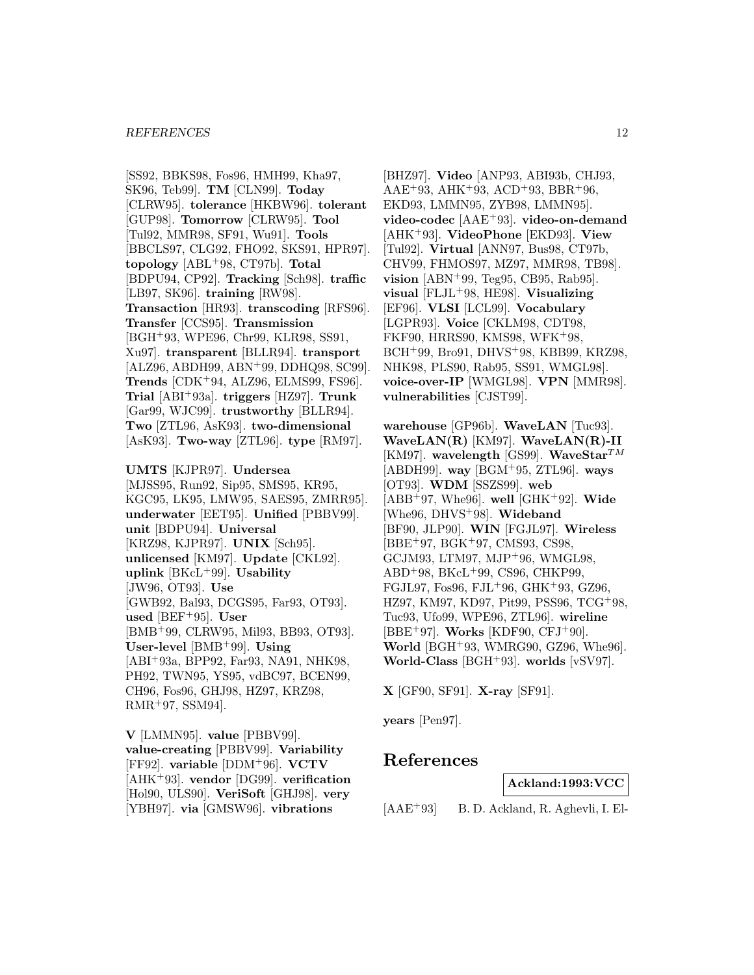[SS92, BBKS98, Fos96, HMH99, Kha97, SK96, Teb99]. **TM** [CLN99]. **Today** [CLRW95]. **tolerance** [HKBW96]. **tolerant** [GUP98]. **Tomorrow** [CLRW95]. **Tool** [Tul92, MMR98, SF91, Wu91]. **Tools** [BBCLS97, CLG92, FHO92, SKS91, HPR97]. **topology** [ABL<sup>+</sup>98, CT97b]. **Total** [BDPU94, CP92]. **Tracking** [Sch98]. **traffic** [LB97, SK96]. **training** [RW98]. **Transaction** [HR93]. **transcoding** [RFS96]. **Transfer** [CCS95]. **Transmission** [BGH<sup>+</sup>93, WPE96, Chr99, KLR98, SS91, Xu97]. **transparent** [BLLR94]. **transport** [ALZ96, ABDH99, ABN<sup>+</sup>99, DDHQ98, SC99]. **Trends** [CDK<sup>+</sup>94, ALZ96, ELMS99, FS96]. **Trial** [ABI<sup>+</sup>93a]. **triggers** [HZ97]. **Trunk** [Gar99, WJC99]. **trustworthy** [BLLR94]. **Two** [ZTL96, AsK93]. **two-dimensional** [AsK93]. **Two-way** [ZTL96]. **type** [RM97].

**UMTS** [KJPR97]. **Undersea** [MJSS95, Run92, Sip95, SMS95, KR95, KGC95, LK95, LMW95, SAES95, ZMRR95]. **underwater** [EET95]. **Unified** [PBBV99]. **unit** [BDPU94]. **Universal** [KRZ98, KJPR97]. **UNIX** [Sch95]. **unlicensed** [KM97]. **Update** [CKL92]. **uplink** [BKcL<sup>+</sup>99]. **Usability** [JW96, OT93]. **Use** [GWB92, Bal93, DCGS95, Far93, OT93]. **used** [BEF<sup>+</sup>95]. **User** [BMB<sup>+</sup>99, CLRW95, Mil93, BB93, OT93]. **User-level** [BMB<sup>+</sup>99]. **Using** [ABI<sup>+</sup>93a, BPP92, Far93, NA91, NHK98, PH92, TWN95, YS95, vdBC97, BCEN99, CH96, Fos96, GHJ98, HZ97, KRZ98, RMR<sup>+</sup>97, SSM94].

**V** [LMMN95]. **value** [PBBV99]. **value-creating** [PBBV99]. **Variability** [FF92]. **variable** [DDM<sup>+</sup>96]. **VCTV** [AHK<sup>+</sup>93]. **vendor** [DG99]. **verification** [Hol90, ULS90]. **VeriSoft** [GHJ98]. **very** [YBH97]. **via** [GMSW96]. **vibrations**

[BHZ97]. **Video** [ANP93, ABI93b, CHJ93, AAE<sup>+</sup>93, AHK<sup>+</sup>93, ACD<sup>+</sup>93, BBR<sup>+</sup>96, EKD93, LMMN95, ZYB98, LMMN95]. **video-codec** [AAE<sup>+</sup>93]. **video-on-demand** [AHK<sup>+</sup>93]. **VideoPhone** [EKD93]. **View** [Tul92]. **Virtual** [ANN97, Bus98, CT97b, CHV99, FHMOS97, MZ97, MMR98, TB98]. **vision** [ABN<sup>+</sup>99, Teg95, CB95, Rab95]. **visual** [FLJL<sup>+</sup>98, HE98]. **Visualizing** [EF96]. **VLSI** [LCL99]. **Vocabulary** [LGPR93]. **Voice** [CKLM98, CDT98, FKF90, HRRS90, KMS98, WFK<sup>+</sup>98, BCH<sup>+</sup>99, Bro91, DHVS<sup>+</sup>98, KBB99, KRZ98, NHK98, PLS90, Rab95, SS91, WMGL98]. **voice-over-IP** [WMGL98]. **VPN** [MMR98]. **vulnerabilities** [CJST99].

**warehouse** [GP96b]. **WaveLAN** [Tuc93]. **WaveLAN(R)** [KM97]. **WaveLAN(R)-II** [KM97]. **wavelength** [GS99]. **WaveStar**TM [ABDH99]. **way** [BGM<sup>+</sup>95, ZTL96]. **ways** [OT93]. **WDM** [SSZS99]. **web** [ABB<sup>+</sup>97, Whe96]. **well** [GHK<sup>+</sup>92]. **Wide** [Whe96, DHVS<sup>+</sup>98]. **Wideband** [BF90, JLP90]. **WIN** [FGJL97]. **Wireless** [BBE<sup>+</sup>97, BGK<sup>+</sup>97, CMS93, CS98, GCJM93, LTM97, MJP<sup>+</sup>96, WMGL98, ABD<sup>+</sup>98, BKcL<sup>+</sup>99, CS96, CHKP99, FGJL97, Fos96, FJL<sup>+</sup>96, GHK<sup>+</sup>93, GZ96, HZ97, KM97, KD97, Pit99, PSS96, TCG<sup>+</sup>98, Tuc93, Ufo99, WPE96, ZTL96]. **wireline** [BBE<sup>+</sup>97]. **Works** [KDF90, CFJ<sup>+</sup>90]. **World** [BGH<sup>+</sup>93, WMRG90, GZ96, Whe96]. **World-Class** [BGH<sup>+</sup>93]. **worlds** [vSV97].

**X** [GF90, SF91]. **X-ray** [SF91].

**years** [Pen97].

# **References**

**Ackland:1993:VCC**

[AAE<sup>+</sup>93] B. D. Ackland, R. Aghevli, I. El-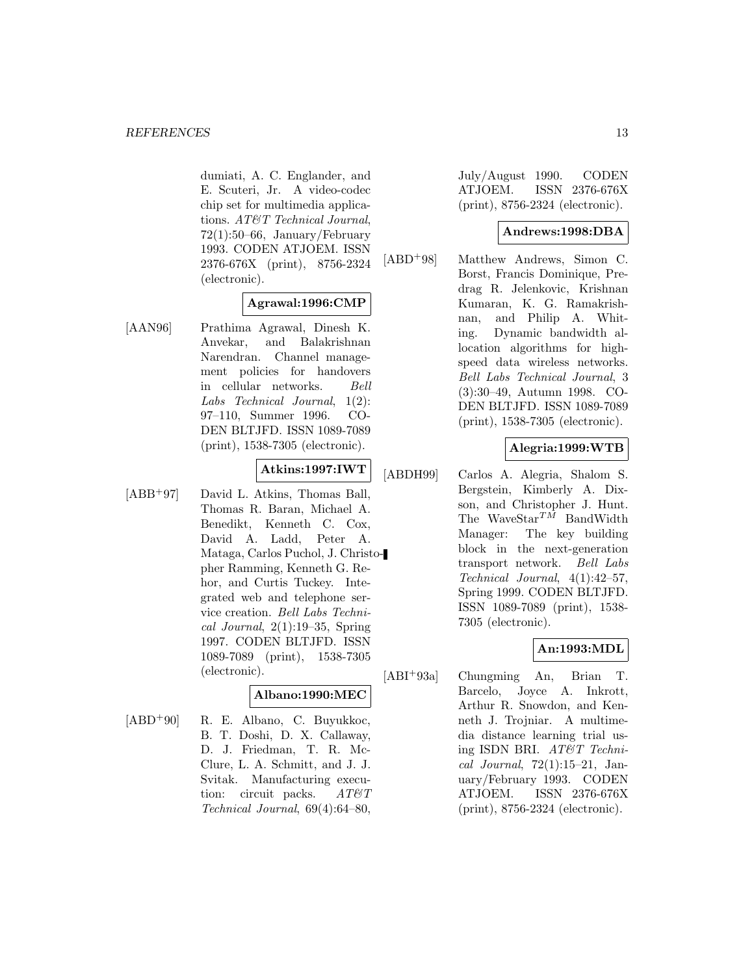dumiati, A. C. Englander, and E. Scuteri, Jr. A video-codec chip set for multimedia applications. AT&T Technical Journal, 72(1):50–66, January/February 1993. CODEN ATJOEM. ISSN 2376-676X (print), 8756-2324 (electronic).

#### **Agrawal:1996:CMP**

[AAN96] Prathima Agrawal, Dinesh K. Anvekar, and Balakrishnan Narendran. Channel management policies for handovers in cellular networks. Bell Labs Technical Journal, 1(2): 97–110, Summer 1996. CO-DEN BLTJFD. ISSN 1089-7089 (print), 1538-7305 (electronic).

# **Atkins:1997:IWT**

[ABB<sup>+</sup>97] David L. Atkins, Thomas Ball, Thomas R. Baran, Michael A. Benedikt, Kenneth C. Cox, David A. Ladd, Peter A. Mataga, Carlos Puchol, J. Christopher Ramming, Kenneth G. Rehor, and Curtis Tuckey. Integrated web and telephone service creation. Bell Labs Technical Journal,  $2(1):19-35$ , Spring 1997. CODEN BLTJFD. ISSN 1089-7089 (print), 1538-7305 (electronic).

#### **Albano:1990:MEC**

[ABD<sup>+</sup>90] R. E. Albano, C. Buyukkoc, B. T. Doshi, D. X. Callaway, D. J. Friedman, T. R. Mc-Clure, L. A. Schmitt, and J. J. Svitak. Manufacturing execution: circuit packs.  $AT \& T$ Technical Journal, 69(4):64–80,

July/August 1990. CODEN ATJOEM. ISSN 2376-676X (print), 8756-2324 (electronic).

#### **Andrews:1998:DBA**

[ABD<sup>+</sup>98] Matthew Andrews, Simon C. Borst, Francis Dominique, Predrag R. Jelenkovic, Krishnan Kumaran, K. G. Ramakrishnan, and Philip A. Whiting. Dynamic bandwidth allocation algorithms for highspeed data wireless networks. Bell Labs Technical Journal, 3 (3):30–49, Autumn 1998. CO-DEN BLTJFD. ISSN 1089-7089 (print), 1538-7305 (electronic).

## **Alegria:1999:WTB**

[ABDH99] Carlos A. Alegria, Shalom S. Bergstein, Kimberly A. Dixson, and Christopher J. Hunt. The WaveStar<sup>TM</sup> BandWidth Manager: The key building block in the next-generation transport network. Bell Labs Technical Journal, 4(1):42–57, Spring 1999. CODEN BLTJFD. ISSN 1089-7089 (print), 1538- 7305 (electronic).

#### **An:1993:MDL**

[ABI<sup>+</sup>93a] Chungming An, Brian T. Barcelo, Joyce A. Inkrott, Arthur R. Snowdon, and Kenneth J. Trojniar. A multimedia distance learning trial using ISDN BRI. AT&T Technical Journal, 72(1):15–21, January/February 1993. CODEN ATJOEM. ISSN 2376-676X (print), 8756-2324 (electronic).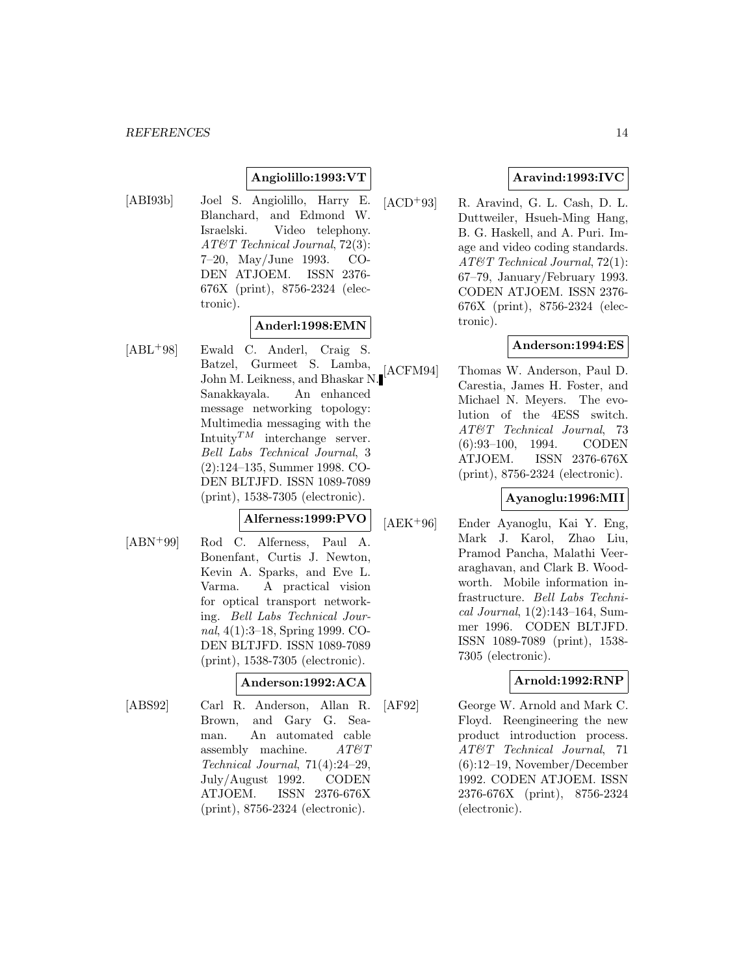## **Angiolillo:1993:VT**

[ABI93b] Joel S. Angiolillo, Harry E. Blanchard, and Edmond W. Israelski. Video telephony. AT&T Technical Journal, 72(3): 7–20, May/June 1993. CO-DEN ATJOEM. ISSN 2376- 676X (print), 8756-2324 (electronic).

### **Anderl:1998:EMN**

[ABL<sup>+</sup>98] Ewald C. Anderl, Craig S. Batzel, Gurmeet S. Lamba, John M. Leikness, and Bhaskar N. Sanakkayala. An enhanced message networking topology: Multimedia messaging with the Intuity $^{TM}$  interchange server. Bell Labs Technical Journal, 3 (2):124–135, Summer 1998. CO-DEN BLTJFD. ISSN 1089-7089 (print), 1538-7305 (electronic).

# **Alferness:1999:PVO**

[ABN<sup>+</sup>99] Rod C. Alferness, Paul A. Bonenfant, Curtis J. Newton, Kevin A. Sparks, and Eve L. Varma. A practical vision for optical transport networking. Bell Labs Technical Journal, 4(1):3–18, Spring 1999. CO-DEN BLTJFD. ISSN 1089-7089 (print), 1538-7305 (electronic).

### **Anderson:1992:ACA**

[ABS92] Carl R. Anderson, Allan R. Brown, and Gary G. Seaman. An automated cable assembly machine.  $AT\mathcal{O}T$ Technical Journal, 71(4):24–29, July/August 1992. CODEN ATJOEM. ISSN 2376-676X (print), 8756-2324 (electronic).

## **Aravind:1993:IVC**

[ACD<sup>+</sup>93] R. Aravind, G. L. Cash, D. L. Duttweiler, Hsueh-Ming Hang, B. G. Haskell, and A. Puri. Image and video coding standards. AT&T Technical Journal, 72(1): 67–79, January/February 1993. CODEN ATJOEM. ISSN 2376- 676X (print), 8756-2324 (electronic).

## **Anderson:1994:ES**

[ACFM94] Thomas W. Anderson, Paul D. Carestia, James H. Foster, and Michael N. Meyers. The evolution of the 4ESS switch. AT&T Technical Journal, 73 (6):93–100, 1994. CODEN ATJOEM. ISSN 2376-676X (print), 8756-2324 (electronic).

### **Ayanoglu:1996:MII**

[AEK<sup>+</sup>96] Ender Ayanoglu, Kai Y. Eng, Mark J. Karol, Zhao Liu, Pramod Pancha, Malathi Veeraraghavan, and Clark B. Woodworth. Mobile information infrastructure. Bell Labs Technical Journal, 1(2):143–164, Summer 1996. CODEN BLTJFD. ISSN 1089-7089 (print), 1538- 7305 (electronic).

## **Arnold:1992:RNP**

[AF92] George W. Arnold and Mark C. Floyd. Reengineering the new product introduction process. AT&T Technical Journal, 71 (6):12–19, November/December 1992. CODEN ATJOEM. ISSN 2376-676X (print), 8756-2324 (electronic).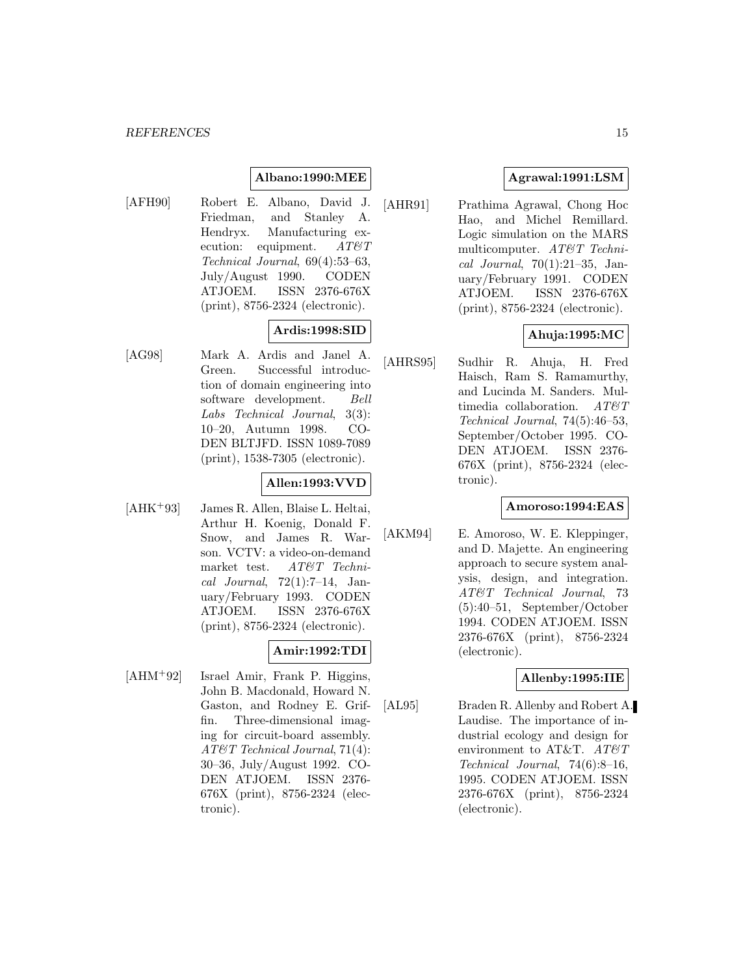#### **Albano:1990:MEE**

[AFH90] Robert E. Albano, David J. Friedman, and Stanley A. Hendryx. Manufacturing execution: equipment.  $AT\&T$ Technical Journal, 69(4):53–63, July/August 1990. CODEN ATJOEM. ISSN 2376-676X (print), 8756-2324 (electronic).

# **Ardis:1998:SID**

[AG98] Mark A. Ardis and Janel A. Green. Successful introduction of domain engineering into software development. Bell Labs Technical Journal, 3(3): 10–20, Autumn 1998. CO-DEN BLTJFD. ISSN 1089-7089 (print), 1538-7305 (electronic).

## **Allen:1993:VVD**

[AHK<sup>+</sup>93] James R. Allen, Blaise L. Heltai, Arthur H. Koenig, Donald F. Snow, and James R. Warson. VCTV: a video-on-demand market test. AT&T Technical Journal,  $72(1):7-14$ , January/February 1993. CODEN ATJOEM. ISSN 2376-676X (print), 8756-2324 (electronic).

### **Amir:1992:TDI**

[AHM<sup>+</sup>92] Israel Amir, Frank P. Higgins, John B. Macdonald, Howard N. Gaston, and Rodney E. Griffin. Three-dimensional imaging for circuit-board assembly. AT&T Technical Journal, 71(4): 30–36, July/August 1992. CO-DEN ATJOEM. ISSN 2376- 676X (print), 8756-2324 (electronic).

## **Agrawal:1991:LSM**

[AHR91] Prathima Agrawal, Chong Hoc Hao, and Michel Remillard. Logic simulation on the MARS multicomputer. AT&T Technical Journal,  $70(1):21-35$ , January/February 1991. CODEN ATJOEM. ISSN 2376-676X (print), 8756-2324 (electronic).

### **Ahuja:1995:MC**

[AHRS95] Sudhir R. Ahuja, H. Fred Haisch, Ram S. Ramamurthy, and Lucinda M. Sanders. Multimedia collaboration.  $AT \& T$ Technical Journal, 74(5):46–53, September/October 1995. CO-DEN ATJOEM. ISSN 2376- 676X (print), 8756-2324 (electronic).

#### **Amoroso:1994:EAS**

[AKM94] E. Amoroso, W. E. Kleppinger, and D. Majette. An engineering approach to secure system analysis, design, and integration. AT&T Technical Journal, 73 (5):40–51, September/October 1994. CODEN ATJOEM. ISSN 2376-676X (print), 8756-2324 (electronic).

### **Allenby:1995:IIE**

[AL95] Braden R. Allenby and Robert A. Laudise. The importance of industrial ecology and design for environment to AT&T.  $AT \& T$ Technical Journal, 74(6):8–16, 1995. CODEN ATJOEM. ISSN 2376-676X (print), 8756-2324 (electronic).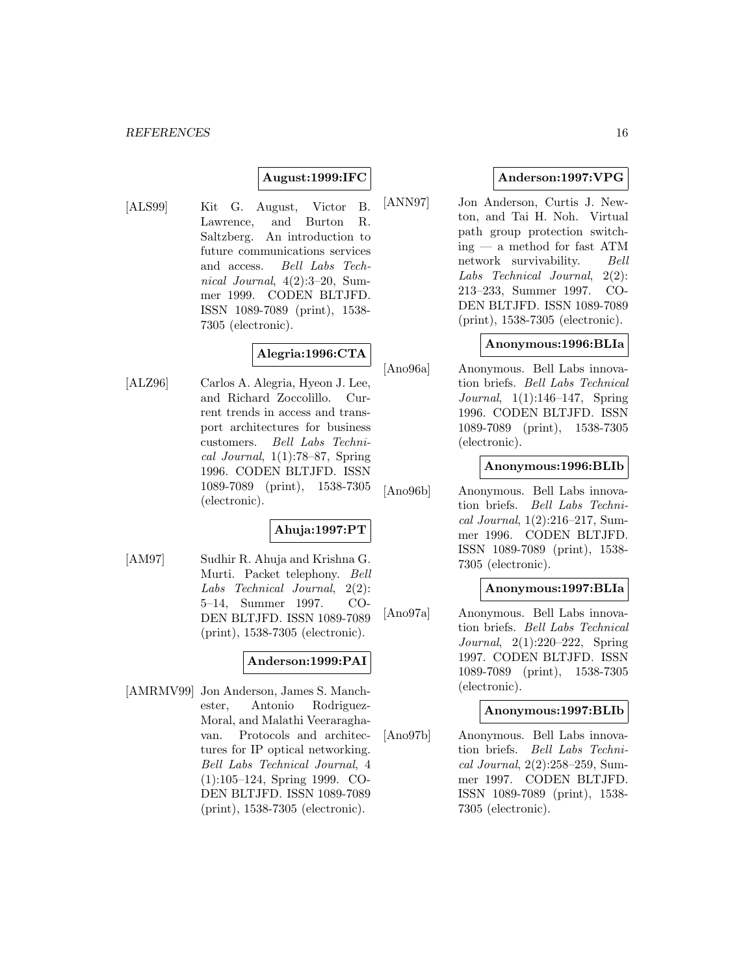### **August:1999:IFC**

[ALS99] Kit G. August, Victor B. Lawrence, and Burton R. Saltzberg. An introduction to future communications services and access. Bell Labs Technical Journal, 4(2):3–20, Summer 1999. CODEN BLTJFD. ISSN 1089-7089 (print), 1538- 7305 (electronic).

# **Alegria:1996:CTA**

[ALZ96] Carlos A. Alegria, Hyeon J. Lee, and Richard Zoccolillo. Current trends in access and transport architectures for business customers. Bell Labs Technical Journal,  $1(1)$ :78–87, Spring 1996. CODEN BLTJFD. ISSN 1089-7089 (print), 1538-7305 (electronic).

#### **Ahuja:1997:PT**

[AM97] Sudhir R. Ahuja and Krishna G. Murti. Packet telephony. Bell Labs Technical Journal, 2(2): 5–14, Summer 1997. CO-DEN BLTJFD. ISSN 1089-7089 (print), 1538-7305 (electronic).

### **Anderson:1999:PAI**

[AMRMV99] Jon Anderson, James S. Manchester, Antonio Rodriguez-Moral, and Malathi Veeraraghavan. Protocols and architectures for IP optical networking. Bell Labs Technical Journal, 4 (1):105–124, Spring 1999. CO-DEN BLTJFD. ISSN 1089-7089 (print), 1538-7305 (electronic).

### **Anderson:1997:VPG**

[ANN97] Jon Anderson, Curtis J. Newton, and Tai H. Noh. Virtual path group protection switching — a method for fast ATM network survivability. Bell Labs Technical Journal, 2(2): 213–233, Summer 1997. CO-DEN BLTJFD. ISSN 1089-7089 (print), 1538-7305 (electronic).

#### **Anonymous:1996:BLIa**

[Ano96a] Anonymous. Bell Labs innovation briefs. Bell Labs Technical Journal, 1(1):146–147, Spring 1996. CODEN BLTJFD. ISSN 1089-7089 (print), 1538-7305 (electronic).

#### **Anonymous:1996:BLIb**

[Ano96b] Anonymous. Bell Labs innovation briefs. Bell Labs Technical Journal, 1(2):216–217, Summer 1996. CODEN BLTJFD. ISSN 1089-7089 (print), 1538- 7305 (electronic).

#### **Anonymous:1997:BLIa**

[Ano97a] Anonymous. Bell Labs innovation briefs. Bell Labs Technical Journal, 2(1):220–222, Spring 1997. CODEN BLTJFD. ISSN 1089-7089 (print), 1538-7305 (electronic).

#### **Anonymous:1997:BLIb**

[Ano97b] Anonymous. Bell Labs innovation briefs. Bell Labs Technical Journal, 2(2):258–259, Summer 1997. CODEN BLTJFD. ISSN 1089-7089 (print), 1538- 7305 (electronic).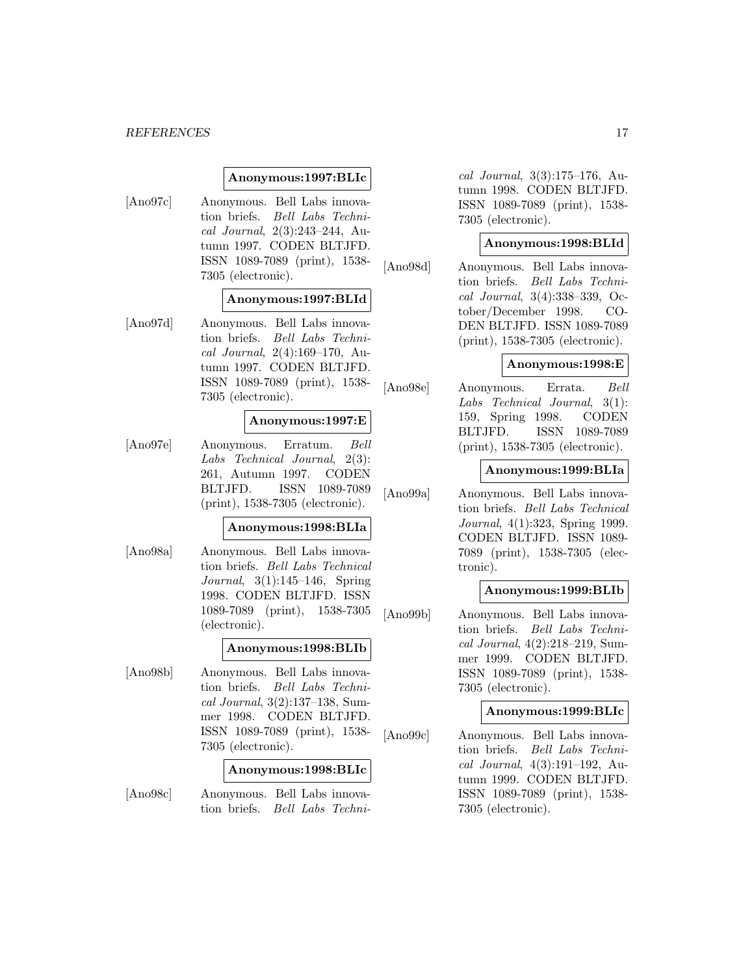#### *REFERENCES* 17

#### **Anonymous:1997:BLIc**

[Ano97c] Anonymous. Bell Labs innovation briefs. Bell Labs Technical Journal, 2(3):243–244, Autumn 1997. CODEN BLTJFD. ISSN 1089-7089 (print), 1538- 7305 (electronic).

#### **Anonymous:1997:BLId**

[Ano97d] Anonymous. Bell Labs innovation briefs. Bell Labs Technical Journal, 2(4):169–170, Autumn 1997. CODEN BLTJFD. ISSN 1089-7089 (print), 1538- 7305 (electronic).

#### **Anonymous:1997:E**

[Ano97e] Anonymous. Erratum. Bell Labs Technical Journal, 2(3): 261, Autumn 1997. CODEN BLTJFD. ISSN 1089-7089 (print), 1538-7305 (electronic).

### **Anonymous:1998:BLIa**

[Ano98a] Anonymous. Bell Labs innovation briefs. Bell Labs Technical Journal, 3(1):145–146, Spring 1998. CODEN BLTJFD. ISSN 1089-7089 (print), 1538-7305 (electronic).

#### **Anonymous:1998:BLIb**

[Ano98b] Anonymous. Bell Labs innovation briefs. Bell Labs Technical Journal, 3(2):137–138, Summer 1998. CODEN BLTJFD. ISSN 1089-7089 (print), 1538- 7305 (electronic).

#### **Anonymous:1998:BLIc**

[Ano98c] Anonymous. Bell Labs innovation briefs. Bell Labs Techni-

cal Journal, 3(3):175–176, Autumn 1998. CODEN BLTJFD. ISSN 1089-7089 (print), 1538- 7305 (electronic).

### **Anonymous:1998:BLId**

[Ano98d] Anonymous. Bell Labs innovation briefs. Bell Labs Technical Journal, 3(4):338–339, October/December 1998. CO-DEN BLTJFD. ISSN 1089-7089 (print), 1538-7305 (electronic).

#### **Anonymous:1998:E**

[Ano98e] Anonymous. Errata. Bell Labs Technical Journal, 3(1): 159, Spring 1998. CODEN BLTJFD. ISSN 1089-7089 (print), 1538-7305 (electronic).

#### **Anonymous:1999:BLIa**

[Ano99a] Anonymous. Bell Labs innovation briefs. Bell Labs Technical Journal, 4(1):323, Spring 1999. CODEN BLTJFD. ISSN 1089- 7089 (print), 1538-7305 (electronic).

#### **Anonymous:1999:BLIb**

[Ano99b] Anonymous. Bell Labs innovation briefs. Bell Labs Technical Journal, 4(2):218–219, Summer 1999. CODEN BLTJFD. ISSN 1089-7089 (print), 1538- 7305 (electronic).

### **Anonymous:1999:BLIc**

[Ano99c] Anonymous. Bell Labs innovation briefs. Bell Labs Technical Journal, 4(3):191–192, Autumn 1999. CODEN BLTJFD. ISSN 1089-7089 (print), 1538- 7305 (electronic).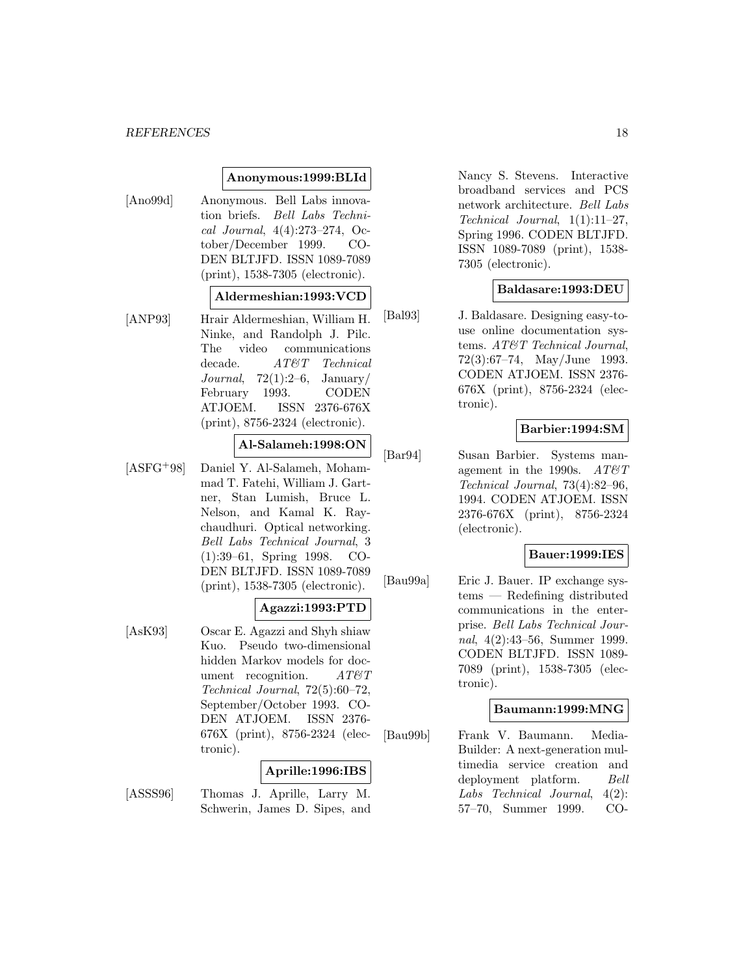#### *REFERENCES* 18

### **Anonymous:1999:BLId**

[Ano99d] Anonymous. Bell Labs innovation briefs. Bell Labs Technical Journal, 4(4):273–274, October/December 1999. CO-DEN BLTJFD. ISSN 1089-7089 (print), 1538-7305 (electronic).

#### **Aldermeshian:1993:VCD**

[ANP93] Hrair Aldermeshian, William H. Ninke, and Randolph J. Pilc. The video communications decade. AT&T Technical Journal,  $72(1):2-6$ , January/ February 1993. CODEN ATJOEM. ISSN 2376-676X (print), 8756-2324 (electronic).

#### **Al-Salameh:1998:ON**

[ASFG<sup>+</sup>98] Daniel Y. Al-Salameh, Mohammad T. Fatehi, William J. Gartner, Stan Lumish, Bruce L. Nelson, and Kamal K. Raychaudhuri. Optical networking. Bell Labs Technical Journal, 3 (1):39–61, Spring 1998. CO-DEN BLTJFD. ISSN 1089-7089 (print), 1538-7305 (electronic).

#### **Agazzi:1993:PTD**

[AsK93] Oscar E. Agazzi and Shyh shiaw Kuo. Pseudo two-dimensional hidden Markov models for document recognition.  $AT\&T$ Technical Journal, 72(5):60–72, September/October 1993. CO-DEN ATJOEM. ISSN 2376- 676X (print), 8756-2324 (electronic).

#### **Aprille:1996:IBS**

[ASSS96] Thomas J. Aprille, Larry M. Schwerin, James D. Sipes, and Nancy S. Stevens. Interactive broadband services and PCS network architecture. Bell Labs Technical Journal, 1(1):11–27, Spring 1996. CODEN BLTJFD. ISSN 1089-7089 (print), 1538- 7305 (electronic).

#### **Baldasare:1993:DEU**

[Bal93] J. Baldasare. Designing easy-touse online documentation systems. AT&T Technical Journal, 72(3):67–74, May/June 1993. CODEN ATJOEM. ISSN 2376- 676X (print), 8756-2324 (electronic).

#### **Barbier:1994:SM**

[Bar94] Susan Barbier. Systems management in the 1990s.  $AT \& T$ Technical Journal, 73(4):82–96, 1994. CODEN ATJOEM. ISSN 2376-676X (print), 8756-2324 (electronic).

#### **Bauer:1999:IES**

[Bau99a] Eric J. Bauer. IP exchange systems — Redefining distributed communications in the enterprise. Bell Labs Technical Journal, 4(2):43–56, Summer 1999. CODEN BLTJFD. ISSN 1089- 7089 (print), 1538-7305 (electronic).

#### **Baumann:1999:MNG**

[Bau99b] Frank V. Baumann. Media-Builder: A next-generation multimedia service creation and deployment platform. Bell Labs Technical Journal, 4(2): 57–70, Summer 1999. CO-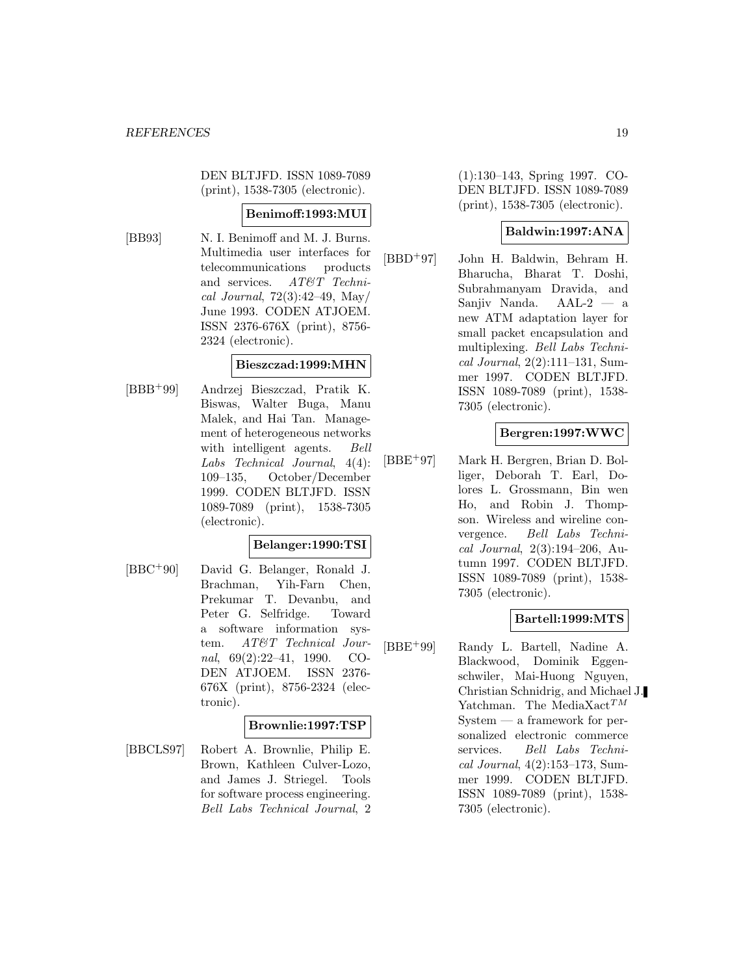DEN BLTJFD. ISSN 1089-7089 (print), 1538-7305 (electronic).

### **Benimoff:1993:MUI**

[BB93] N. I. Benimoff and M. J. Burns. Multimedia user interfaces for telecommunications products and services. AT&T Technical Journal, 72(3):42–49, May/ June 1993. CODEN ATJOEM. ISSN 2376-676X (print), 8756- 2324 (electronic).

### **Bieszczad:1999:MHN**

[BBB<sup>+</sup>99] Andrzej Bieszczad, Pratik K. Biswas, Walter Buga, Manu Malek, and Hai Tan. Management of heterogeneous networks with intelligent agents. *Bell* Labs Technical Journal, 4(4): 109–135, October/December 1999. CODEN BLTJFD. ISSN 1089-7089 (print), 1538-7305 (electronic).

#### **Belanger:1990:TSI**

[BBC<sup>+</sup>90] David G. Belanger, Ronald J. Brachman, Yih-Farn Chen, Prekumar T. Devanbu, and Peter G. Selfridge. Toward a software information system. AT&T Technical Journal, 69(2):22–41, 1990. CO-DEN ATJOEM. ISSN 2376- 676X (print), 8756-2324 (electronic).

### **Brownlie:1997:TSP**

[BBCLS97] Robert A. Brownlie, Philip E. Brown, Kathleen Culver-Lozo, and James J. Striegel. Tools for software process engineering. Bell Labs Technical Journal, 2

(1):130–143, Spring 1997. CO-DEN BLTJFD. ISSN 1089-7089 (print), 1538-7305 (electronic).

### **Baldwin:1997:ANA**

[BBD<sup>+</sup>97] John H. Baldwin, Behram H. Bharucha, Bharat T. Doshi, Subrahmanyam Dravida, and Sanjiv Nanda. AAL-2 — a new ATM adaptation layer for small packet encapsulation and multiplexing. Bell Labs Technical Journal, 2(2):111–131, Summer 1997. CODEN BLTJFD. ISSN 1089-7089 (print), 1538- 7305 (electronic).

### **Bergren:1997:WWC**

[BBE<sup>+</sup>97] Mark H. Bergren, Brian D. Bolliger, Deborah T. Earl, Dolores L. Grossmann, Bin wen Ho, and Robin J. Thompson. Wireless and wireline convergence. Bell Labs Technical Journal, 2(3):194–206, Autumn 1997. CODEN BLTJFD. ISSN 1089-7089 (print), 1538- 7305 (electronic).

### **Bartell:1999:MTS**

[BBE<sup>+</sup>99] Randy L. Bartell, Nadine A. Blackwood, Dominik Eggenschwiler, Mai-Huong Nguyen, Christian Schnidrig, and Michael J. Yatchman. The MediaXact<sup>TM</sup> System — a framework for personalized electronic commerce services. Bell Labs Technical Journal, 4(2):153–173, Summer 1999. CODEN BLTJFD. ISSN 1089-7089 (print), 1538- 7305 (electronic).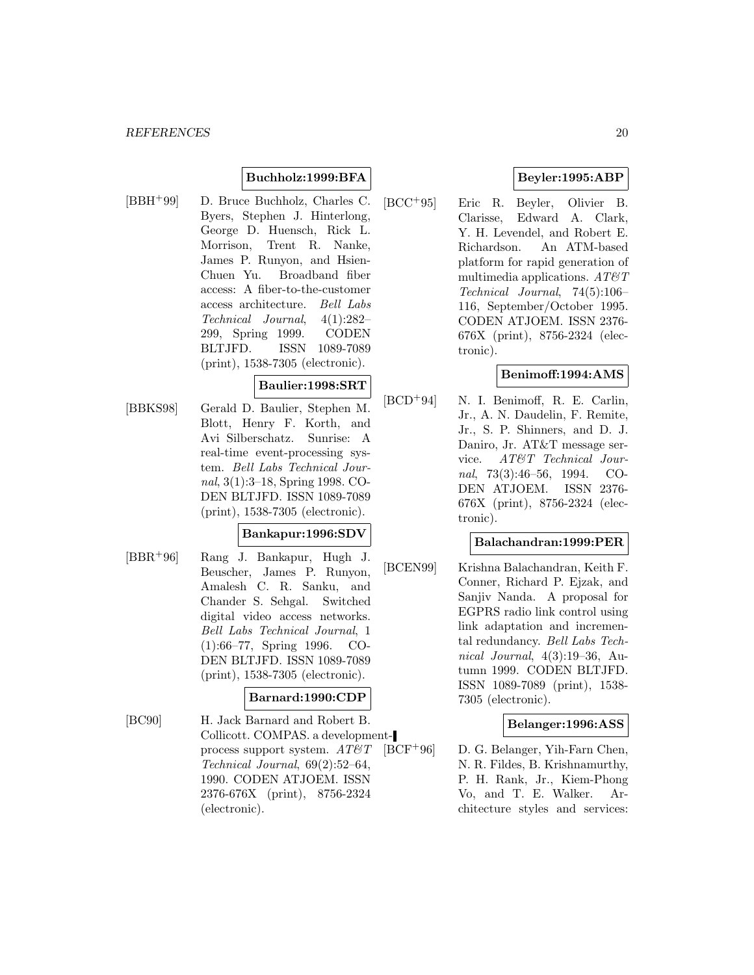### **Buchholz:1999:BFA**

[BBH<sup>+</sup>99] D. Bruce Buchholz, Charles C. Byers, Stephen J. Hinterlong, George D. Huensch, Rick L. Morrison, Trent R. Nanke, James P. Runyon, and Hsien-Chuen Yu. Broadband fiber access: A fiber-to-the-customer access architecture. Bell Labs Technical Journal, 4(1):282– 299, Spring 1999. CODEN BLTJFD. ISSN 1089-7089 (print), 1538-7305 (electronic).

#### **Baulier:1998:SRT**

[BBKS98] Gerald D. Baulier, Stephen M. Blott, Henry F. Korth, and Avi Silberschatz. Sunrise: A real-time event-processing system. Bell Labs Technical Journal, 3(1):3–18, Spring 1998. CO-DEN BLTJFD. ISSN 1089-7089 (print), 1538-7305 (electronic).

#### **Bankapur:1996:SDV**

[BBR<sup>+</sup>96] Rang J. Bankapur, Hugh J. Beuscher, James P. Runyon, Amalesh C. R. Sanku, and Chander S. Sehgal. Switched digital video access networks. Bell Labs Technical Journal, 1 (1):66–77, Spring 1996. CO-DEN BLTJFD. ISSN 1089-7089 (print), 1538-7305 (electronic).

#### **Barnard:1990:CDP**

[BC90] H. Jack Barnard and Robert B. Collicott. COMPAS. a developmentprocess support system.  $AT\&T$ Technical Journal, 69(2):52–64, 1990. CODEN ATJOEM. ISSN 2376-676X (print), 8756-2324 (electronic).

### **Beyler:1995:ABP**

[BCC<sup>+</sup>95] Eric R. Beyler, Olivier B. Clarisse, Edward A. Clark, Y. H. Levendel, and Robert E. Richardson. An ATM-based platform for rapid generation of multimedia applications.  $AT \mathcal{C}T$ Technical Journal, 74(5):106– 116, September/October 1995. CODEN ATJOEM. ISSN 2376- 676X (print), 8756-2324 (electronic).

#### **Benimoff:1994:AMS**

[BCD<sup>+</sup>94] N. I. Benimoff, R. E. Carlin, Jr., A. N. Daudelin, F. Remite, Jr., S. P. Shinners, and D. J. Daniro, Jr. AT&T message service. AT&T Technical Journal, 73(3):46–56, 1994. CO-DEN ATJOEM. ISSN 2376- 676X (print), 8756-2324 (electronic).

#### **Balachandran:1999:PER**

[BCEN99] Krishna Balachandran, Keith F. Conner, Richard P. Ejzak, and Sanjiv Nanda. A proposal for EGPRS radio link control using link adaptation and incremental redundancy. Bell Labs Technical Journal, 4(3):19–36, Autumn 1999. CODEN BLTJFD. ISSN 1089-7089 (print), 1538- 7305 (electronic).

#### **Belanger:1996:ASS**

[BCF<sup>+</sup>96] D. G. Belanger, Yih-Farn Chen, N. R. Fildes, B. Krishnamurthy, P. H. Rank, Jr., Kiem-Phong Vo, and T. E. Walker. Architecture styles and services: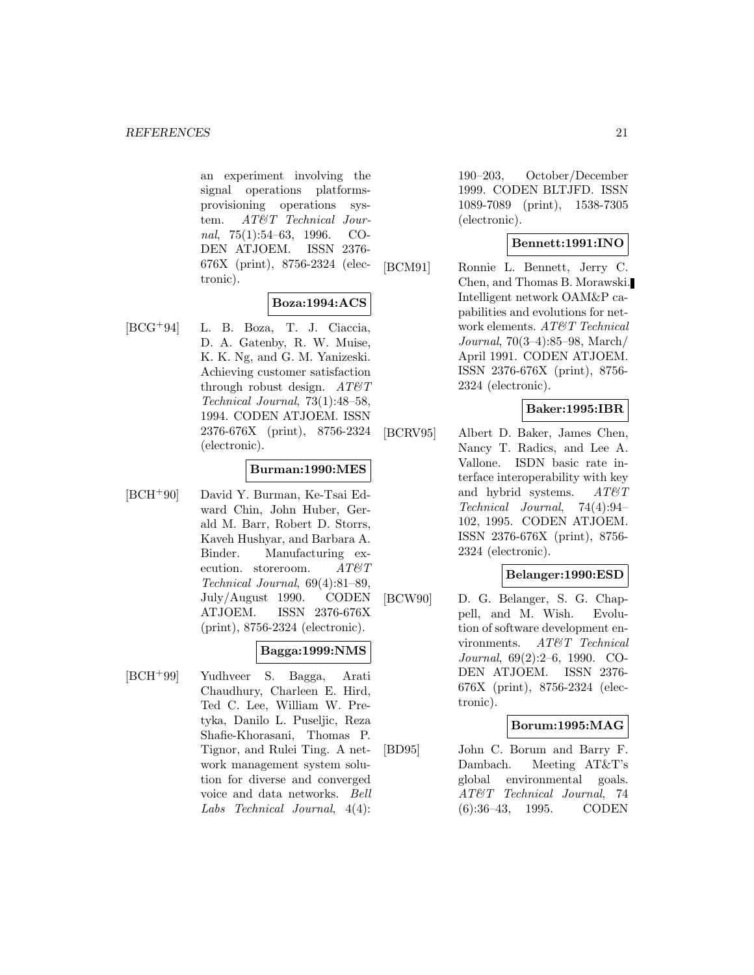an experiment involving the signal operations platformsprovisioning operations system. AT&T Technical Journal, 75(1):54–63, 1996. CO-DEN ATJOEM. ISSN 2376- 676X (print), 8756-2324 (electronic).

### **Boza:1994:ACS**

[BCG<sup>+</sup>94] L. B. Boza, T. J. Ciaccia, D. A. Gatenby, R. W. Muise, K. K. Ng, and G. M. Yanizeski. Achieving customer satisfaction through robust design.  $AT\&T$ Technical Journal, 73(1):48–58, 1994. CODEN ATJOEM. ISSN 2376-676X (print), 8756-2324 (electronic).

#### **Burman:1990:MES**

[BCH<sup>+</sup>90] David Y. Burman, Ke-Tsai Edward Chin, John Huber, Gerald M. Barr, Robert D. Storrs, Kaveh Hushyar, and Barbara A. Binder. Manufacturing execution. storeroom. AT&T Technical Journal, 69(4):81–89, July/August 1990. CODEN ATJOEM. ISSN 2376-676X (print), 8756-2324 (electronic).

#### **Bagga:1999:NMS**

[BCH<sup>+</sup>99] Yudhveer S. Bagga, Arati Chaudhury, Charleen E. Hird, Ted C. Lee, William W. Pretyka, Danilo L. Puseljic, Reza Shafie-Khorasani, Thomas P. Tignor, and Rulei Ting. A network management system solution for diverse and converged voice and data networks. Bell Labs Technical Journal, 4(4):

190–203, October/December 1999. CODEN BLTJFD. ISSN 1089-7089 (print), 1538-7305 (electronic).

### **Bennett:1991:INO**

[BCM91] Ronnie L. Bennett, Jerry C. Chen, and Thomas B. Morawski. Intelligent network OAM&P capabilities and evolutions for network elements. AT&T Technical Journal, 70(3–4):85–98, March/ April 1991. CODEN ATJOEM. ISSN 2376-676X (print), 8756- 2324 (electronic).

### **Baker:1995:IBR**

[BCRV95] Albert D. Baker, James Chen, Nancy T. Radics, and Lee A. Vallone. ISDN basic rate interface interoperability with key and hybrid systems.  $AT\mathcal{O}T$ Technical Journal, 74(4):94– 102, 1995. CODEN ATJOEM. ISSN 2376-676X (print), 8756- 2324 (electronic).

# **Belanger:1990:ESD**

[BCW90] D. G. Belanger, S. G. Chappell, and M. Wish. Evolution of software development environments. AT&T Technical Journal, 69(2):2–6, 1990. CO-DEN ATJOEM. ISSN 2376- 676X (print), 8756-2324 (electronic).

### **Borum:1995:MAG**

[BD95] John C. Borum and Barry F. Dambach. Meeting AT&T's global environmental goals. AT&T Technical Journal, 74 (6):36–43, 1995. CODEN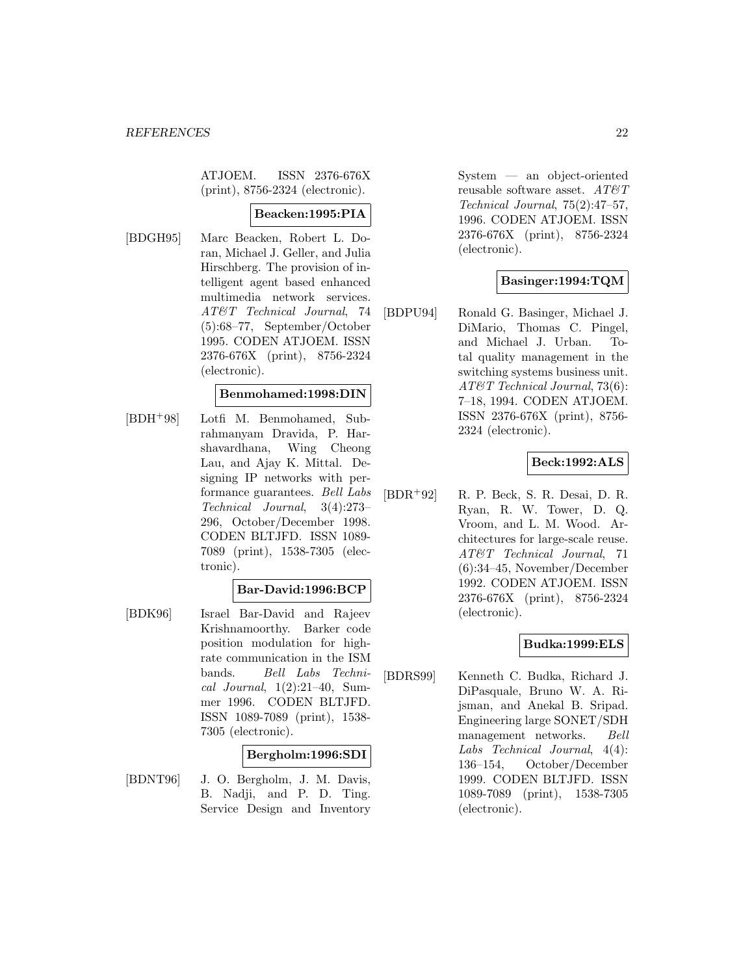ATJOEM. ISSN 2376-676X (print), 8756-2324 (electronic).

#### **Beacken:1995:PIA**

[BDGH95] Marc Beacken, Robert L. Doran, Michael J. Geller, and Julia Hirschberg. The provision of intelligent agent based enhanced multimedia network services. AT&T Technical Journal, 74 (5):68–77, September/October 1995. CODEN ATJOEM. ISSN 2376-676X (print), 8756-2324 (electronic).

#### **Benmohamed:1998:DIN**

[BDH<sup>+</sup>98] Lotfi M. Benmohamed, Subrahmanyam Dravida, P. Harshavardhana, Wing Cheong Lau, and Ajay K. Mittal. Designing IP networks with performance guarantees. Bell Labs Technical Journal, 3(4):273– 296, October/December 1998. CODEN BLTJFD. ISSN 1089- 7089 (print), 1538-7305 (electronic).

#### **Bar-David:1996:BCP**

[BDK96] Israel Bar-David and Rajeev Krishnamoorthy. Barker code position modulation for highrate communication in the ISM bands. Bell Labs Technical Journal,  $1(2):21-40$ , Summer 1996. CODEN BLTJFD. ISSN 1089-7089 (print), 1538- 7305 (electronic).

#### **Bergholm:1996:SDI**

[BDNT96] J. O. Bergholm, J. M. Davis, B. Nadji, and P. D. Ting. Service Design and Inventory System — an object-oriented reusable software asset.  $\boldsymbol{AT}\boldsymbol{\mathcal{B}}\boldsymbol{T}$ Technical Journal, 75(2):47–57, 1996. CODEN ATJOEM. ISSN 2376-676X (print), 8756-2324 (electronic).

### **Basinger:1994:TQM**

[BDPU94] Ronald G. Basinger, Michael J. DiMario, Thomas C. Pingel, and Michael J. Urban. Total quality management in the switching systems business unit. AT&T Technical Journal, 73(6): 7–18, 1994. CODEN ATJOEM. ISSN 2376-676X (print), 8756- 2324 (electronic).

### **Beck:1992:ALS**

[BDR<sup>+</sup>92] R. P. Beck, S. R. Desai, D. R. Ryan, R. W. Tower, D. Q. Vroom, and L. M. Wood. Architectures for large-scale reuse. AT&T Technical Journal, 71 (6):34–45, November/December 1992. CODEN ATJOEM. ISSN 2376-676X (print), 8756-2324 (electronic).

### **Budka:1999:ELS**

[BDRS99] Kenneth C. Budka, Richard J. DiPasquale, Bruno W. A. Rijsman, and Anekal B. Sripad. Engineering large SONET/SDH management networks. Bell Labs Technical Journal, 4(4): 136–154, October/December 1999. CODEN BLTJFD. ISSN 1089-7089 (print), 1538-7305 (electronic).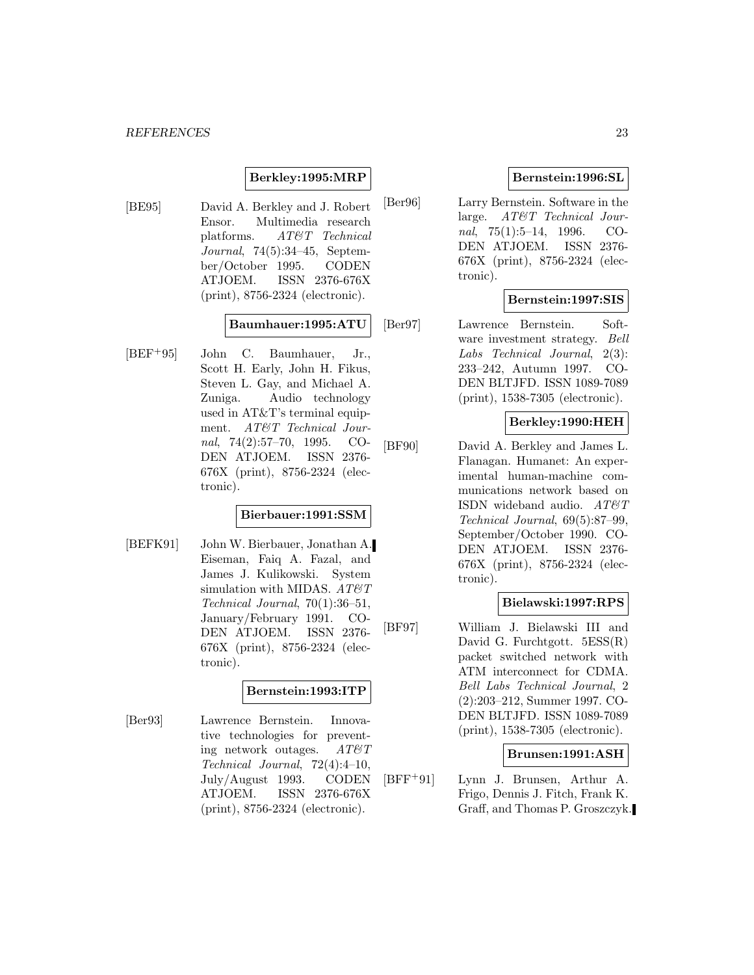#### **Berkley:1995:MRP**

[BE95] David A. Berkley and J. Robert Ensor. Multimedia research platforms. AT&T Technical Journal, 74(5):34–45, September/October 1995. CODEN ATJOEM. ISSN 2376-676X (print), 8756-2324 (electronic).

### **Baumhauer:1995:ATU**

[BEF<sup>+</sup>95] John C. Baumhauer, Jr., Scott H. Early, John H. Fikus, Steven L. Gay, and Michael A. Zuniga. Audio technology used in AT&T's terminal equipment. AT&T Technical Journal, 74(2):57–70, 1995. CO-DEN ATJOEM. ISSN 2376- 676X (print), 8756-2324 (electronic).

#### **Bierbauer:1991:SSM**

[BEFK91] John W. Bierbauer, Jonathan A. Eiseman, Faiq A. Fazal, and James J. Kulikowski. System simulation with MIDAS.  $AT \& T$ Technical Journal, 70(1):36–51, January/February 1991. CO-DEN ATJOEM. ISSN 2376- 676X (print), 8756-2324 (electronic).

#### **Bernstein:1993:ITP**

[Ber93] Lawrence Bernstein. Innovative technologies for preventing network outages.  $AT\&T$ Technical Journal, 72(4):4–10, July/August 1993. CODEN ATJOEM. ISSN 2376-676X (print), 8756-2324 (electronic).

### **Bernstein:1996:SL**

[Ber96] Larry Bernstein. Software in the large. AT&T Technical Journal, 75(1):5–14, 1996. CO-DEN ATJOEM. ISSN 2376- 676X (print), 8756-2324 (electronic).

### **Bernstein:1997:SIS**

[Ber97] Lawrence Bernstein. Software investment strategy. Bell Labs Technical Journal, 2(3): 233–242, Autumn 1997. CO-DEN BLTJFD. ISSN 1089-7089 (print), 1538-7305 (electronic).

#### **Berkley:1990:HEH**

[BF90] David A. Berkley and James L. Flanagan. Humanet: An experimental human-machine communications network based on ISDN wideband audio.  $AT\&T$ Technical Journal, 69(5):87–99, September/October 1990. CO-DEN ATJOEM. ISSN 2376- 676X (print), 8756-2324 (electronic).

#### **Bielawski:1997:RPS**

[BF97] William J. Bielawski III and David G. Furchtgott. 5ESS(R) packet switched network with ATM interconnect for CDMA. Bell Labs Technical Journal, 2 (2):203–212, Summer 1997. CO-DEN BLTJFD. ISSN 1089-7089 (print), 1538-7305 (electronic).

### **Brunsen:1991:ASH**

[BFF<sup>+</sup>91] Lynn J. Brunsen, Arthur A. Frigo, Dennis J. Fitch, Frank K. Graff, and Thomas P. Groszczyk.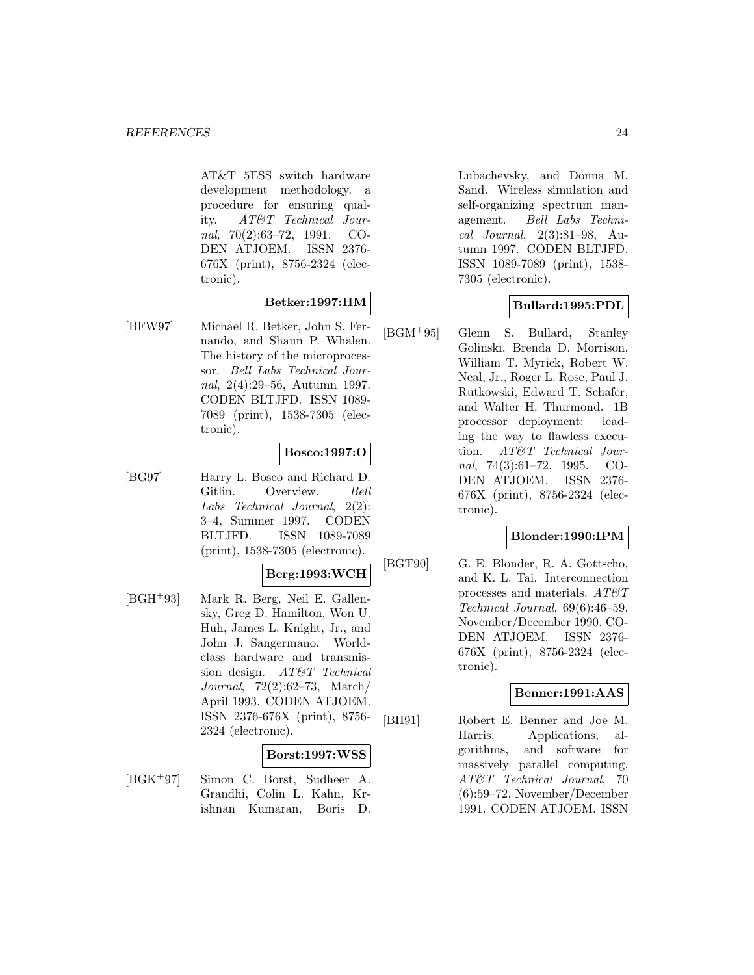AT&T 5ESS switch hardware development methodology. a procedure for ensuring quality. AT&T Technical Journal, 70(2):63–72, 1991. CO-DEN ATJOEM. ISSN 2376- 676X (print), 8756-2324 (electronic).

## **Betker:1997:HM**

[BFW97] Michael R. Betker, John S. Fernando, and Shaun P. Whalen. The history of the microprocessor. Bell Labs Technical Journal, 2(4):29–56, Autumn 1997. CODEN BLTJFD. ISSN 1089- 7089 (print), 1538-7305 (electronic).

#### **Bosco:1997:O**

[BG97] Harry L. Bosco and Richard D. Gitlin. Overview. Bell Labs Technical Journal, 2(2): 3–4, Summer 1997. CODEN BLTJFD. ISSN 1089-7089 (print), 1538-7305 (electronic).

#### **Berg:1993:WCH**

[BGH<sup>+</sup>93] Mark R. Berg, Neil E. Gallensky, Greg D. Hamilton, Won U. Huh, James L. Knight, Jr., and John J. Sangermano. Worldclass hardware and transmission design. AT&T Technical Journal, 72(2):62–73, March/ April 1993. CODEN ATJOEM. ISSN 2376-676X (print), 8756- 2324 (electronic).

#### **Borst:1997:WSS**

[BGK<sup>+</sup>97] Simon C. Borst, Sudheer A. Grandhi, Colin L. Kahn, Krishnan Kumaran, Boris D. Lubachevsky, and Donna M. Sand. Wireless simulation and self-organizing spectrum management. Bell Labs Technical Journal, 2(3):81–98, Autumn 1997. CODEN BLTJFD. ISSN 1089-7089 (print), 1538- 7305 (electronic).

## **Bullard:1995:PDL**

[BGM<sup>+</sup>95] Glenn S. Bullard, Stanley Golinski, Brenda D. Morrison, William T. Myrick, Robert W. Neal, Jr., Roger L. Rose, Paul J. Rutkowski, Edward T. Schafer, and Walter H. Thurmond. 1B processor deployment: leading the way to flawless execution. AT&T Technical Journal, 74(3):61–72, 1995. CO-DEN ATJOEM. ISSN 2376- 676X (print), 8756-2324 (electronic).

#### **Blonder:1990:IPM**

[BGT90] G. E. Blonder, R. A. Gottscho, and K. L. Tai. Interconnection processes and materials. AT&T Technical Journal, 69(6):46–59, November/December 1990. CO-DEN ATJOEM. ISSN 2376- 676X (print), 8756-2324 (electronic).

### **Benner:1991:AAS**

[BH91] Robert E. Benner and Joe M. Harris. Applications, algorithms, and software for massively parallel computing. AT&T Technical Journal, 70 (6):59–72, November/December 1991. CODEN ATJOEM. ISSN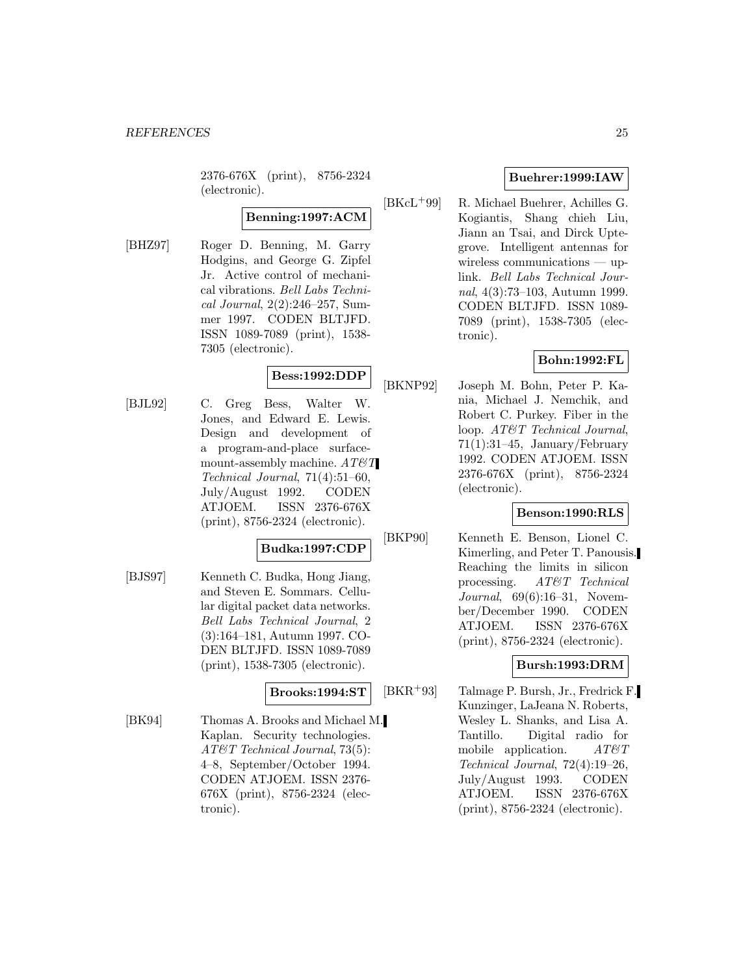2376-676X (print), 8756-2324 (electronic).

# **Benning:1997:ACM**

[BHZ97] Roger D. Benning, M. Garry Hodgins, and George G. Zipfel Jr. Active control of mechanical vibrations. Bell Labs Technical Journal, 2(2):246–257, Summer 1997. CODEN BLTJFD. ISSN 1089-7089 (print), 1538- 7305 (electronic).

## **Bess:1992:DDP**

[BJL92] C. Greg Bess, Walter W. Jones, and Edward E. Lewis. Design and development of a program-and-place surfacemount-assembly machine.  $AT\&T$ Technical Journal, 71(4):51–60, July/August 1992. CODEN ATJOEM. ISSN 2376-676X (print), 8756-2324 (electronic).

### **Budka:1997:CDP**

[BJS97] Kenneth C. Budka, Hong Jiang, and Steven E. Sommars. Cellular digital packet data networks. Bell Labs Technical Journal, 2 (3):164–181, Autumn 1997. CO-DEN BLTJFD. ISSN 1089-7089 (print), 1538-7305 (electronic).

#### **Brooks:1994:ST**

[BK94] Thomas A. Brooks and Michael M. Kaplan. Security technologies. AT&T Technical Journal, 73(5): 4–8, September/October 1994. CODEN ATJOEM. ISSN 2376- 676X (print), 8756-2324 (electronic).

## **Buehrer:1999:IAW**

[BKcL<sup>+</sup>99] R. Michael Buehrer, Achilles G. Kogiantis, Shang chieh Liu, Jiann an Tsai, and Dirck Uptegrove. Intelligent antennas for wireless communications — uplink. Bell Labs Technical Journal, 4(3):73–103, Autumn 1999. CODEN BLTJFD. ISSN 1089- 7089 (print), 1538-7305 (electronic).

### **Bohn:1992:FL**

[BKNP92] Joseph M. Bohn, Peter P. Kania, Michael J. Nemchik, and Robert C. Purkey. Fiber in the loop. AT&T Technical Journal, 71(1):31–45, January/February 1992. CODEN ATJOEM. ISSN 2376-676X (print), 8756-2324 (electronic).

#### **Benson:1990:RLS**

[BKP90] Kenneth E. Benson, Lionel C. Kimerling, and Peter T. Panousis. Reaching the limits in silicon processing. AT&T Technical Journal, 69(6):16–31, November/December 1990. CODEN ATJOEM. ISSN 2376-676X (print), 8756-2324 (electronic).

### **Bursh:1993:DRM**

[BKR<sup>+</sup>93] Talmage P. Bursh, Jr., Fredrick F. Kunzinger, LaJeana N. Roberts, Wesley L. Shanks, and Lisa A. Tantillo. Digital radio for mobile application.  $AT \mathcal{C}T$ Technical Journal, 72(4):19–26, July/August 1993. CODEN ATJOEM. ISSN 2376-676X (print), 8756-2324 (electronic).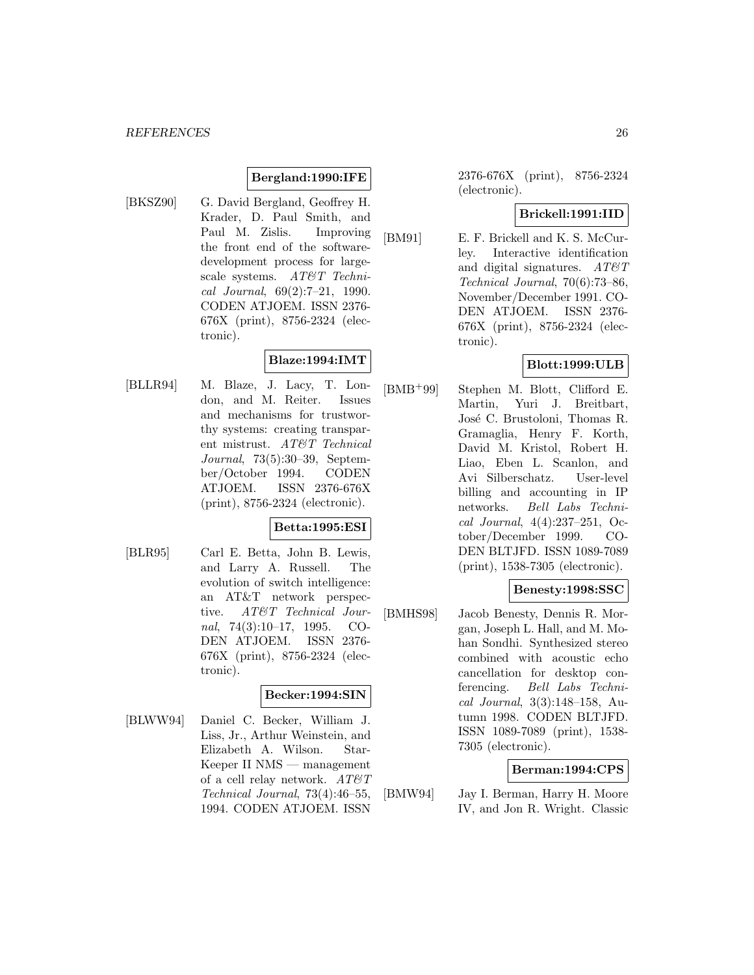### **Bergland:1990:IFE**

[BKSZ90] G. David Bergland, Geoffrey H. Krader, D. Paul Smith, and Paul M. Zislis. Improving the front end of the softwaredevelopment process for largescale systems. AT&T Technical Journal, 69(2):7–21, 1990. CODEN ATJOEM. ISSN 2376- 676X (print), 8756-2324 (electronic).

## **Blaze:1994:IMT**

[BLLR94] M. Blaze, J. Lacy, T. London, and M. Reiter. Issues and mechanisms for trustworthy systems: creating transparent mistrust. AT&T Technical Journal, 73(5):30–39, September/October 1994. CODEN ATJOEM. ISSN 2376-676X (print), 8756-2324 (electronic).

### **Betta:1995:ESI**

[BLR95] Carl E. Betta, John B. Lewis, and Larry A. Russell. The evolution of switch intelligence: an AT&T network perspective. AT&T Technical Journal,  $74(3):10-17$ , 1995. CO-DEN ATJOEM. ISSN 2376- 676X (print), 8756-2324 (electronic).

#### **Becker:1994:SIN**

[BLWW94] Daniel C. Becker, William J. Liss, Jr., Arthur Weinstein, and Elizabeth A. Wilson. Star-Keeper II NMS — management of a cell relay network.  $AT \mathcal{C}T$ Technical Journal, 73(4):46–55, 1994. CODEN ATJOEM. ISSN

2376-676X (print), 8756-2324 (electronic).

### **Brickell:1991:IID**

[BM91] E. F. Brickell and K. S. McCurley. Interactive identification and digital signatures.  $AT \& T$ Technical Journal, 70(6):73–86, November/December 1991. CO-DEN ATJOEM. ISSN 2376- 676X (print), 8756-2324 (electronic).

### **Blott:1999:ULB**

[BMB<sup>+</sup>99] Stephen M. Blott, Clifford E. Martin, Yuri J. Breitbart, José C. Brustoloni, Thomas R. Gramaglia, Henry F. Korth, David M. Kristol, Robert H. Liao, Eben L. Scanlon, and Avi Silberschatz. User-level billing and accounting in IP networks. Bell Labs Technical Journal, 4(4):237–251, October/December 1999. CO-DEN BLTJFD. ISSN 1089-7089 (print), 1538-7305 (electronic).

## **Benesty:1998:SSC**

[BMHS98] Jacob Benesty, Dennis R. Morgan, Joseph L. Hall, and M. Mohan Sondhi. Synthesized stereo combined with acoustic echo cancellation for desktop conferencing. Bell Labs Technical Journal, 3(3):148–158, Autumn 1998. CODEN BLTJFD. ISSN 1089-7089 (print), 1538- 7305 (electronic).

### **Berman:1994:CPS**

[BMW94] Jay I. Berman, Harry H. Moore IV, and Jon R. Wright. Classic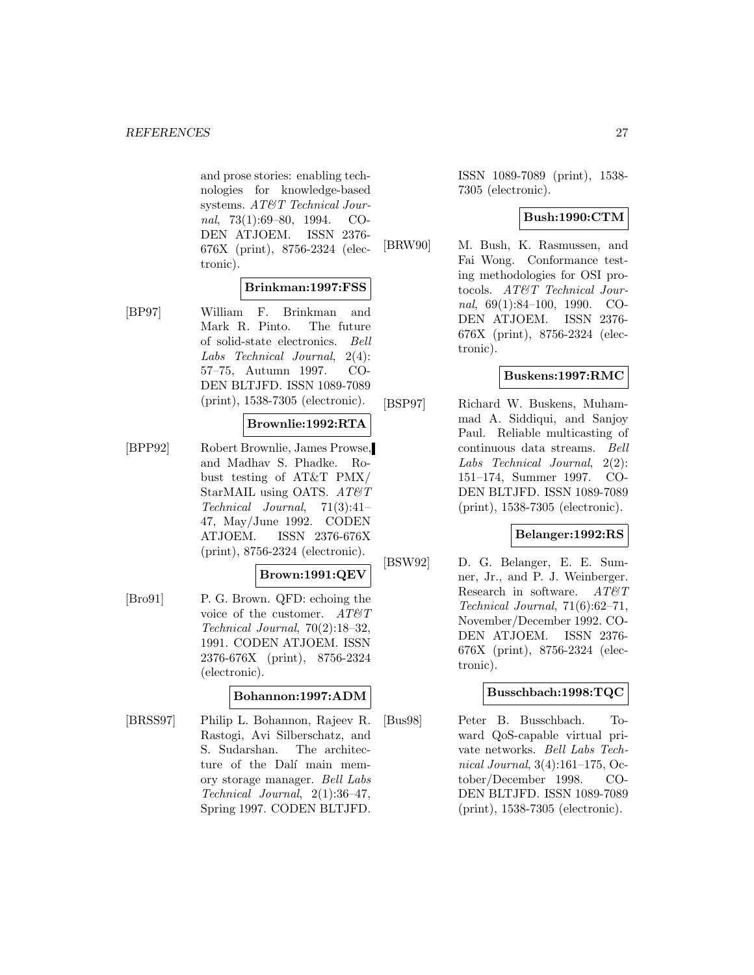and prose stories: enabling technologies for knowledge-based systems. AT&T Technical Journal, 73(1):69–80, 1994. CO-DEN ATJOEM. ISSN 2376- 676X (print), 8756-2324 (electronic).

### **Brinkman:1997:FSS**

[BP97] William F. Brinkman and Mark R. Pinto. The future of solid-state electronics. Bell Labs Technical Journal, 2(4): 57–75, Autumn 1997. CO-DEN BLTJFD. ISSN 1089-7089 (print), 1538-7305 (electronic).

#### **Brownlie:1992:RTA**

[BPP92] Robert Brownlie, James Prowse, and Madhav S. Phadke. Robust testing of AT&T PMX/ StarMAIL using OATS.  $AT\mathcal{O}T$ Technical Journal, 71(3):41– 47, May/June 1992. CODEN ATJOEM. ISSN 2376-676X (print), 8756-2324 (electronic).

### **Brown:1991:QEV**

[Bro91] P. G. Brown. QFD: echoing the voice of the customer.  $AT\mathcal{O}T$ Technical Journal, 70(2):18–32, 1991. CODEN ATJOEM. ISSN 2376-676X (print), 8756-2324 (electronic).

#### **Bohannon:1997:ADM**

[BRSS97] Philip L. Bohannon, Rajeev R. Rastogi, Avi Silberschatz, and S. Sudarshan. The architecture of the Dalí main memory storage manager. Bell Labs Technical Journal, 2(1):36–47, Spring 1997. CODEN BLTJFD.

ISSN 1089-7089 (print), 1538- 7305 (electronic).

### **Bush:1990:CTM**

[BRW90] M. Bush, K. Rasmussen, and Fai Wong. Conformance testing methodologies for OSI protocols. AT&T Technical Journal, 69(1):84–100, 1990. CO-DEN ATJOEM. ISSN 2376- 676X (print), 8756-2324 (electronic).

### **Buskens:1997:RMC**

[BSP97] Richard W. Buskens, Muhammad A. Siddiqui, and Sanjoy Paul. Reliable multicasting of continuous data streams. Bell Labs Technical Journal, 2(2): 151–174, Summer 1997. CO-DEN BLTJFD. ISSN 1089-7089 (print), 1538-7305 (electronic).

#### **Belanger:1992:RS**

[BSW92] D. G. Belanger, E. E. Sumner, Jr., and P. J. Weinberger. Research in software.  $AT\&T$ Technical Journal, 71(6):62–71, November/December 1992. CO-DEN ATJOEM. ISSN 2376- 676X (print), 8756-2324 (electronic).

### **Busschbach:1998:TQC**

[Bus98] Peter B. Busschbach. Toward QoS-capable virtual private networks. Bell Labs Technical Journal, 3(4):161–175, October/December 1998. CO-DEN BLTJFD. ISSN 1089-7089 (print), 1538-7305 (electronic).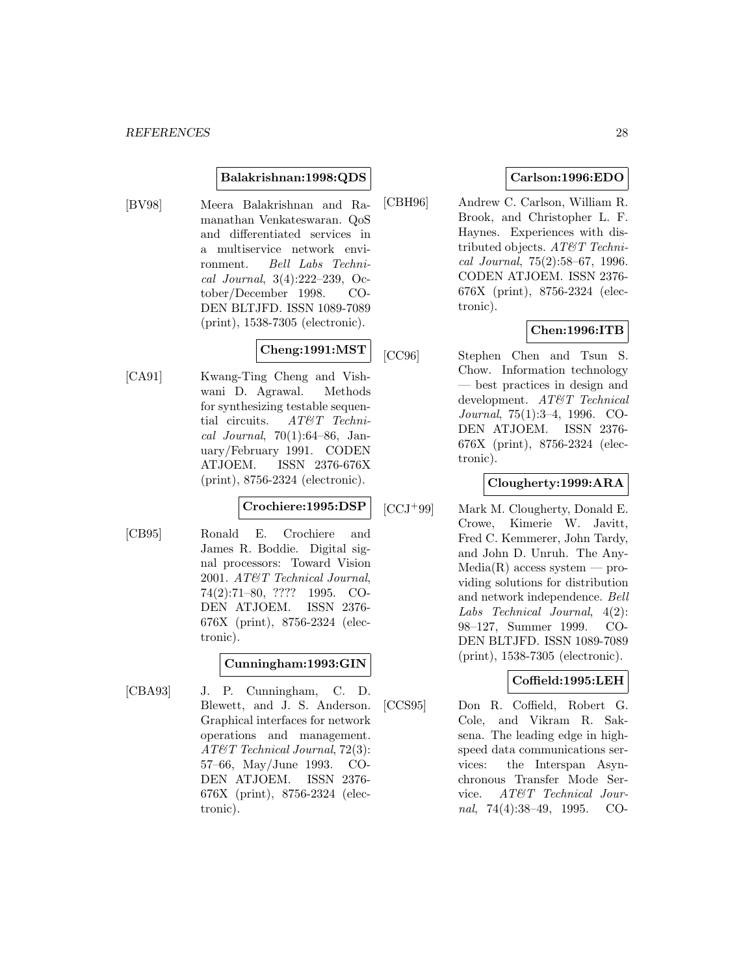#### **Balakrishnan:1998:QDS**

[BV98] Meera Balakrishnan and Ramanathan Venkateswaran. QoS and differentiated services in a multiservice network environment. Bell Labs Technical Journal, 3(4):222–239, October/December 1998. CO-DEN BLTJFD. ISSN 1089-7089 (print), 1538-7305 (electronic).

# **Cheng:1991:MST**

[CA91] Kwang-Ting Cheng and Vishwani D. Agrawal. Methods for synthesizing testable sequential circuits. AT&T Technical Journal, 70(1):64–86, January/February 1991. CODEN ATJOEM. ISSN 2376-676X (print), 8756-2324 (electronic).

## **Crochiere:1995:DSP**

[CB95] Ronald E. Crochiere and James R. Boddie. Digital signal processors: Toward Vision 2001. AT&T Technical Journal, 74(2):71–80, ???? 1995. CO-DEN ATJOEM. ISSN 2376- 676X (print), 8756-2324 (electronic).

### **Cunningham:1993:GIN**

[CBA93] J. P. Cunningham, C. D. Blewett, and J. S. Anderson. Graphical interfaces for network operations and management. AT&T Technical Journal, 72(3): 57–66, May/June 1993. CO-DEN ATJOEM. ISSN 2376- 676X (print), 8756-2324 (electronic).

## **Carlson:1996:EDO**

[CBH96] Andrew C. Carlson, William R. Brook, and Christopher L. F. Haynes. Experiences with distributed objects. AT&T Technical Journal, 75(2):58–67, 1996. CODEN ATJOEM. ISSN 2376- 676X (print), 8756-2324 (electronic).

### **Chen:1996:ITB**

[CC96] Stephen Chen and Tsun S. Chow. Information technology — best practices in design and development. AT&T Technical Journal, 75(1):3–4, 1996. CO-DEN ATJOEM. ISSN 2376- 676X (print), 8756-2324 (electronic).

## **Clougherty:1999:ARA**

[CCJ<sup>+</sup>99] Mark M. Clougherty, Donald E. Crowe, Kimerie W. Javitt, Fred C. Kemmerer, John Tardy, and John D. Unruh. The Any- $Media(R)$  access system — providing solutions for distribution and network independence. Bell Labs Technical Journal, 4(2): 98–127, Summer 1999. CO-DEN BLTJFD. ISSN 1089-7089 (print), 1538-7305 (electronic).

### **Coffield:1995:LEH**

[CCS95] Don R. Coffield, Robert G. Cole, and Vikram R. Saksena. The leading edge in highspeed data communications services: the Interspan Asynchronous Transfer Mode Service. AT&T Technical Journal, 74(4):38–49, 1995. CO-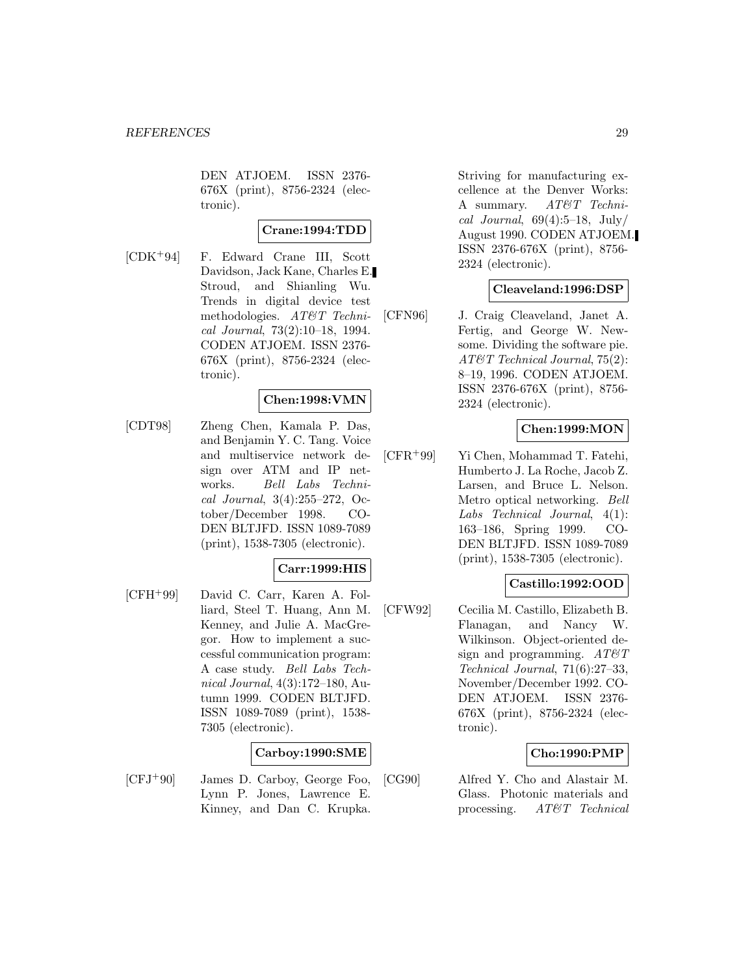DEN ATJOEM. ISSN 2376- 676X (print), 8756-2324 (electronic).

## **Crane:1994:TDD**

[CDK<sup>+</sup>94] F. Edward Crane III, Scott Davidson, Jack Kane, Charles E. Stroud, and Shianling Wu. Trends in digital device test methodologies. AT&T Technical Journal, 73(2):10–18, 1994. CODEN ATJOEM. ISSN 2376- 676X (print), 8756-2324 (electronic).

### **Chen:1998:VMN**

[CDT98] Zheng Chen, Kamala P. Das, and Benjamin Y. C. Tang. Voice and multiservice network design over ATM and IP networks. Bell Labs Technical Journal, 3(4):255–272, October/December 1998. CO-DEN BLTJFD. ISSN 1089-7089 (print), 1538-7305 (electronic).

#### **Carr:1999:HIS**

[CFH<sup>+</sup>99] David C. Carr, Karen A. Folliard, Steel T. Huang, Ann M. Kenney, and Julie A. MacGregor. How to implement a successful communication program: A case study. Bell Labs Technical Journal, 4(3):172–180, Autumn 1999. CODEN BLTJFD. ISSN 1089-7089 (print), 1538- 7305 (electronic).

### **Carboy:1990:SME**

[CFJ<sup>+</sup>90] James D. Carboy, George Foo, Lynn P. Jones, Lawrence E. Kinney, and Dan C. Krupka.

Striving for manufacturing excellence at the Denver Works: A summary. AT&T Technical Journal,  $69(4):5-18$ , July/ August 1990. CODEN ATJOEM. ISSN 2376-676X (print), 8756- 2324 (electronic).

#### **Cleaveland:1996:DSP**

[CFN96] J. Craig Cleaveland, Janet A. Fertig, and George W. Newsome. Dividing the software pie. AT&T Technical Journal, 75(2): 8–19, 1996. CODEN ATJOEM. ISSN 2376-676X (print), 8756- 2324 (electronic).

#### **Chen:1999:MON**

[CFR<sup>+</sup>99] Yi Chen, Mohammad T. Fatehi, Humberto J. La Roche, Jacob Z. Larsen, and Bruce L. Nelson. Metro optical networking. Bell Labs Technical Journal, 4(1): 163–186, Spring 1999. CO-DEN BLTJFD. ISSN 1089-7089 (print), 1538-7305 (electronic).

#### **Castillo:1992:OOD**

[CFW92] Cecilia M. Castillo, Elizabeth B. Flanagan, and Nancy W. Wilkinson. Object-oriented design and programming.  $AT \& T$ Technical Journal, 71(6):27–33, November/December 1992. CO-DEN ATJOEM. ISSN 2376- 676X (print), 8756-2324 (electronic).

#### **Cho:1990:PMP**

[CG90] Alfred Y. Cho and Alastair M. Glass. Photonic materials and processing. AT&T Technical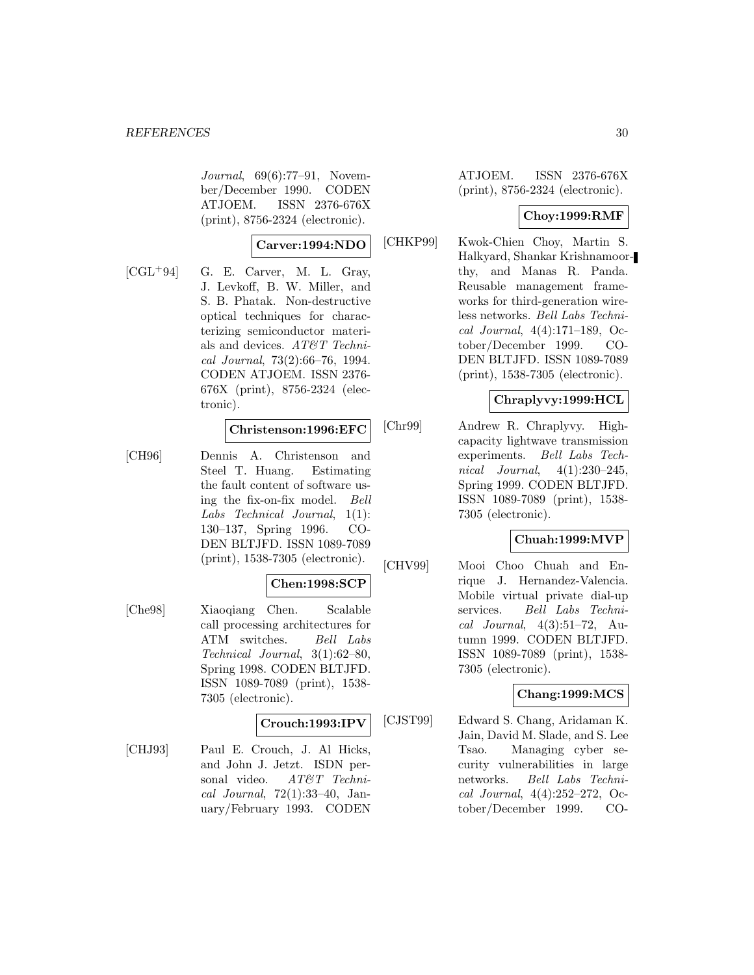Journal, 69(6):77–91, November/December 1990. CODEN ATJOEM. ISSN 2376-676X (print), 8756-2324 (electronic).

#### **Carver:1994:NDO**

 $[CGL+94]$  G. E. Carver, M. L. Gray, J. Levkoff, B. W. Miller, and S. B. Phatak. Non-destructive optical techniques for characterizing semiconductor materials and devices. AT&T Technical Journal, 73(2):66–76, 1994. CODEN ATJOEM. ISSN 2376- 676X (print), 8756-2324 (electronic).

#### **Christenson:1996:EFC**

[CH96] Dennis A. Christenson and Steel T. Huang. Estimating the fault content of software using the fix-on-fix model. Bell Labs Technical Journal, 1(1): 130–137, Spring 1996. CO-DEN BLTJFD. ISSN 1089-7089 (print), 1538-7305 (electronic).

#### **Chen:1998:SCP**

[Che98] Xiaoqiang Chen. Scalable call processing architectures for ATM switches. Bell Labs Technical Journal, 3(1):62–80, Spring 1998. CODEN BLTJFD. ISSN 1089-7089 (print), 1538- 7305 (electronic).

#### **Crouch:1993:IPV**

[CHJ93] Paul E. Crouch, J. Al Hicks, and John J. Jetzt. ISDN personal video. AT&T Technical Journal, 72(1):33–40, January/February 1993. CODEN

ATJOEM. ISSN 2376-676X (print), 8756-2324 (electronic).

#### **Choy:1999:RMF**

[CHKP99] Kwok-Chien Choy, Martin S. Halkyard, Shankar Krishnamoorthy, and Manas R. Panda. Reusable management frameworks for third-generation wireless networks. Bell Labs Technical Journal, 4(4):171–189, October/December 1999. CO-DEN BLTJFD. ISSN 1089-7089 (print), 1538-7305 (electronic).

### **Chraplyvy:1999:HCL**

[Chr99] Andrew R. Chraplyvy. Highcapacity lightwave transmission experiments. Bell Labs Technical Journal, 4(1):230–245, Spring 1999. CODEN BLTJFD. ISSN 1089-7089 (print), 1538- 7305 (electronic).

#### **Chuah:1999:MVP**

[CHV99] Mooi Choo Chuah and Enrique J. Hernandez-Valencia. Mobile virtual private dial-up services. Bell Labs Technical Journal, 4(3):51–72, Autumn 1999. CODEN BLTJFD. ISSN 1089-7089 (print), 1538- 7305 (electronic).

# **Chang:1999:MCS**

[CJST99] Edward S. Chang, Aridaman K. Jain, David M. Slade, and S. Lee Tsao. Managing cyber security vulnerabilities in large networks. Bell Labs Technical Journal, 4(4):252–272, October/December 1999. CO-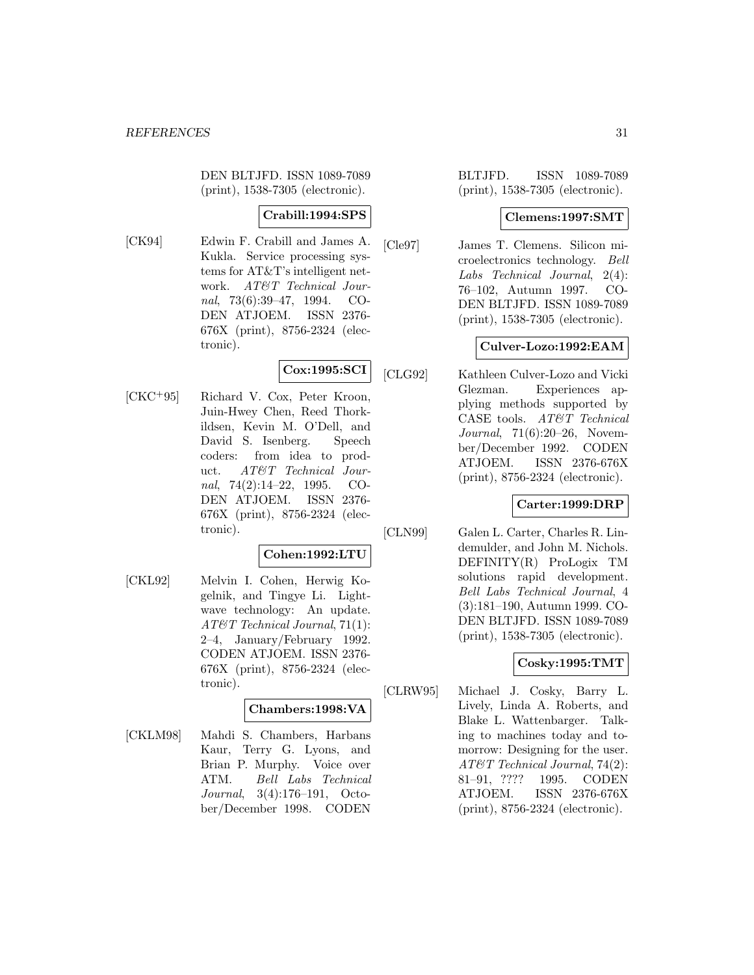DEN BLTJFD. ISSN 1089-7089 (print), 1538-7305 (electronic).

# **Crabill:1994:SPS**

[CK94] Edwin F. Crabill and James A. Kukla. Service processing systems for AT&T's intelligent network. AT&T Technical Journal, 73(6):39–47, 1994. CO-DEN ATJOEM. ISSN 2376- 676X (print), 8756-2324 (electronic).

# **Cox:1995:SCI**

[CKC<sup>+</sup>95] Richard V. Cox, Peter Kroon, Juin-Hwey Chen, Reed Thorkildsen, Kevin M. O'Dell, and David S. Isenberg. Speech coders: from idea to product. AT&T Technical Journal, 74(2):14–22, 1995. CO-DEN ATJOEM. ISSN 2376- 676X (print), 8756-2324 (electronic).

#### **Cohen:1992:LTU**

[CKL92] Melvin I. Cohen, Herwig Kogelnik, and Tingye Li. Lightwave technology: An update. AT&T Technical Journal, 71(1): 2–4, January/February 1992. CODEN ATJOEM. ISSN 2376- 676X (print), 8756-2324 (electronic).

#### **Chambers:1998:VA**

[CKLM98] Mahdi S. Chambers, Harbans Kaur, Terry G. Lyons, and Brian P. Murphy. Voice over ATM. Bell Labs Technical Journal, 3(4):176–191, October/December 1998. CODEN

BLTJFD. ISSN 1089-7089 (print), 1538-7305 (electronic).

### **Clemens:1997:SMT**

[Cle97] James T. Clemens. Silicon microelectronics technology. Bell Labs Technical Journal, 2(4): 76–102, Autumn 1997. CO-DEN BLTJFD. ISSN 1089-7089 (print), 1538-7305 (electronic).

### **Culver-Lozo:1992:EAM**

[CLG92] Kathleen Culver-Lozo and Vicki Glezman. Experiences applying methods supported by CASE tools. AT&T Technical Journal, 71(6):20–26, November/December 1992. CODEN ATJOEM. ISSN 2376-676X (print), 8756-2324 (electronic).

### **Carter:1999:DRP**

[CLN99] Galen L. Carter, Charles R. Lindemulder, and John M. Nichols. DEFINITY(R) ProLogix TM solutions rapid development. Bell Labs Technical Journal, 4 (3):181–190, Autumn 1999. CO-DEN BLTJFD. ISSN 1089-7089 (print), 1538-7305 (electronic).

#### **Cosky:1995:TMT**

[CLRW95] Michael J. Cosky, Barry L. Lively, Linda A. Roberts, and Blake L. Wattenbarger. Talking to machines today and tomorrow: Designing for the user. AT&T Technical Journal, 74(2): 81–91, ???? 1995. CODEN ATJOEM. ISSN 2376-676X (print), 8756-2324 (electronic).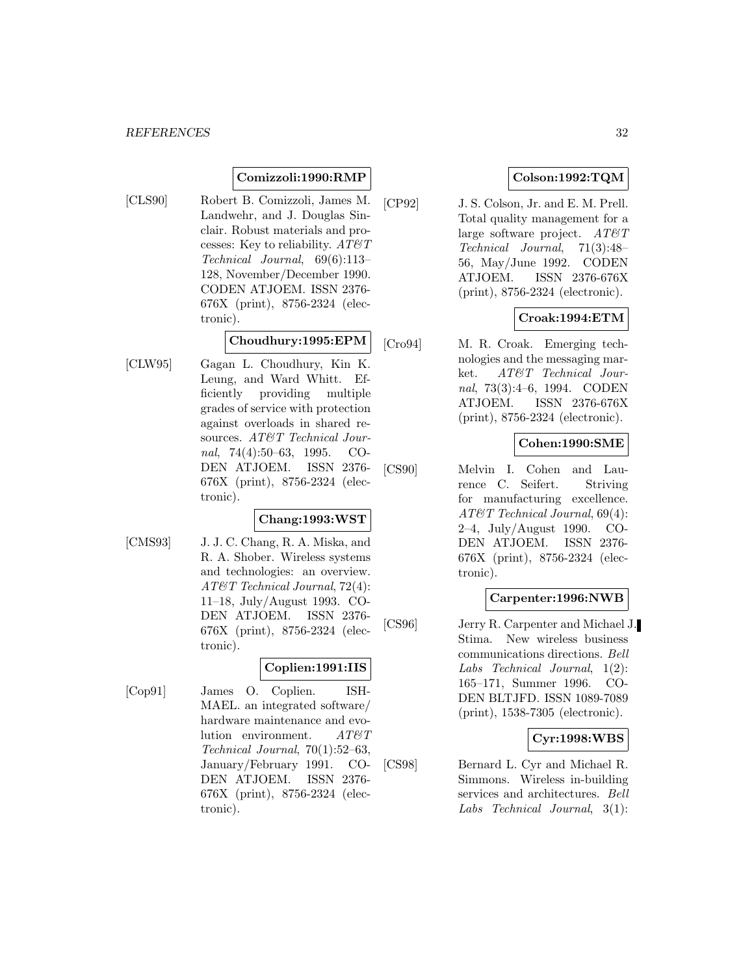### **Comizzoli:1990:RMP**

[CLS90] Robert B. Comizzoli, James M. Landwehr, and J. Douglas Sinclair. Robust materials and processes: Key to reliability.  $AT\mathcal{O}T$ Technical Journal, 69(6):113– 128, November/December 1990. CODEN ATJOEM. ISSN 2376- 676X (print), 8756-2324 (electronic).

#### **Choudhury:1995:EPM**

[CLW95] Gagan L. Choudhury, Kin K. Leung, and Ward Whitt. Efficiently providing multiple grades of service with protection against overloads in shared resources. AT&T Technical Journal, 74(4):50–63, 1995. CO-DEN ATJOEM. ISSN 2376- 676X (print), 8756-2324 (electronic).

#### **Chang:1993:WST**

[CMS93] J. J. C. Chang, R. A. Miska, and R. A. Shober. Wireless systems and technologies: an overview. AT&T Technical Journal, 72(4): 11–18, July/August 1993. CO-DEN ATJOEM. ISSN 2376- 676X (print), 8756-2324 (electronic).

### **Coplien:1991:IIS**

[Cop91] James O. Coplien. ISH-MAEL. an integrated software/ hardware maintenance and evolution environment.  $AT \& T$ Technical Journal, 70(1):52–63, January/February 1991. CO-DEN ATJOEM. ISSN 2376- 676X (print), 8756-2324 (electronic).

## **Colson:1992:TQM**

[CP92] J. S. Colson, Jr. and E. M. Prell. Total quality management for a large software project.  $AT\&T$ Technical Journal, 71(3):48– 56, May/June 1992. CODEN ATJOEM. ISSN 2376-676X (print), 8756-2324 (electronic).

### **Croak:1994:ETM**

[Cro94] M. R. Croak. Emerging technologies and the messaging market. AT&T Technical Journal, 73(3):4–6, 1994. CODEN ATJOEM. ISSN 2376-676X (print), 8756-2324 (electronic).

### **Cohen:1990:SME**

[CS90] Melvin I. Cohen and Laurence C. Seifert. Striving for manufacturing excellence. AT&T Technical Journal, 69(4): 2–4, July/August 1990. CO-DEN ATJOEM. ISSN 2376- 676X (print), 8756-2324 (electronic).

#### **Carpenter:1996:NWB**

[CS96] Jerry R. Carpenter and Michael J. Stima. New wireless business communications directions. Bell Labs Technical Journal, 1(2): 165–171, Summer 1996. CO-DEN BLTJFD. ISSN 1089-7089 (print), 1538-7305 (electronic).

### **Cyr:1998:WBS**

[CS98] Bernard L. Cyr and Michael R. Simmons. Wireless in-building services and architectures. Bell Labs Technical Journal, 3(1):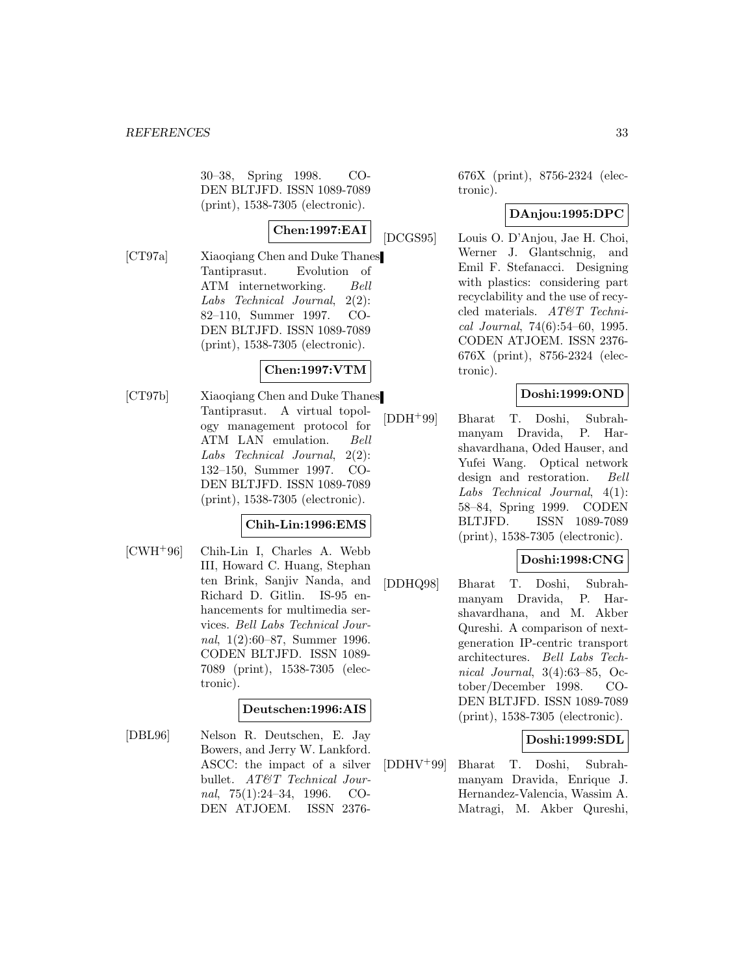30–38, Spring 1998. CO-DEN BLTJFD. ISSN 1089-7089 (print), 1538-7305 (electronic).

# **Chen:1997:EAI**

[CT97a] Xiaoqiang Chen and Duke Thanes Tantiprasut. Evolution of ATM internetworking. Bell Labs Technical Journal, 2(2): 82–110, Summer 1997. CO-DEN BLTJFD. ISSN 1089-7089 (print), 1538-7305 (electronic).

# **Chen:1997:VTM**

[CT97b] Xiaoqiang Chen and Duke Thanes Tantiprasut. A virtual topology management protocol for ATM LAN emulation. Bell Labs Technical Journal, 2(2): 132–150, Summer 1997. CO-DEN BLTJFD. ISSN 1089-7089 (print), 1538-7305 (electronic).

### **Chih-Lin:1996:EMS**

[CWH<sup>+</sup>96] Chih-Lin I, Charles A. Webb III, Howard C. Huang, Stephan ten Brink, Sanjiv Nanda, and Richard D. Gitlin. IS-95 enhancements for multimedia services. Bell Labs Technical Journal, 1(2):60–87, Summer 1996. CODEN BLTJFD. ISSN 1089- 7089 (print), 1538-7305 (electronic).

### **Deutschen:1996:AIS**

[DBL96] Nelson R. Deutschen, E. Jay Bowers, and Jerry W. Lankford. ASCC: the impact of a silver bullet. AT&T Technical Journal, 75(1):24–34, 1996. CO-DEN ATJOEM. ISSN 2376676X (print), 8756-2324 (electronic).

### **DAnjou:1995:DPC**

[DCGS95] Louis O. D'Anjou, Jae H. Choi, Werner J. Glantschnig, and Emil F. Stefanacci. Designing with plastics: considering part recyclability and the use of recycled materials. AT&T Technical Journal, 74(6):54–60, 1995. CODEN ATJOEM. ISSN 2376- 676X (print), 8756-2324 (electronic).

### **Doshi:1999:OND**

[DDH<sup>+</sup>99] Bharat T. Doshi, Subrahmanyam Dravida, P. Harshavardhana, Oded Hauser, and Yufei Wang. Optical network design and restoration. Bell Labs Technical Journal, 4(1): 58–84, Spring 1999. CODEN BLTJFD. ISSN 1089-7089 (print), 1538-7305 (electronic).

#### **Doshi:1998:CNG**

[DDHQ98] Bharat T. Doshi, Subrahmanyam Dravida, P. Harshavardhana, and M. Akber Qureshi. A comparison of nextgeneration IP-centric transport architectures. Bell Labs Technical Journal, 3(4):63–85, October/December 1998. CO-DEN BLTJFD. ISSN 1089-7089 (print), 1538-7305 (electronic).

#### **Doshi:1999:SDL**

[DDHV<sup>+</sup>99] Bharat T. Doshi, Subrahmanyam Dravida, Enrique J. Hernandez-Valencia, Wassim A. Matragi, M. Akber Qureshi,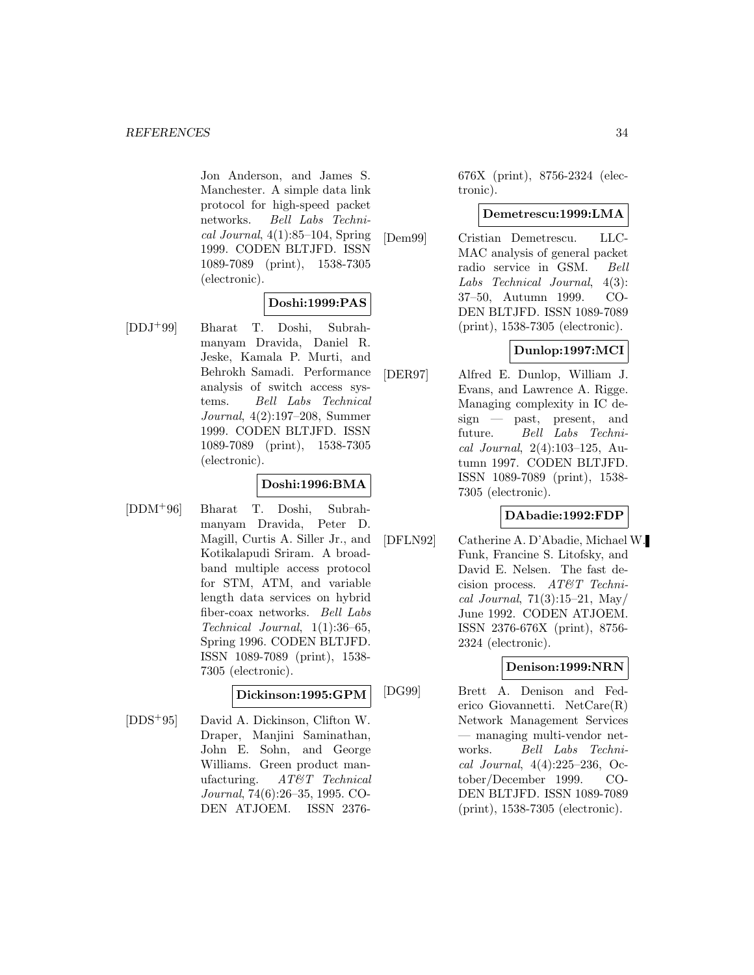Jon Anderson, and James S. Manchester. A simple data link protocol for high-speed packet networks. Bell Labs Techni $cal Journal$ , 4(1):85–104, Spring 1999. CODEN BLTJFD. ISSN 1089-7089 (print), 1538-7305 (electronic).

### **Doshi:1999:PAS**

[DDJ<sup>+</sup>99] Bharat T. Doshi, Subrahmanyam Dravida, Daniel R. Jeske, Kamala P. Murti, and Behrokh Samadi. Performance analysis of switch access systems. Bell Labs Technical Journal, 4(2):197–208, Summer 1999. CODEN BLTJFD. ISSN 1089-7089 (print), 1538-7305 (electronic).

# **Doshi:1996:BMA**

[DDM<sup>+</sup>96] Bharat T. Doshi, Subrahmanyam Dravida, Peter D. Magill, Curtis A. Siller Jr., and Kotikalapudi Sriram. A broadband multiple access protocol for STM, ATM, and variable length data services on hybrid fiber-coax networks. Bell Labs Technical Journal, 1(1):36–65, Spring 1996. CODEN BLTJFD. ISSN 1089-7089 (print), 1538- 7305 (electronic).

### **Dickinson:1995:GPM**

[DDS<sup>+</sup>95] David A. Dickinson, Clifton W. Draper, Manjini Saminathan, John E. Sohn, and George Williams. Green product manufacturing. AT&T Technical Journal, 74(6):26–35, 1995. CO-DEN ATJOEM. ISSN 2376676X (print), 8756-2324 (electronic).

### **Demetrescu:1999:LMA**

[Dem99] Cristian Demetrescu. LLC-MAC analysis of general packet radio service in GSM. Bell Labs Technical Journal, 4(3): 37–50, Autumn 1999. CO-DEN BLTJFD. ISSN 1089-7089 (print), 1538-7305 (electronic).

# **Dunlop:1997:MCI**

[DER97] Alfred E. Dunlop, William J. Evans, and Lawrence A. Rigge. Managing complexity in IC design — past, present, and future. Bell Labs Technical Journal, 2(4):103–125, Autumn 1997. CODEN BLTJFD. ISSN 1089-7089 (print), 1538- 7305 (electronic).

### **DAbadie:1992:FDP**

[DFLN92] Catherine A. D'Abadie, Michael W. Funk, Francine S. Litofsky, and David E. Nelsen. The fast decision process. AT&T Technical Journal,  $71(3):15-21$ , May/ June 1992. CODEN ATJOEM. ISSN 2376-676X (print), 8756- 2324 (electronic).

# **Denison:1999:NRN**

[DG99] Brett A. Denison and Federico Giovannetti. NetCare(R) Network Management Services — managing multi-vendor networks. Bell Labs Technical Journal, 4(4):225–236, October/December 1999. CO-DEN BLTJFD. ISSN 1089-7089 (print), 1538-7305 (electronic).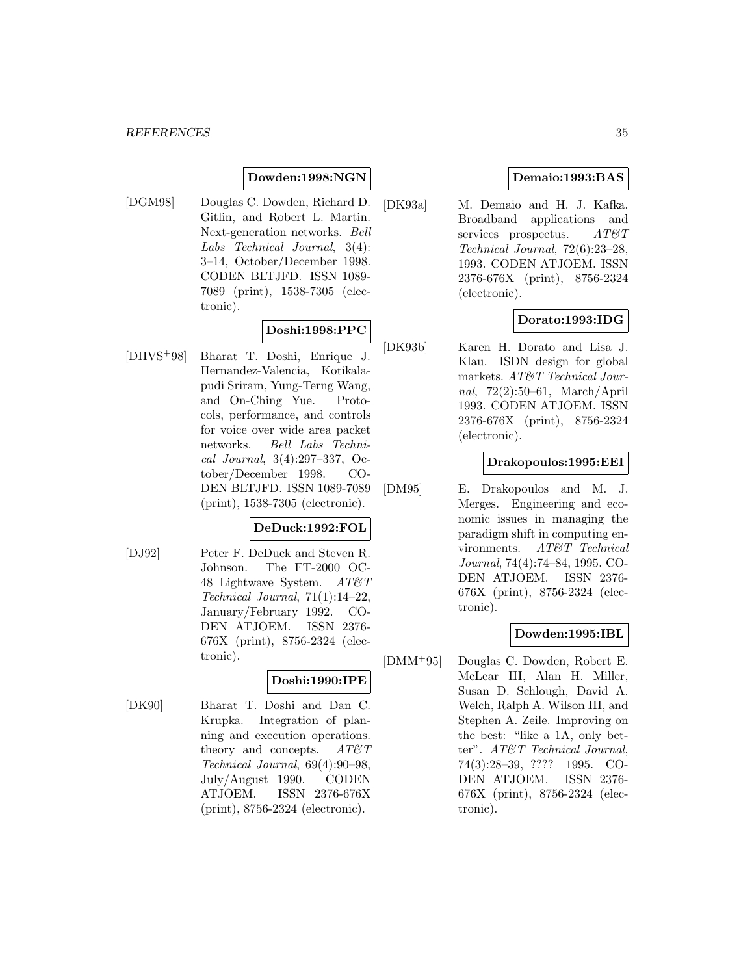### **Dowden:1998:NGN**

[DGM98] Douglas C. Dowden, Richard D. Gitlin, and Robert L. Martin. Next-generation networks. Bell Labs Technical Journal, 3(4): 3–14, October/December 1998. CODEN BLTJFD. ISSN 1089- 7089 (print), 1538-7305 (electronic).

### **Doshi:1998:PPC**

[DHVS<sup>+</sup>98] Bharat T. Doshi, Enrique J. Hernandez-Valencia, Kotikalapudi Sriram, Yung-Terng Wang, and On-Ching Yue. Protocols, performance, and controls for voice over wide area packet networks. Bell Labs Technical Journal, 3(4):297–337, October/December 1998. CO-DEN BLTJFD. ISSN 1089-7089 (print), 1538-7305 (electronic).

#### **DeDuck:1992:FOL**

[DJ92] Peter F. DeDuck and Steven R. Johnson. The FT-2000 OC-48 Lightwave System.  $AT\mathcal{O}T$ Technical Journal, 71(1):14–22, January/February 1992. CO-DEN ATJOEM. ISSN 2376- 676X (print), 8756-2324 (electronic).

### **Doshi:1990:IPE**

[DK90] Bharat T. Doshi and Dan C. Krupka. Integration of planning and execution operations. theory and concepts.  $AT \mathcal{C}T$ Technical Journal, 69(4):90–98, July/August 1990. CODEN ATJOEM. ISSN 2376-676X (print), 8756-2324 (electronic).

### **Demaio:1993:BAS**

[DK93a] M. Demaio and H. J. Kafka. Broadband applications and services prospectus.  $AT\mathcal{B}T$ Technical Journal, 72(6):23–28, 1993. CODEN ATJOEM. ISSN 2376-676X (print), 8756-2324 (electronic).

### **Dorato:1993:IDG**

[DK93b] Karen H. Dorato and Lisa J. Klau. ISDN design for global markets. AT&T Technical Journal, 72(2):50–61, March/April 1993. CODEN ATJOEM. ISSN 2376-676X (print), 8756-2324 (electronic).

#### **Drakopoulos:1995:EEI**

[DM95] E. Drakopoulos and M. J. Merges. Engineering and economic issues in managing the paradigm shift in computing environments. AT&T Technical Journal, 74(4):74–84, 1995. CO-DEN ATJOEM. ISSN 2376- 676X (print), 8756-2324 (electronic).

### **Dowden:1995:IBL**

[DMM<sup>+</sup>95] Douglas C. Dowden, Robert E. McLear III, Alan H. Miller, Susan D. Schlough, David A. Welch, Ralph A. Wilson III, and Stephen A. Zeile. Improving on the best: "like a 1A, only better". AT&T Technical Journal, 74(3):28–39, ???? 1995. CO-DEN ATJOEM. ISSN 2376- 676X (print), 8756-2324 (electronic).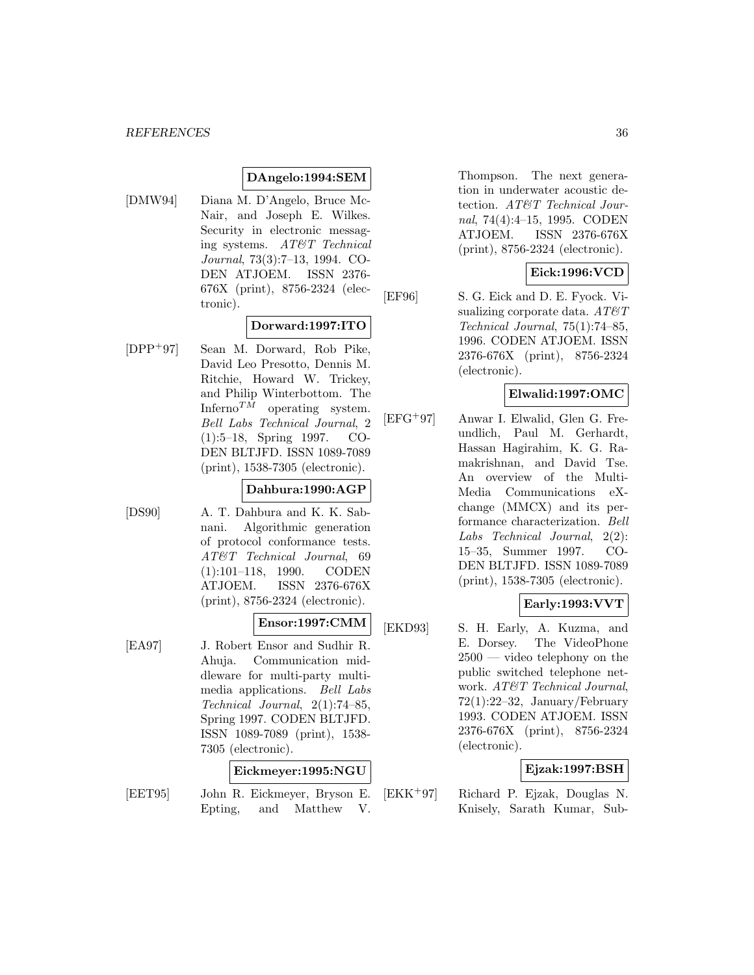#### **DAngelo:1994:SEM**

[DMW94] Diana M. D'Angelo, Bruce Mc-Nair, and Joseph E. Wilkes. Security in electronic messaging systems. AT&T Technical Journal, 73(3):7–13, 1994. CO-DEN ATJOEM. ISSN 2376- 676X (print), 8756-2324 (electronic).

### **Dorward:1997:ITO**

[DPP<sup>+</sup>97] Sean M. Dorward, Rob Pike, David Leo Presotto, Dennis M. Ritchie, Howard W. Trickey, and Philip Winterbottom. The Inferno $^{TM}$  operating system. Bell Labs Technical Journal, 2 (1):5–18, Spring 1997. CO-DEN BLTJFD. ISSN 1089-7089 (print), 1538-7305 (electronic).

### **Dahbura:1990:AGP**

[DS90] A. T. Dahbura and K. K. Sabnani. Algorithmic generation of protocol conformance tests. AT&T Technical Journal, 69 (1):101–118, 1990. CODEN ATJOEM. ISSN 2376-676X (print), 8756-2324 (electronic).

### **Ensor:1997:CMM**

[EA97] J. Robert Ensor and Sudhir R. Ahuja. Communication middleware for multi-party multimedia applications. Bell Labs Technical Journal, 2(1):74–85, Spring 1997. CODEN BLTJFD. ISSN 1089-7089 (print), 1538- 7305 (electronic).

#### **Eickmeyer:1995:NGU**

[EET95] John R. Eickmeyer, Bryson E. Epting, and Matthew V.

Thompson. The next generation in underwater acoustic detection. AT&T Technical Journal, 74(4):4–15, 1995. CODEN ATJOEM. ISSN 2376-676X (print), 8756-2324 (electronic).

### **Eick:1996:VCD**

[EF96] S. G. Eick and D. E. Fyock. Visualizing corporate data.  $AT\&T$ Technical Journal, 75(1):74–85, 1996. CODEN ATJOEM. ISSN 2376-676X (print), 8756-2324 (electronic).

### **Elwalid:1997:OMC**

[EFG<sup>+</sup>97] Anwar I. Elwalid, Glen G. Freundlich, Paul M. Gerhardt, Hassan Hagirahim, K. G. Ramakrishnan, and David Tse. An overview of the Multi-Media Communications eXchange (MMCX) and its performance characterization. Bell Labs Technical Journal, 2(2): 15–35, Summer 1997. CO-DEN BLTJFD. ISSN 1089-7089 (print), 1538-7305 (electronic).

### **Early:1993:VVT**

[EKD93] S. H. Early, A. Kuzma, and E. Dorsey. The VideoPhone  $2500 -$  video telephony on the public switched telephone network. AT&T Technical Journal, 72(1):22–32, January/February 1993. CODEN ATJOEM. ISSN 2376-676X (print), 8756-2324 (electronic).

#### **Ejzak:1997:BSH**

[EKK<sup>+</sup>97] Richard P. Ejzak, Douglas N. Knisely, Sarath Kumar, Sub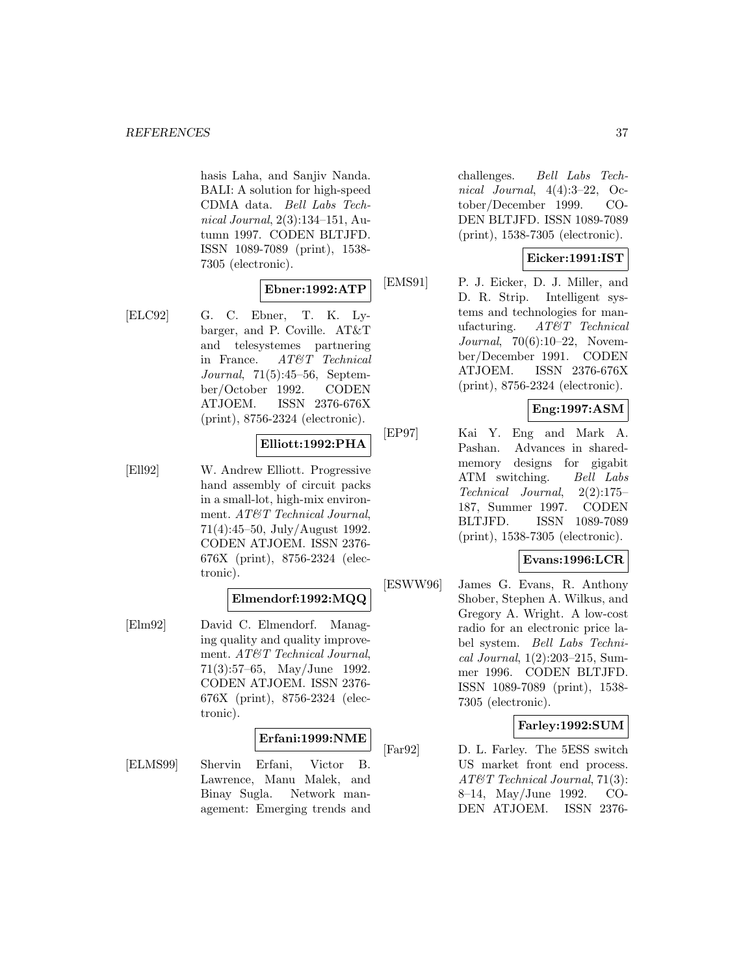hasis Laha, and Sanjiv Nanda. BALI: A solution for high-speed CDMA data. Bell Labs Technical Journal, 2(3):134–151, Autumn 1997. CODEN BLTJFD. ISSN 1089-7089 (print), 1538- 7305 (electronic).

# **Ebner:1992:ATP**

[ELC92] G. C. Ebner, T. K. Lybarger, and P. Coville. AT&T and telesystemes partnering in France. AT&T Technical Journal, 71(5):45–56, September/October 1992. CODEN ATJOEM. ISSN 2376-676X (print), 8756-2324 (electronic).

#### **Elliott:1992:PHA**

[Ell92] W. Andrew Elliott. Progressive hand assembly of circuit packs in a small-lot, high-mix environment. AT&T Technical Journal, 71(4):45–50, July/August 1992. CODEN ATJOEM. ISSN 2376- 676X (print), 8756-2324 (electronic).

#### **Elmendorf:1992:MQQ**

[Elm92] David C. Elmendorf. Managing quality and quality improvement. AT&T Technical Journal, 71(3):57–65, May/June 1992. CODEN ATJOEM. ISSN 2376- 676X (print), 8756-2324 (electronic).

#### **Erfani:1999:NME**

[ELMS99] Shervin Erfani, Victor B. Lawrence, Manu Malek, and Binay Sugla. Network management: Emerging trends and

challenges. Bell Labs Technical Journal, 4(4):3–22, October/December 1999. CO-DEN BLTJFD. ISSN 1089-7089 (print), 1538-7305 (electronic).

### **Eicker:1991:IST**

[EMS91] P. J. Eicker, D. J. Miller, and D. R. Strip. Intelligent systems and technologies for manufacturing. AT&T Technical Journal, 70(6):10–22, November/December 1991. CODEN ATJOEM. ISSN 2376-676X (print), 8756-2324 (electronic).

### **Eng:1997:ASM**

[EP97] Kai Y. Eng and Mark A. Pashan. Advances in sharedmemory designs for gigabit ATM switching. Bell Labs Technical Journal, 2(2):175– 187, Summer 1997. CODEN BLTJFD. ISSN 1089-7089 (print), 1538-7305 (electronic).

#### **Evans:1996:LCR**

[ESWW96] James G. Evans, R. Anthony Shober, Stephen A. Wilkus, and Gregory A. Wright. A low-cost radio for an electronic price label system. Bell Labs Technical Journal, 1(2):203–215, Summer 1996. CODEN BLTJFD. ISSN 1089-7089 (print), 1538- 7305 (electronic).

#### **Farley:1992:SUM**

[Far92] D. L. Farley. The 5ESS switch US market front end process. AT&T Technical Journal, 71(3): 8–14, May/June 1992. CO-DEN ATJOEM. ISSN 2376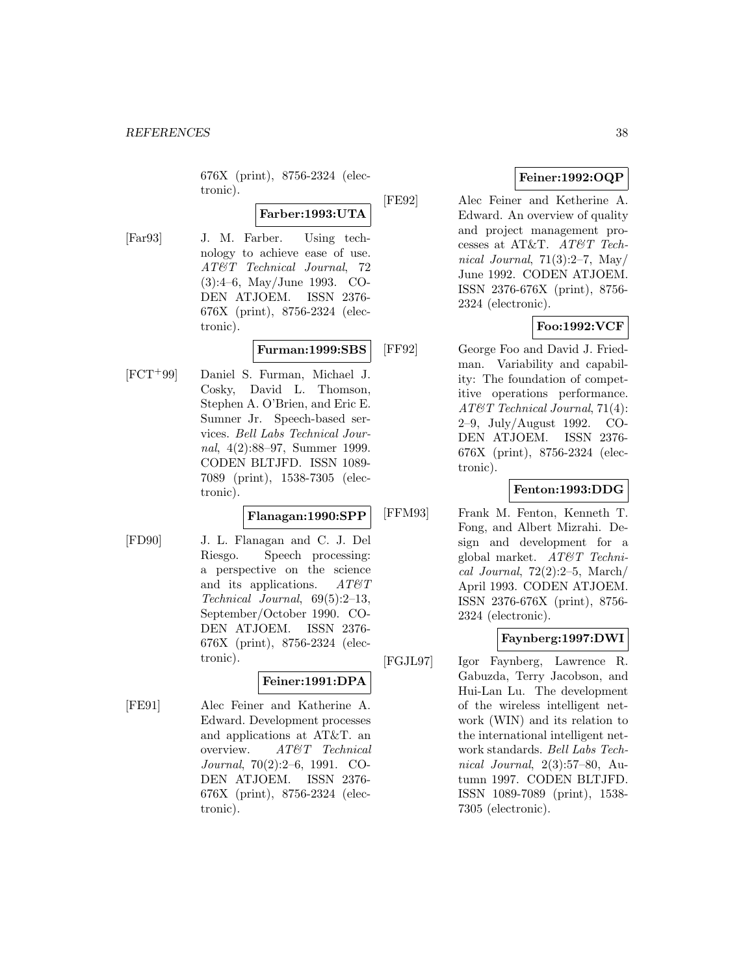676X (print), 8756-2324 (electronic).

**Farber:1993:UTA**

[Far93] J. M. Farber. Using technology to achieve ease of use. AT&T Technical Journal, 72 (3):4–6, May/June 1993. CO-DEN ATJOEM. ISSN 2376- 676X (print), 8756-2324 (electronic).

# **Furman:1999:SBS**

[FCT<sup>+</sup>99] Daniel S. Furman, Michael J. Cosky, David L. Thomson, Stephen A. O'Brien, and Eric E. Sumner Jr. Speech-based services. Bell Labs Technical Journal, 4(2):88–97, Summer 1999. CODEN BLTJFD. ISSN 1089- 7089 (print), 1538-7305 (electronic).

#### **Flanagan:1990:SPP**

[FD90] J. L. Flanagan and C. J. Del Riesgo. Speech processing: a perspective on the science and its applications.  $AT \& T$ Technical Journal, 69(5):2–13, September/October 1990. CO-DEN ATJOEM. ISSN 2376- 676X (print), 8756-2324 (electronic).

### **Feiner:1991:DPA**

[FE91] Alec Feiner and Katherine A. Edward. Development processes and applications at AT&T. an overview. AT&T Technical Journal, 70(2):2–6, 1991. CO-DEN ATJOEM. ISSN 2376- 676X (print), 8756-2324 (electronic).

# **Feiner:1992:OQP**

[FE92] Alec Feiner and Ketherine A. Edward. An overview of quality and project management processes at AT&T. AT&T Technical Journal,  $71(3):2-7$ , May June 1992. CODEN ATJOEM. ISSN 2376-676X (print), 8756- 2324 (electronic).

# **Foo:1992:VCF**

[FF92] George Foo and David J. Friedman. Variability and capability: The foundation of competitive operations performance. AT&T Technical Journal, 71(4): 2–9, July/August 1992. CO-DEN ATJOEM. ISSN 2376- 676X (print), 8756-2324 (electronic).

## **Fenton:1993:DDG**

[FFM93] Frank M. Fenton, Kenneth T. Fong, and Albert Mizrahi. Design and development for a global market. AT&T Technical Journal,  $72(2):2-5$ , March/ April 1993. CODEN ATJOEM. ISSN 2376-676X (print), 8756- 2324 (electronic).

### **Faynberg:1997:DWI**

[FGJL97] Igor Faynberg, Lawrence R. Gabuzda, Terry Jacobson, and Hui-Lan Lu. The development of the wireless intelligent network (WIN) and its relation to the international intelligent network standards. Bell Labs Technical Journal, 2(3):57–80, Autumn 1997. CODEN BLTJFD. ISSN 1089-7089 (print), 1538- 7305 (electronic).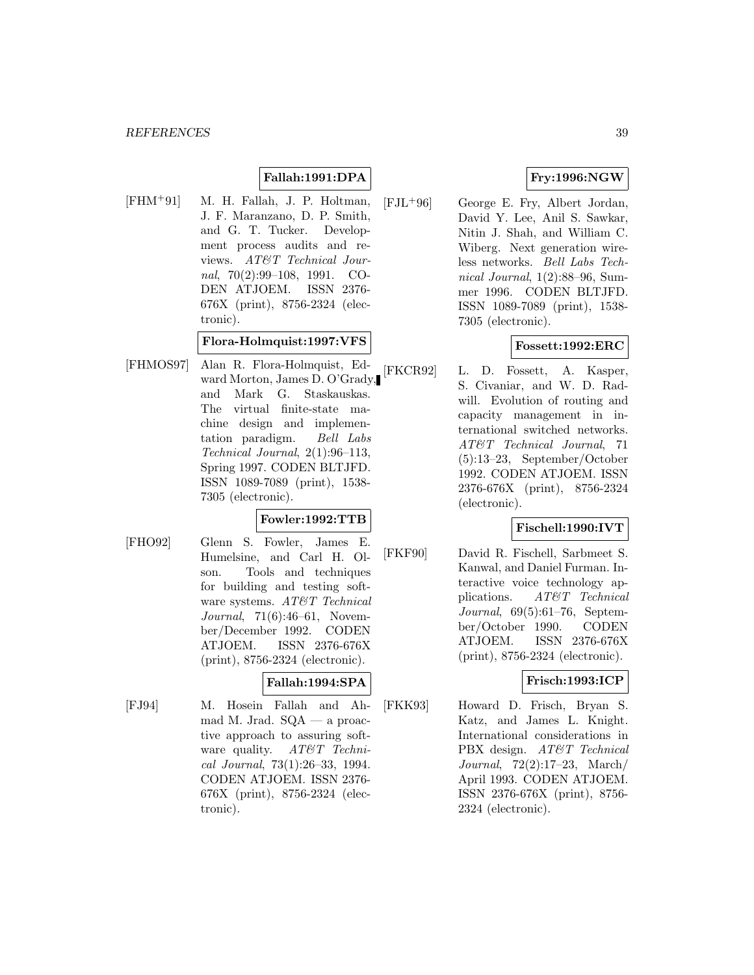# **Fallah:1991:DPA**

[FHM<sup>+</sup>91] M. H. Fallah, J. P. Holtman, J. F. Maranzano, D. P. Smith, and G. T. Tucker. Development process audits and reviews. AT&T Technical Journal,  $70(2):99-108$ , 1991. CO-DEN ATJOEM. ISSN 2376- 676X (print), 8756-2324 (electronic).

**Flora-Holmquist:1997:VFS**

[FHMOS97] Alan R. Flora-Holmquist, Edward Morton, James D. O'Grady, and Mark G. Staskauskas. The virtual finite-state machine design and implementation paradigm. Bell Labs Technical Journal, 2(1):96–113, Spring 1997. CODEN BLTJFD. ISSN 1089-7089 (print), 1538- 7305 (electronic).

### **Fowler:1992:TTB**

[FHO92] Glenn S. Fowler, James E. Humelsine, and Carl H. Olson. Tools and techniques for building and testing software systems. AT&T Technical Journal, 71(6):46–61, November/December 1992. CODEN ATJOEM. ISSN 2376-676X (print), 8756-2324 (electronic).

### **Fallah:1994:SPA**

[FJ94] M. Hosein Fallah and Ahmad M. Jrad.  $SQA - a$  proactive approach to assuring software quality. AT&T Technical Journal, 73(1):26–33, 1994. CODEN ATJOEM. ISSN 2376- 676X (print), 8756-2324 (electronic).

# **Fry:1996:NGW**

[FJL<sup>+</sup>96] George E. Fry, Albert Jordan, David Y. Lee, Anil S. Sawkar, Nitin J. Shah, and William C. Wiberg. Next generation wireless networks. Bell Labs Technical Journal, 1(2):88–96, Summer 1996. CODEN BLTJFD. ISSN 1089-7089 (print), 1538- 7305 (electronic).

## **Fossett:1992:ERC**

[FKCR92] L. D. Fossett, A. Kasper, S. Civaniar, and W. D. Radwill. Evolution of routing and capacity management in international switched networks. AT&T Technical Journal, 71 (5):13–23, September/October 1992. CODEN ATJOEM. ISSN 2376-676X (print), 8756-2324 (electronic).

### **Fischell:1990:IVT**

[FKF90] David R. Fischell, Sarbmeet S. Kanwal, and Daniel Furman. Interactive voice technology applications. AT&T Technical Journal, 69(5):61–76, September/October 1990. CODEN ATJOEM. ISSN 2376-676X (print), 8756-2324 (electronic).

### **Frisch:1993:ICP**

[FKK93] Howard D. Frisch, Bryan S. Katz, and James L. Knight. International considerations in PBX design. AT&T Technical Journal, 72(2):17–23, March/ April 1993. CODEN ATJOEM. ISSN 2376-676X (print), 8756- 2324 (electronic).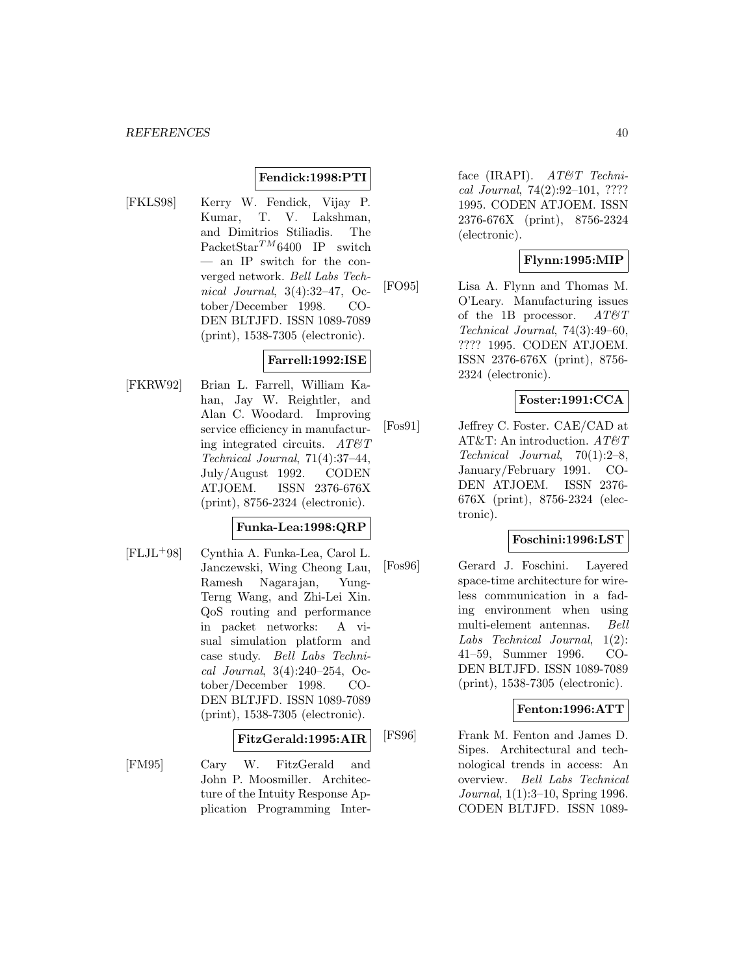#### **Fendick:1998:PTI**

[FKLS98] Kerry W. Fendick, Vijay P. Kumar, T. V. Lakshman, and Dimitrios Stiliadis. The PacketStar<sup>TM</sup>6400 IP switch — an IP switch for the converged network. Bell Labs Technical Journal, 3(4):32–47, October/December 1998. CO-DEN BLTJFD. ISSN 1089-7089 (print), 1538-7305 (electronic).

### **Farrell:1992:ISE**

[FKRW92] Brian L. Farrell, William Kahan, Jay W. Reightler, and Alan C. Woodard. Improving service efficiency in manufacturing integrated circuits.  $AT\&T$ Technical Journal, 71(4):37–44, July/August 1992. CODEN ATJOEM. ISSN 2376-676X (print), 8756-2324 (electronic).

# **Funka-Lea:1998:QRP**

[FLJL<sup>+</sup>98] Cynthia A. Funka-Lea, Carol L. Janczewski, Wing Cheong Lau, Ramesh Nagarajan, Yung-Terng Wang, and Zhi-Lei Xin. QoS routing and performance in packet networks: A visual simulation platform and case study. Bell Labs Technical Journal, 3(4):240–254, October/December 1998. CO-DEN BLTJFD. ISSN 1089-7089 (print), 1538-7305 (electronic).

#### **FitzGerald:1995:AIR**

[FM95] Cary W. FitzGerald and John P. Moosmiller. Architecture of the Intuity Response Application Programming Inter-

face (IRAPI). AT&T Technical Journal, 74(2):92–101, ???? 1995. CODEN ATJOEM. ISSN 2376-676X (print), 8756-2324 (electronic).

### **Flynn:1995:MIP**

[FO95] Lisa A. Flynn and Thomas M. O'Leary. Manufacturing issues of the 1B processor.  $AT\mathcal{O}T$ Technical Journal, 74(3):49–60, ???? 1995. CODEN ATJOEM. ISSN 2376-676X (print), 8756- 2324 (electronic).

### **Foster:1991:CCA**

[Fos91] Jeffrey C. Foster. CAE/CAD at AT&T: An introduction. AT&T Technical Journal, 70(1):2–8, January/February 1991. CO-DEN ATJOEM. ISSN 2376- 676X (print), 8756-2324 (electronic).

#### **Foschini:1996:LST**

[Fos96] Gerard J. Foschini. Layered space-time architecture for wireless communication in a fading environment when using multi-element antennas. Bell Labs Technical Journal, 1(2): 41–59, Summer 1996. CO-DEN BLTJFD. ISSN 1089-7089 (print), 1538-7305 (electronic).

#### **Fenton:1996:ATT**

[FS96] Frank M. Fenton and James D. Sipes. Architectural and technological trends in access: An overview. Bell Labs Technical Journal, 1(1):3–10, Spring 1996. CODEN BLTJFD. ISSN 1089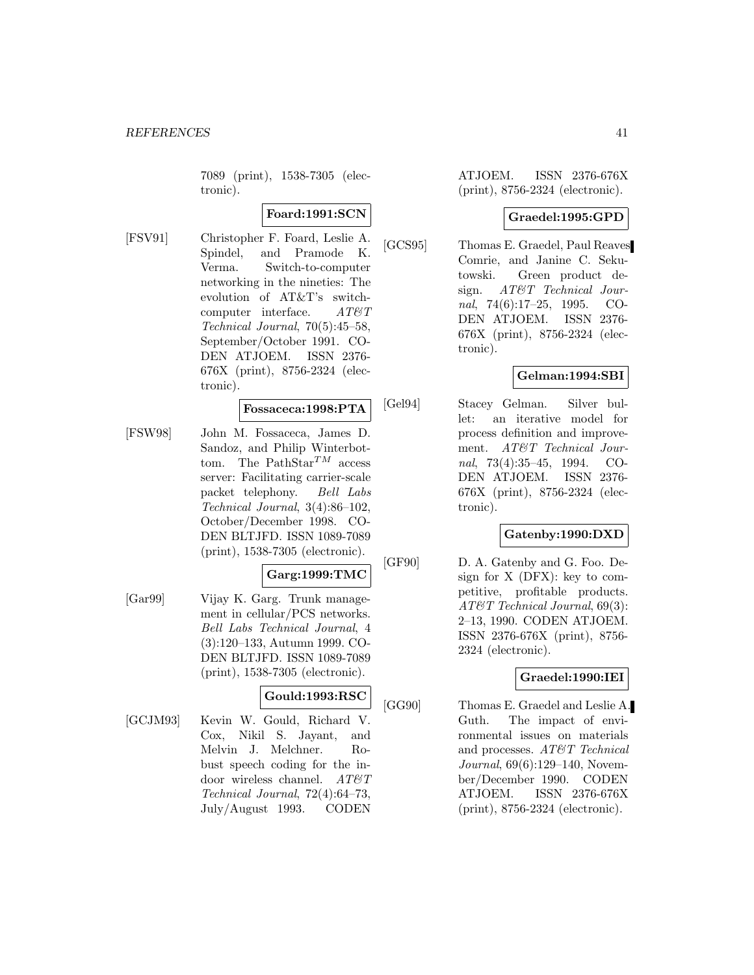7089 (print), 1538-7305 (electronic).

## **Foard:1991:SCN**

[FSV91] Christopher F. Foard, Leslie A. Spindel, and Pramode K. Verma. Switch-to-computer networking in the nineties: The evolution of AT&T's switchcomputer interface.  $AT\&T$ Technical Journal, 70(5):45–58, September/October 1991. CO-DEN ATJOEM. ISSN 2376- 676X (print), 8756-2324 (electronic).

#### **Fossaceca:1998:PTA**

[FSW98] John M. Fossaceca, James D. Sandoz, and Philip Winterbottom. The PathStar<sup>TM</sup> access server: Facilitating carrier-scale packet telephony. Bell Labs Technical Journal, 3(4):86–102, October/December 1998. CO-DEN BLTJFD. ISSN 1089-7089 (print), 1538-7305 (electronic).

#### **Garg:1999:TMC**

[Gar99] Vijay K. Garg. Trunk management in cellular/PCS networks. Bell Labs Technical Journal, 4 (3):120–133, Autumn 1999. CO-DEN BLTJFD. ISSN 1089-7089 (print), 1538-7305 (electronic).

### **Gould:1993:RSC**

[GCJM93] Kevin W. Gould, Richard V. Cox, Nikil S. Jayant, and Melvin J. Melchner. Robust speech coding for the indoor wireless channel.  $AT\&T$ Technical Journal, 72(4):64–73, July/August 1993. CODEN

ATJOEM. ISSN 2376-676X (print), 8756-2324 (electronic).

### **Graedel:1995:GPD**

[GCS95] Thomas E. Graedel, Paul Reaves Comrie, and Janine C. Sekutowski. Green product design. AT&T Technical Journal, 74(6):17–25, 1995. CO-DEN ATJOEM. ISSN 2376- 676X (print), 8756-2324 (electronic).

### **Gelman:1994:SBI**

[Gel94] Stacey Gelman. Silver bullet: an iterative model for process definition and improvement. AT&T Technical Journal, 73(4):35–45, 1994. CO-DEN ATJOEM. ISSN 2376- 676X (print), 8756-2324 (electronic).

#### **Gatenby:1990:DXD**

[GF90] D. A. Gatenby and G. Foo. Design for X (DFX): key to competitive, profitable products. AT&T Technical Journal, 69(3): 2–13, 1990. CODEN ATJOEM. ISSN 2376-676X (print), 8756- 2324 (electronic).

# **Graedel:1990:IEI**

[GG90] Thomas E. Graedel and Leslie A. Guth. The impact of environmental issues on materials and processes. AT&T Technical Journal, 69(6):129–140, November/December 1990. CODEN ATJOEM. ISSN 2376-676X (print), 8756-2324 (electronic).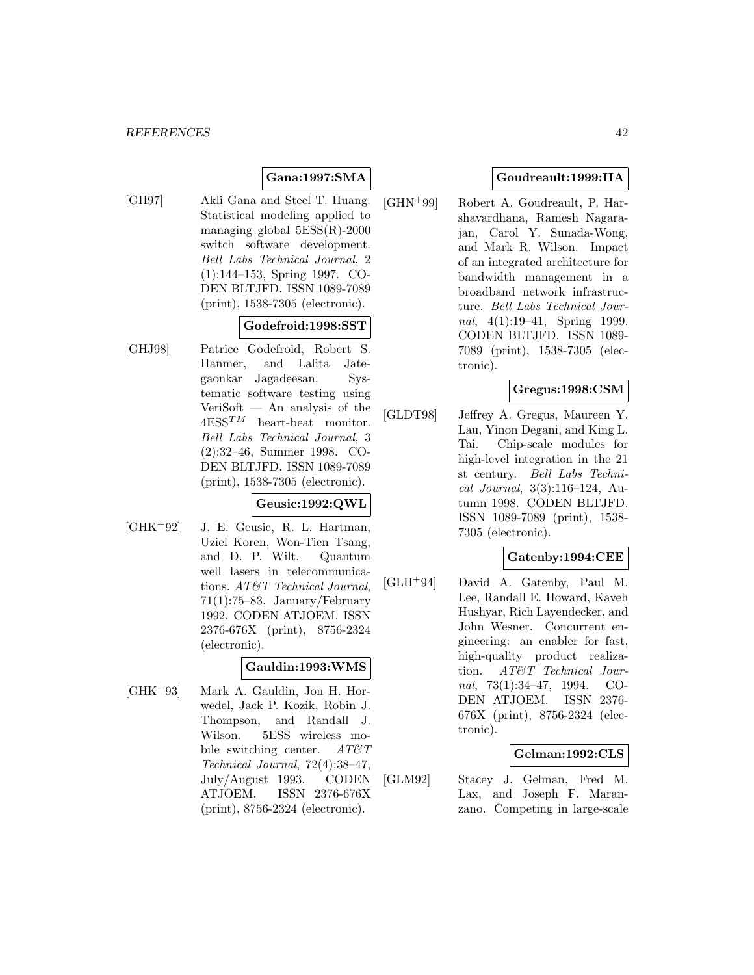# **Gana:1997:SMA**

[GH97] Akli Gana and Steel T. Huang. Statistical modeling applied to managing global 5ESS(R)-2000 switch software development. Bell Labs Technical Journal, 2 (1):144–153, Spring 1997. CO-DEN BLTJFD. ISSN 1089-7089 (print), 1538-7305 (electronic).

## **Godefroid:1998:SST**

[GHJ98] Patrice Godefroid, Robert S. Hanmer, and Lalita Jategaonkar Jagadeesan. Systematic software testing using VeriSoft — An analysis of the  $4 \text{ESS}^{TM}$  heart-beat monitor. Bell Labs Technical Journal, 3 (2):32–46, Summer 1998. CO-DEN BLTJFD. ISSN 1089-7089 (print), 1538-7305 (electronic).

### **Geusic:1992:QWL**

[GHK<sup>+</sup>92] J. E. Geusic, R. L. Hartman, Uziel Koren, Won-Tien Tsang, and D. P. Wilt. Quantum well lasers in telecommunications. AT&T Technical Journal, 71(1):75–83, January/February 1992. CODEN ATJOEM. ISSN 2376-676X (print), 8756-2324 (electronic).

#### **Gauldin:1993:WMS**

[GHK<sup>+</sup>93] Mark A. Gauldin, Jon H. Horwedel, Jack P. Kozik, Robin J. Thompson, and Randall J. Wilson. 5ESS wireless mobile switching center.  $AT \mathcal{C}T$ Technical Journal, 72(4):38–47, July/August 1993. CODEN ATJOEM. ISSN 2376-676X (print), 8756-2324 (electronic).

## **Goudreault:1999:IIA**

[GHN<sup>+</sup>99] Robert A. Goudreault, P. Harshavardhana, Ramesh Nagarajan, Carol Y. Sunada-Wong, and Mark R. Wilson. Impact of an integrated architecture for bandwidth management in a broadband network infrastructure. Bell Labs Technical Journal, 4(1):19–41, Spring 1999. CODEN BLTJFD. ISSN 1089- 7089 (print), 1538-7305 (electronic).

### **Gregus:1998:CSM**

[GLDT98] Jeffrey A. Gregus, Maureen Y. Lau, Yinon Degani, and King L. Tai. Chip-scale modules for high-level integration in the 21 st century. Bell Labs Technical Journal, 3(3):116–124, Autumn 1998. CODEN BLTJFD. ISSN 1089-7089 (print), 1538- 7305 (electronic).

#### **Gatenby:1994:CEE**

[GLH<sup>+</sup>94] David A. Gatenby, Paul M. Lee, Randall E. Howard, Kaveh Hushyar, Rich Layendecker, and John Wesner. Concurrent engineering: an enabler for fast, high-quality product realization. AT&T Technical Journal, 73(1):34–47, 1994. CO-DEN ATJOEM. ISSN 2376- 676X (print), 8756-2324 (electronic).

#### **Gelman:1992:CLS**

[GLM92] Stacey J. Gelman, Fred M. Lax, and Joseph F. Maranzano. Competing in large-scale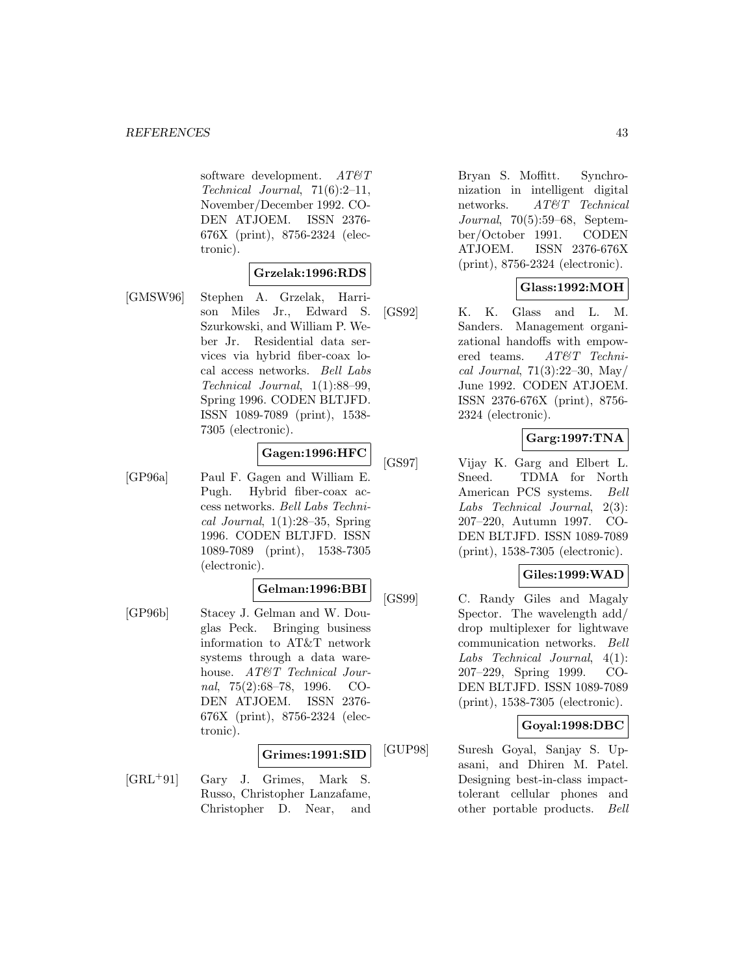software development.  $AT\&T$ Technical Journal, 71(6):2–11, November/December 1992. CO-DEN ATJOEM. ISSN 2376- 676X (print), 8756-2324 (electronic).

#### **Grzelak:1996:RDS**

[GMSW96] Stephen A. Grzelak, Harrison Miles Jr., Edward S. Szurkowski, and William P. Weber Jr. Residential data services via hybrid fiber-coax local access networks. Bell Labs Technical Journal, 1(1):88–99, Spring 1996. CODEN BLTJFD. ISSN 1089-7089 (print), 1538- 7305 (electronic).

## **Gagen:1996:HFC**

[GP96a] Paul F. Gagen and William E. Pugh. Hybrid fiber-coax access networks. Bell Labs Technical Journal, 1(1):28–35, Spring 1996. CODEN BLTJFD. ISSN 1089-7089 (print), 1538-7305 (electronic).

# **Gelman:1996:BBI**

[GP96b] Stacey J. Gelman and W. Douglas Peck. Bringing business information to AT&T network systems through a data warehouse. AT&T Technical Journal, 75(2):68–78, 1996. CO-DEN ATJOEM. ISSN 2376- 676X (print), 8756-2324 (electronic).

#### **Grimes:1991:SID**

[GRL<sup>+</sup>91] Gary J. Grimes, Mark S. Russo, Christopher Lanzafame, Christopher D. Near, and

Bryan S. Moffitt. Synchronization in intelligent digital networks. AT&T Technical Journal, 70(5):59–68, September/October 1991. CODEN ATJOEM. ISSN 2376-676X (print), 8756-2324 (electronic).

### **Glass:1992:MOH**

[GS92] K. K. Glass and L. M. Sanders. Management organizational handoffs with empowered teams. AT&T Technical Journal,  $71(3):22-30$ , May June 1992. CODEN ATJOEM. ISSN 2376-676X (print), 8756- 2324 (electronic).

### **Garg:1997:TNA**

[GS97] Vijay K. Garg and Elbert L. Sneed. TDMA for North American PCS systems. Bell Labs Technical Journal, 2(3): 207–220, Autumn 1997. CO-DEN BLTJFD. ISSN 1089-7089 (print), 1538-7305 (electronic).

### **Giles:1999:WAD**

[GS99] C. Randy Giles and Magaly Spector. The wavelength add/ drop multiplexer for lightwave communication networks. Bell Labs Technical Journal, 4(1): 207–229, Spring 1999. CO-DEN BLTJFD. ISSN 1089-7089 (print), 1538-7305 (electronic).

# **Goyal:1998:DBC**

[GUP98] Suresh Goyal, Sanjay S. Upasani, and Dhiren M. Patel. Designing best-in-class impacttolerant cellular phones and other portable products. Bell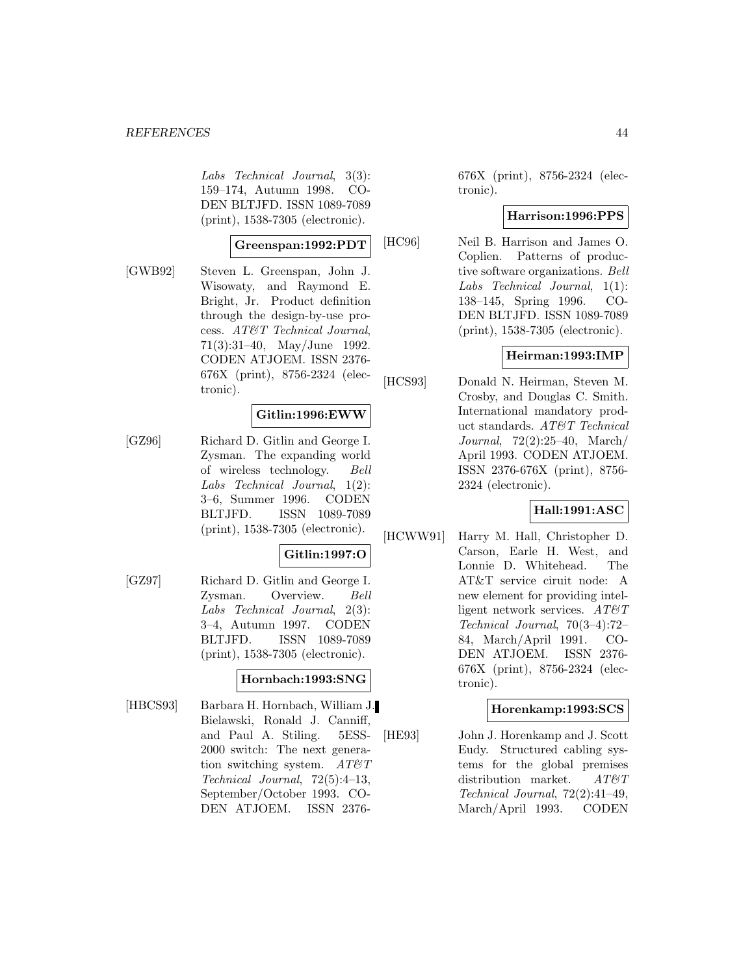Labs Technical Journal, 3(3): 159–174, Autumn 1998. CO-DEN BLTJFD. ISSN 1089-7089 (print), 1538-7305 (electronic).

#### **Greenspan:1992:PDT**

[GWB92] Steven L. Greenspan, John J. Wisowaty, and Raymond E. Bright, Jr. Product definition through the design-by-use process. AT&T Technical Journal, 71(3):31–40, May/June 1992. CODEN ATJOEM. ISSN 2376- 676X (print), 8756-2324 (electronic).

#### **Gitlin:1996:EWW**

[GZ96] Richard D. Gitlin and George I. Zysman. The expanding world of wireless technology. Bell Labs Technical Journal, 1(2): 3–6, Summer 1996. CODEN BLTJFD. ISSN 1089-7089 (print), 1538-7305 (electronic).

### **Gitlin:1997:O**

[GZ97] Richard D. Gitlin and George I. Zysman. Overview. Bell Labs Technical Journal, 2(3): 3–4, Autumn 1997. CODEN BLTJFD. ISSN 1089-7089 (print), 1538-7305 (electronic).

#### **Hornbach:1993:SNG**

[HBCS93] Barbara H. Hornbach, William J. Bielawski, Ronald J. Canniff, and Paul A. Stiling. 5ESS-2000 switch: The next generation switching system.  $AT \mathcal{C}T$ Technical Journal, 72(5):4–13, September/October 1993. CO-DEN ATJOEM. ISSN 2376676X (print), 8756-2324 (electronic).

### **Harrison:1996:PPS**

[HC96] Neil B. Harrison and James O. Coplien. Patterns of productive software organizations. Bell Labs Technical Journal, 1(1): 138–145, Spring 1996. CO-DEN BLTJFD. ISSN 1089-7089 (print), 1538-7305 (electronic).

#### **Heirman:1993:IMP**

[HCS93] Donald N. Heirman, Steven M. Crosby, and Douglas C. Smith. International mandatory product standards. AT&T Technical Journal, 72(2):25–40, March/ April 1993. CODEN ATJOEM. ISSN 2376-676X (print), 8756- 2324 (electronic).

#### **Hall:1991:ASC**

[HCWW91] Harry M. Hall, Christopher D. Carson, Earle H. West, and Lonnie D. Whitehead. The AT&T service ciruit node: A new element for providing intelligent network services.  $AT\&T$ Technical Journal, 70(3–4):72– 84, March/April 1991. CO-DEN ATJOEM. ISSN 2376- 676X (print), 8756-2324 (electronic).

#### **Horenkamp:1993:SCS**

[HE93] John J. Horenkamp and J. Scott Eudy. Structured cabling systems for the global premises distribution market. AT&T Technical Journal, 72(2):41–49, March/April 1993. CODEN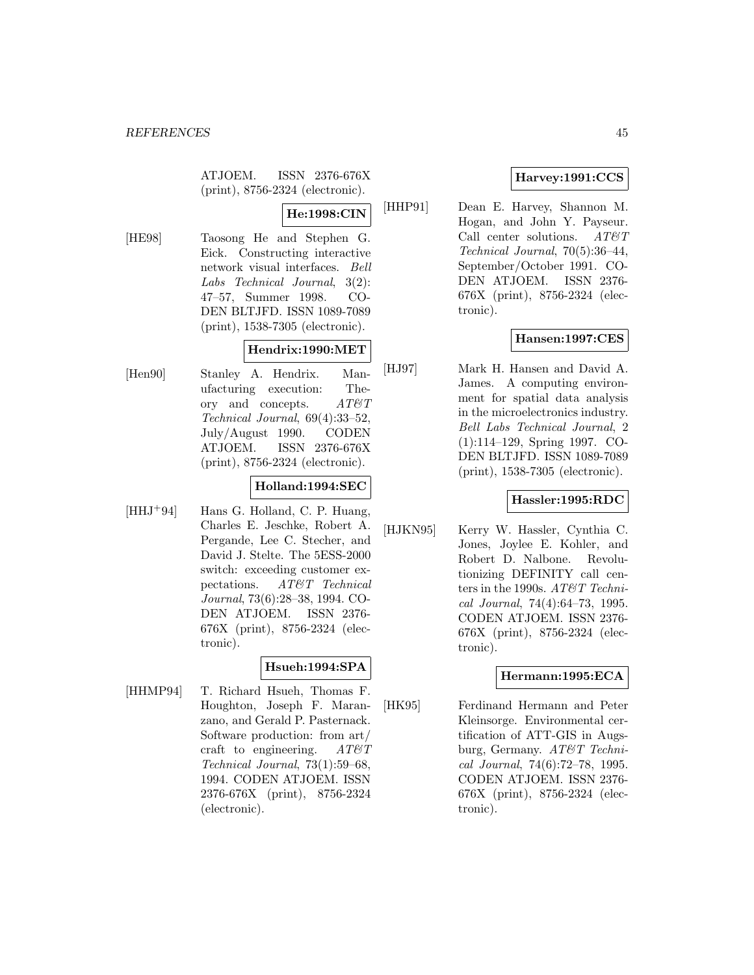ATJOEM. ISSN 2376-676X (print), 8756-2324 (electronic).

# **He:1998:CIN**

[HE98] Taosong He and Stephen G. Eick. Constructing interactive network visual interfaces. Bell Labs Technical Journal, 3(2): 47–57, Summer 1998. CO-DEN BLTJFD. ISSN 1089-7089 (print), 1538-7305 (electronic).

### **Hendrix:1990:MET**

[Hen90] Stanley A. Hendrix. Manufacturing execution: Theory and concepts.  $AT\mathcal{C}T$ Technical Journal, 69(4):33–52, July/August 1990. CODEN ATJOEM. ISSN 2376-676X (print), 8756-2324 (electronic).

#### **Holland:1994:SEC**

 $[HHJ+94]$  Hans G. Holland, C. P. Huang, Charles E. Jeschke, Robert A. Pergande, Lee C. Stecher, and David J. Stelte. The 5ESS-2000 switch: exceeding customer expectations. AT&T Technical Journal, 73(6):28–38, 1994. CO-DEN ATJOEM. ISSN 2376- 676X (print), 8756-2324 (electronic).

### **Hsueh:1994:SPA**

[HHMP94] T. Richard Hsueh, Thomas F. Houghton, Joseph F. Maranzano, and Gerald P. Pasternack. Software production: from art/ craft to engineering.  $AT \mathcal{C}T$ Technical Journal, 73(1):59–68, 1994. CODEN ATJOEM. ISSN 2376-676X (print), 8756-2324 (electronic).

# **Harvey:1991:CCS**

[HHP91] Dean E. Harvey, Shannon M. Hogan, and John Y. Payseur. Call center solutions.  $AT \& T$ Technical Journal, 70(5):36–44, September/October 1991. CO-DEN ATJOEM. ISSN 2376- 676X (print), 8756-2324 (electronic).

### **Hansen:1997:CES**

[HJ97] Mark H. Hansen and David A. James. A computing environment for spatial data analysis in the microelectronics industry. Bell Labs Technical Journal, 2 (1):114–129, Spring 1997. CO-DEN BLTJFD. ISSN 1089-7089 (print), 1538-7305 (electronic).

### **Hassler:1995:RDC**

[HJKN95] Kerry W. Hassler, Cynthia C. Jones, Joylee E. Kohler, and Robert D. Nalbone. Revolutionizing DEFINITY call centers in the 1990s. AT&T Technical Journal, 74(4):64–73, 1995. CODEN ATJOEM. ISSN 2376- 676X (print), 8756-2324 (electronic).

### **Hermann:1995:ECA**

[HK95] Ferdinand Hermann and Peter Kleinsorge. Environmental certification of ATT-GIS in Augsburg, Germany. AT&T Technical Journal, 74(6):72–78, 1995. CODEN ATJOEM. ISSN 2376- 676X (print), 8756-2324 (electronic).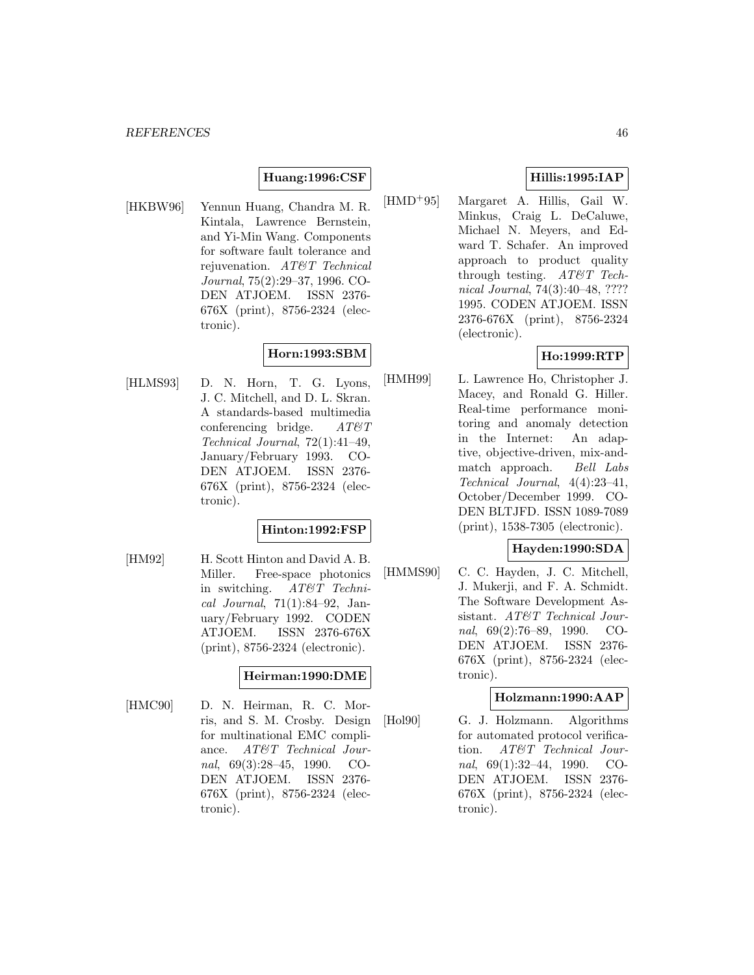### **Huang:1996:CSF**

[HKBW96] Yennun Huang, Chandra M. R. Kintala, Lawrence Bernstein, and Yi-Min Wang. Components for software fault tolerance and rejuvenation. AT&T Technical Journal, 75(2):29–37, 1996. CO-DEN ATJOEM. ISSN 2376- 676X (print), 8756-2324 (electronic).

# **Horn:1993:SBM**

[HLMS93] D. N. Horn, T. G. Lyons, J. C. Mitchell, and D. L. Skran. A standards-based multimedia conferencing bridge.  $AT \mathcal{C}T$ Technical Journal, 72(1):41–49, January/February 1993. CO-DEN ATJOEM. ISSN 2376- 676X (print), 8756-2324 (electronic).

#### **Hinton:1992:FSP**

[HM92] H. Scott Hinton and David A. B. Miller. Free-space photonics in switching. AT&T Technical Journal, 71(1):84–92, January/February 1992. CODEN ATJOEM. ISSN 2376-676X (print), 8756-2324 (electronic).

### **Heirman:1990:DME**

[HMC90] D. N. Heirman, R. C. Morris, and S. M. Crosby. Design for multinational EMC compliance. AT&T Technical Journal, 69(3):28–45, 1990. CO-DEN ATJOEM. ISSN 2376- 676X (print), 8756-2324 (electronic).

## **Hillis:1995:IAP**

[HMD<sup>+</sup>95] Margaret A. Hillis, Gail W. Minkus, Craig L. DeCaluwe, Michael N. Meyers, and Edward T. Schafer. An improved approach to product quality through testing. AT&T Technical Journal, 74(3):40–48, ???? 1995. CODEN ATJOEM. ISSN 2376-676X (print), 8756-2324 (electronic).

### **Ho:1999:RTP**

[HMH99] L. Lawrence Ho, Christopher J. Macey, and Ronald G. Hiller. Real-time performance monitoring and anomaly detection in the Internet: An adaptive, objective-driven, mix-andmatch approach. Bell Labs Technical Journal, 4(4):23–41, October/December 1999. CO-DEN BLTJFD. ISSN 1089-7089 (print), 1538-7305 (electronic).

## **Hayden:1990:SDA**

[HMMS90] C. C. Hayden, J. C. Mitchell, J. Mukerji, and F. A. Schmidt. The Software Development Assistant. AT&T Technical Journal, 69(2):76–89, 1990. CO-DEN ATJOEM. ISSN 2376- 676X (print), 8756-2324 (electronic).

#### **Holzmann:1990:AAP**

[Hol90] G. J. Holzmann. Algorithms for automated protocol verification. AT&T Technical Journal, 69(1):32–44, 1990. CO-DEN ATJOEM. ISSN 2376- 676X (print), 8756-2324 (electronic).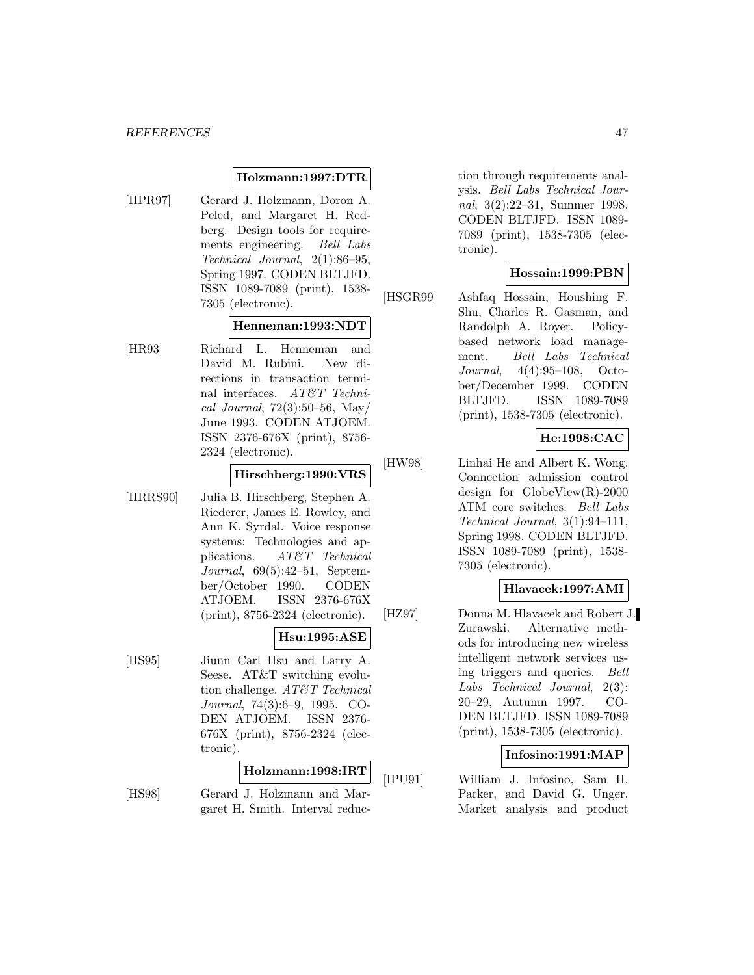#### **Holzmann:1997:DTR**

[HPR97] Gerard J. Holzmann, Doron A. Peled, and Margaret H. Redberg. Design tools for requirements engineering. Bell Labs Technical Journal, 2(1):86–95, Spring 1997. CODEN BLTJFD. ISSN 1089-7089 (print), 1538- 7305 (electronic).

#### **Henneman:1993:NDT**

[HR93] Richard L. Henneman and David M. Rubini. New directions in transaction terminal interfaces. AT&T Technical Journal,  $72(3):50-56$ , May/ June 1993. CODEN ATJOEM. ISSN 2376-676X (print), 8756- 2324 (electronic).

# **Hirschberg:1990:VRS**

[HRRS90] Julia B. Hirschberg, Stephen A. Riederer, James E. Rowley, and Ann K. Syrdal. Voice response systems: Technologies and applications. AT&T Technical Journal, 69(5):42–51, September/October 1990. CODEN ATJOEM. ISSN 2376-676X (print), 8756-2324 (electronic).

#### **Hsu:1995:ASE**

[HS95] Jiunn Carl Hsu and Larry A. Seese. AT&T switching evolution challenge. AT&T Technical Journal, 74(3):6–9, 1995. CO-DEN ATJOEM. ISSN 2376- 676X (print), 8756-2324 (electronic).

#### **Holzmann:1998:IRT**

[HS98] Gerard J. Holzmann and Margaret H. Smith. Interval reduc-

tion through requirements analysis. Bell Labs Technical Journal, 3(2):22–31, Summer 1998. CODEN BLTJFD. ISSN 1089- 7089 (print), 1538-7305 (electronic).

#### **Hossain:1999:PBN**

[HSGR99] Ashfaq Hossain, Houshing F. Shu, Charles R. Gasman, and Randolph A. Royer. Policybased network load management. Bell Labs Technical Journal, 4(4):95–108, October/December 1999. CODEN BLTJFD. ISSN 1089-7089 (print), 1538-7305 (electronic).

#### **He:1998:CAC**

[HW98] Linhai He and Albert K. Wong. Connection admission control design for GlobeView(R)-2000 ATM core switches. Bell Labs Technical Journal, 3(1):94–111, Spring 1998. CODEN BLTJFD. ISSN 1089-7089 (print), 1538- 7305 (electronic).

#### **Hlavacek:1997:AMI**

[HZ97] Donna M. Hlavacek and Robert J. Zurawski. Alternative methods for introducing new wireless intelligent network services using triggers and queries. Bell Labs Technical Journal, 2(3): 20–29, Autumn 1997. CO-DEN BLTJFD. ISSN 1089-7089 (print), 1538-7305 (electronic).

#### **Infosino:1991:MAP**

[IPU91] William J. Infosino, Sam H. Parker, and David G. Unger. Market analysis and product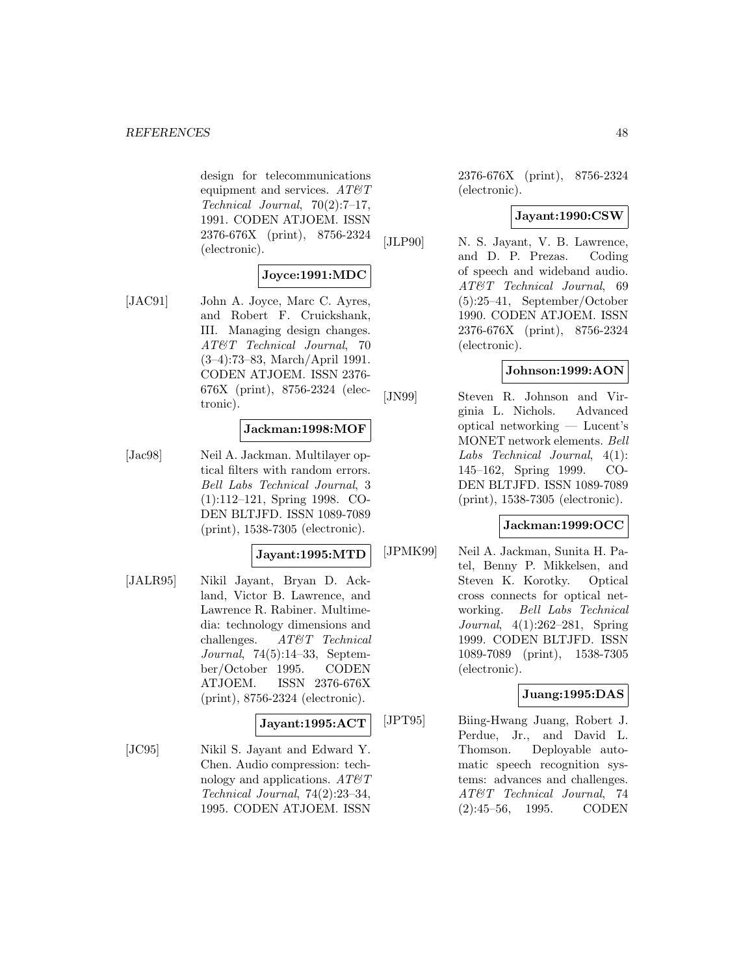design for telecommunications equipment and services.  $AT\mathcal{O}T$ Technical Journal, 70(2):7–17, 1991. CODEN ATJOEM. ISSN 2376-676X (print), 8756-2324 (electronic).

# **Joyce:1991:MDC**

[JAC91] John A. Joyce, Marc C. Ayres, and Robert F. Cruickshank, III. Managing design changes. AT&T Technical Journal, 70 (3–4):73–83, March/April 1991. CODEN ATJOEM. ISSN 2376- 676X (print), 8756-2324 (electronic).

#### **Jackman:1998:MOF**

[Jac98] Neil A. Jackman. Multilayer optical filters with random errors. Bell Labs Technical Journal, 3 (1):112–121, Spring 1998. CO-DEN BLTJFD. ISSN 1089-7089 (print), 1538-7305 (electronic).

#### **Jayant:1995:MTD**

[JALR95] Nikil Jayant, Bryan D. Ackland, Victor B. Lawrence, and Lawrence R. Rabiner. Multimedia: technology dimensions and challenges. AT&T Technical Journal, 74(5):14–33, September/October 1995. CODEN ATJOEM. ISSN 2376-676X (print), 8756-2324 (electronic).

# **Jayant:1995:ACT**

[JC95] Nikil S. Jayant and Edward Y. Chen. Audio compression: technology and applications.  $AT \mathcal{C}T$ Technical Journal, 74(2):23–34, 1995. CODEN ATJOEM. ISSN

2376-676X (print), 8756-2324 (electronic).

### **Jayant:1990:CSW**

[JLP90] N. S. Jayant, V. B. Lawrence, and D. P. Prezas. Coding of speech and wideband audio. AT&T Technical Journal, 69 (5):25–41, September/October 1990. CODEN ATJOEM. ISSN 2376-676X (print), 8756-2324 (electronic).

#### **Johnson:1999:AON**

[JN99] Steven R. Johnson and Virginia L. Nichols. Advanced optical networking — Lucent's MONET network elements. Bell Labs Technical Journal, 4(1): 145–162, Spring 1999. CO-DEN BLTJFD. ISSN 1089-7089 (print), 1538-7305 (electronic).

#### **Jackman:1999:OCC**

[JPMK99] Neil A. Jackman, Sunita H. Patel, Benny P. Mikkelsen, and Steven K. Korotky. Optical cross connects for optical networking. Bell Labs Technical Journal, 4(1):262–281, Spring 1999. CODEN BLTJFD. ISSN 1089-7089 (print), 1538-7305 (electronic).

#### **Juang:1995:DAS**

[JPT95] Biing-Hwang Juang, Robert J. Perdue, Jr., and David L. Thomson. Deployable automatic speech recognition systems: advances and challenges. AT&T Technical Journal, 74 (2):45–56, 1995. CODEN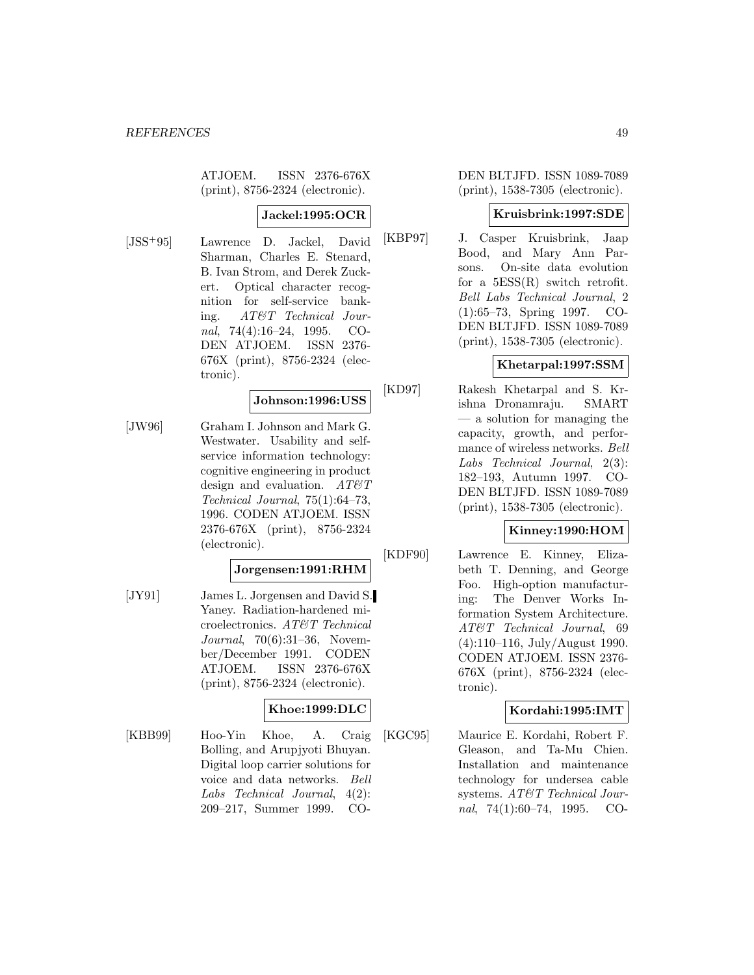ATJOEM. ISSN 2376-676X (print), 8756-2324 (electronic).

## **Jackel:1995:OCR**

[JSS<sup>+</sup>95] Lawrence D. Jackel, David Sharman, Charles E. Stenard, B. Ivan Strom, and Derek Zuckert. Optical character recognition for self-service banking. AT&T Technical Journal, 74(4):16–24, 1995. CO-DEN ATJOEM. ISSN 2376- 676X (print), 8756-2324 (electronic).

#### **Johnson:1996:USS**

[JW96] Graham I. Johnson and Mark G. Westwater. Usability and selfservice information technology: cognitive engineering in product design and evaluation.  $AT \mathcal{C}T$ Technical Journal, 75(1):64–73, 1996. CODEN ATJOEM. ISSN 2376-676X (print), 8756-2324 (electronic).

## **Jorgensen:1991:RHM**

[JY91] James L. Jorgensen and David S. Yaney. Radiation-hardened microelectronics. AT&T Technical Journal, 70(6):31–36, November/December 1991. CODEN ATJOEM. ISSN 2376-676X (print), 8756-2324 (electronic).

### **Khoe:1999:DLC**

[KBB99] Hoo-Yin Khoe, A. Craig Bolling, and Arupjyoti Bhuyan. Digital loop carrier solutions for voice and data networks. Bell Labs Technical Journal, 4(2): 209–217, Summer 1999. CO-

DEN BLTJFD. ISSN 1089-7089 (print), 1538-7305 (electronic).

#### **Kruisbrink:1997:SDE**

[KBP97] J. Casper Kruisbrink, Jaap Bood, and Mary Ann Parsons. On-site data evolution for a  $5ESS(R)$  switch retrofit. Bell Labs Technical Journal, 2 (1):65–73, Spring 1997. CO-DEN BLTJFD. ISSN 1089-7089 (print), 1538-7305 (electronic).

## **Khetarpal:1997:SSM**

[KD97] Rakesh Khetarpal and S. Krishna Dronamraju. SMART — a solution for managing the capacity, growth, and performance of wireless networks. Bell Labs Technical Journal, 2(3): 182–193, Autumn 1997. CO-DEN BLTJFD. ISSN 1089-7089 (print), 1538-7305 (electronic).

#### **Kinney:1990:HOM**

[KDF90] Lawrence E. Kinney, Elizabeth T. Denning, and George Foo. High-option manufacturing: The Denver Works Information System Architecture. AT&T Technical Journal, 69 (4):110–116, July/August 1990. CODEN ATJOEM. ISSN 2376- 676X (print), 8756-2324 (electronic).

### **Kordahi:1995:IMT**

[KGC95] Maurice E. Kordahi, Robert F. Gleason, and Ta-Mu Chien. Installation and maintenance technology for undersea cable systems. AT&T Technical Journal, 74(1):60–74, 1995. CO-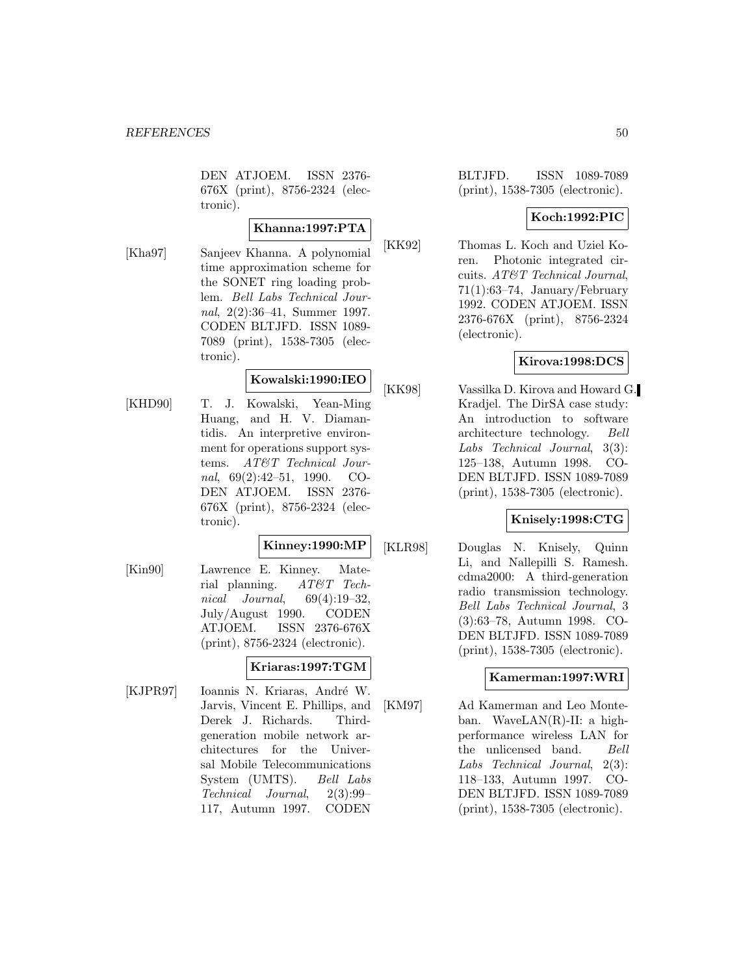DEN ATJOEM. ISSN 2376- 676X (print), 8756-2324 (electronic).

# **Khanna:1997:PTA**

[Kha97] Sanjeev Khanna. A polynomial time approximation scheme for the SONET ring loading problem. Bell Labs Technical Journal, 2(2):36–41, Summer 1997. CODEN BLTJFD. ISSN 1089- 7089 (print), 1538-7305 (electronic).

### **Kowalski:1990:IEO**

[KHD90] T. J. Kowalski, Yean-Ming Huang, and H. V. Diamantidis. An interpretive environment for operations support systems. AT&T Technical Journal, 69(2):42–51, 1990. CO-DEN ATJOEM. ISSN 2376- 676X (print), 8756-2324 (electronic).

### **Kinney:1990:MP**

[Kin90] Lawrence E. Kinney. Material planning. AT&T Technical Journal, 69(4):19–32, July/August 1990. CODEN ATJOEM. ISSN 2376-676X (print), 8756-2324 (electronic).

### **Kriaras:1997:TGM**

[KJPR97] Ioannis N. Kriaras, André W. Jarvis, Vincent E. Phillips, and Derek J. Richards. Thirdgeneration mobile network architectures for the Universal Mobile Telecommunications System (UMTS). Bell Labs Technical Journal, 2(3):99– 117, Autumn 1997. CODEN

BLTJFD. ISSN 1089-7089 (print), 1538-7305 (electronic).

# **Koch:1992:PIC**

[KK92] Thomas L. Koch and Uziel Koren. Photonic integrated circuits. AT&T Technical Journal,  $71(1):63-74$ , January/February 1992. CODEN ATJOEM. ISSN 2376-676X (print), 8756-2324 (electronic).

### **Kirova:1998:DCS**

[KK98] Vassilka D. Kirova and Howard G. Kradjel. The DirSA case study: An introduction to software architecture technology. Bell Labs Technical Journal, 3(3): 125–138, Autumn 1998. CO-DEN BLTJFD. ISSN 1089-7089 (print), 1538-7305 (electronic).

### **Knisely:1998:CTG**

[KLR98] Douglas N. Knisely, Quinn Li, and Nallepilli S. Ramesh. cdma2000: A third-generation radio transmission technology. Bell Labs Technical Journal, 3 (3):63–78, Autumn 1998. CO-DEN BLTJFD. ISSN 1089-7089 (print), 1538-7305 (electronic).

# **Kamerman:1997:WRI**

[KM97] Ad Kamerman and Leo Monteban. WaveLAN(R)-II: a highperformance wireless LAN for the unlicensed band. Bell Labs Technical Journal, 2(3): 118–133, Autumn 1997. CO-DEN BLTJFD. ISSN 1089-7089 (print), 1538-7305 (electronic).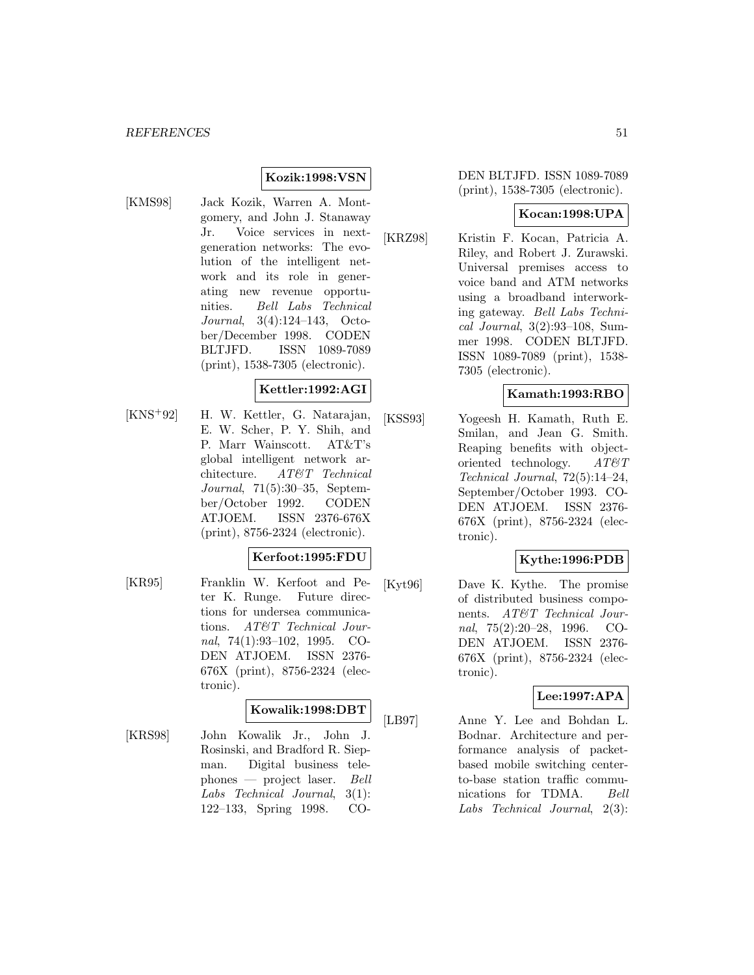**Kozik:1998:VSN**

[KMS98] Jack Kozik, Warren A. Montgomery, and John J. Stanaway Jr. Voice services in nextgeneration networks: The evolution of the intelligent network and its role in generating new revenue opportunities. Bell Labs Technical Journal, 3(4):124–143, October/December 1998. CODEN BLTJFD. ISSN 1089-7089 (print), 1538-7305 (electronic).

### **Kettler:1992:AGI**

[KNS<sup>+</sup>92] H. W. Kettler, G. Natarajan, E. W. Scher, P. Y. Shih, and P. Marr Wainscott. AT&T's global intelligent network architecture. AT&T Technical Journal, 71(5):30–35, September/October 1992. CODEN ATJOEM. ISSN 2376-676X (print), 8756-2324 (electronic).

#### **Kerfoot:1995:FDU**

[KR95] Franklin W. Kerfoot and Peter K. Runge. Future directions for undersea communications. AT&T Technical Journal, 74(1):93–102, 1995. CO-DEN ATJOEM. ISSN 2376- 676X (print), 8756-2324 (electronic).

# **Kowalik:1998:DBT**

[KRS98] John Kowalik Jr., John J. Rosinski, and Bradford R. Siepman. Digital business telephones — project laser. Bell Labs Technical Journal, 3(1): 122–133, Spring 1998. CO-

#### DEN BLTJFD. ISSN 1089-7089 (print), 1538-7305 (electronic).

#### **Kocan:1998:UPA**

[KRZ98] Kristin F. Kocan, Patricia A. Riley, and Robert J. Zurawski. Universal premises access to voice band and ATM networks using a broadband interworking gateway. Bell Labs Technical Journal, 3(2):93–108, Summer 1998. CODEN BLTJFD. ISSN 1089-7089 (print), 1538- 7305 (electronic).

#### **Kamath:1993:RBO**

[KSS93] Yogeesh H. Kamath, Ruth E. Smilan, and Jean G. Smith. Reaping benefits with objectoriented technology. AT&T Technical Journal, 72(5):14–24, September/October 1993. CO-DEN ATJOEM. ISSN 2376- 676X (print), 8756-2324 (electronic).

#### **Kythe:1996:PDB**

[Kyt96] Dave K. Kythe. The promise of distributed business components. AT&T Technical Journal, 75(2):20–28, 1996. CO-DEN ATJOEM. ISSN 2376- 676X (print), 8756-2324 (electronic).

#### **Lee:1997:APA**

[LB97] Anne Y. Lee and Bohdan L. Bodnar. Architecture and performance analysis of packetbased mobile switching centerto-base station traffic communications for TDMA. Bell Labs Technical Journal, 2(3):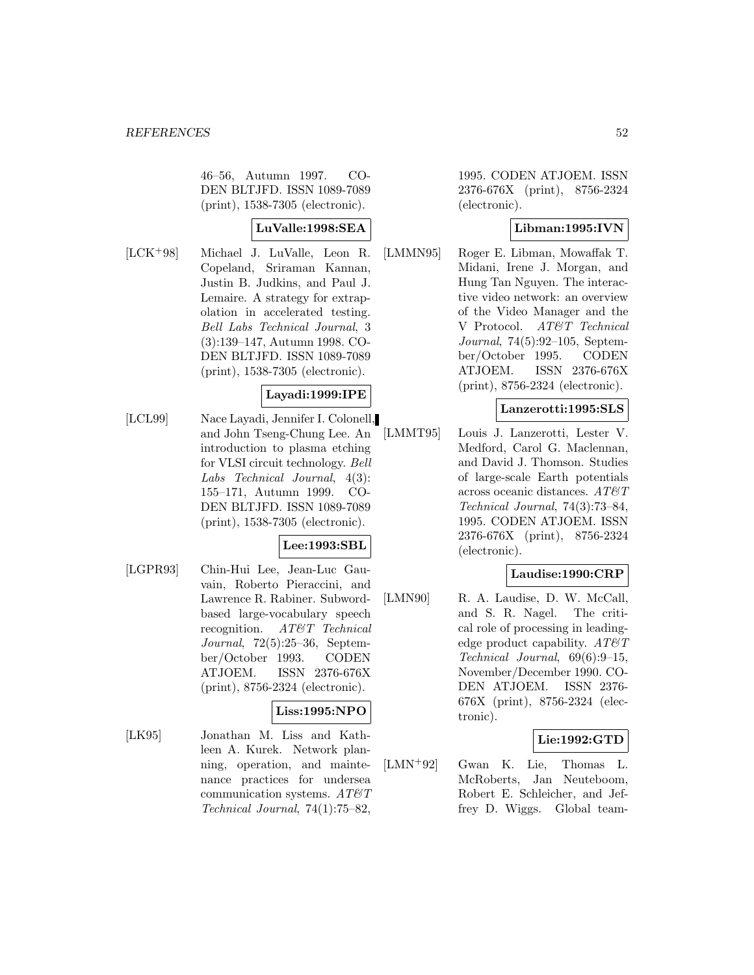46–56, Autumn 1997. CO-DEN BLTJFD. ISSN 1089-7089 (print), 1538-7305 (electronic).

## **LuValle:1998:SEA**

[LCK<sup>+</sup>98] Michael J. LuValle, Leon R. Copeland, Sriraman Kannan, Justin B. Judkins, and Paul J. Lemaire. A strategy for extrapolation in accelerated testing. Bell Labs Technical Journal, 3 (3):139–147, Autumn 1998. CO-DEN BLTJFD. ISSN 1089-7089 (print), 1538-7305 (electronic).

### **Layadi:1999:IPE**

[LCL99] Nace Layadi, Jennifer I. Colonell, and John Tseng-Chung Lee. An introduction to plasma etching for VLSI circuit technology. Bell Labs Technical Journal, 4(3): 155–171, Autumn 1999. CO-DEN BLTJFD. ISSN 1089-7089 (print), 1538-7305 (electronic).

### **Lee:1993:SBL**

[LGPR93] Chin-Hui Lee, Jean-Luc Gauvain, Roberto Pieraccini, and Lawrence R. Rabiner. Subwordbased large-vocabulary speech recognition. AT&T Technical Journal, 72(5):25–36, September/October 1993. CODEN ATJOEM. ISSN 2376-676X (print), 8756-2324 (electronic).

# **Liss:1995:NPO**

[LK95] Jonathan M. Liss and Kathleen A. Kurek. Network planning, operation, and maintenance practices for undersea communication systems.  $AT\mathcal{C}T$ Technical Journal, 74(1):75–82,

1995. CODEN ATJOEM. ISSN 2376-676X (print), 8756-2324 (electronic).

### **Libman:1995:IVN**

[LMMN95] Roger E. Libman, Mowaffak T. Midani, Irene J. Morgan, and Hung Tan Nguyen. The interactive video network: an overview of the Video Manager and the V Protocol. AT&T Technical Journal, 74(5):92–105, September/October 1995. CODEN ATJOEM. ISSN 2376-676X (print), 8756-2324 (electronic).

### **Lanzerotti:1995:SLS**

[LMMT95] Louis J. Lanzerotti, Lester V. Medford, Carol G. Maclennan, and David J. Thomson. Studies of large-scale Earth potentials across oceanic distances.  $AT \& T$ Technical Journal, 74(3):73–84, 1995. CODEN ATJOEM. ISSN 2376-676X (print), 8756-2324 (electronic).

#### **Laudise:1990:CRP**

[LMN90] R. A. Laudise, D. W. McCall, and S. R. Nagel. The critical role of processing in leadingedge product capability.  $AT\&T$ Technical Journal, 69(6):9–15, November/December 1990. CO-DEN ATJOEM. ISSN 2376- 676X (print), 8756-2324 (electronic).

#### **Lie:1992:GTD**

[LMN<sup>+</sup>92] Gwan K. Lie, Thomas L. McRoberts, Jan Neuteboom, Robert E. Schleicher, and Jeffrey D. Wiggs. Global team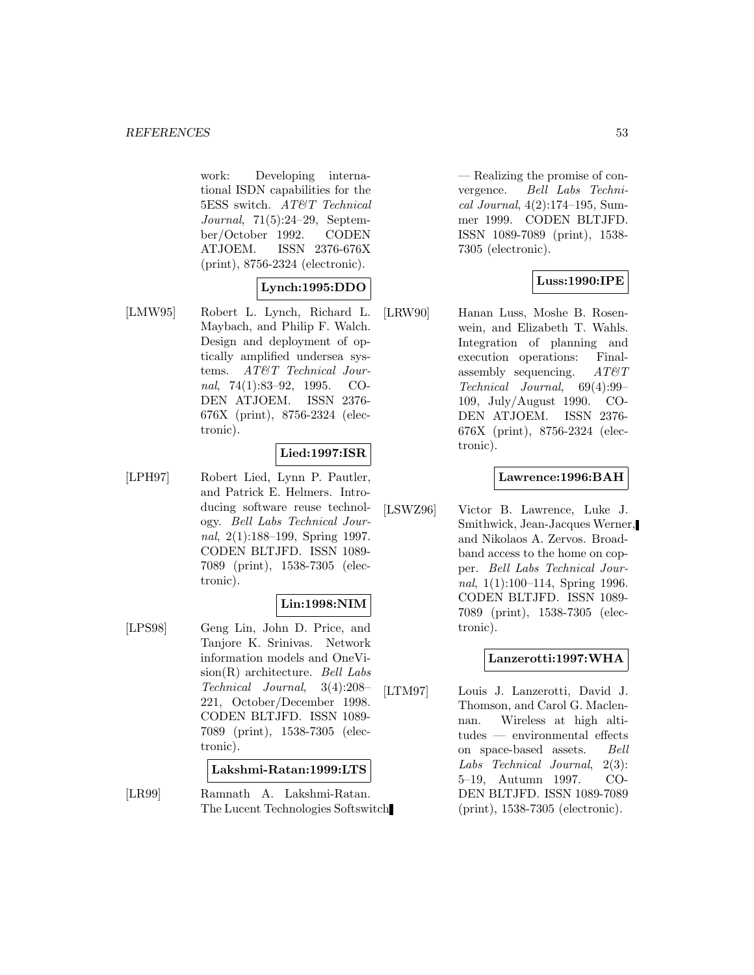work: Developing international ISDN capabilities for the 5ESS switch. AT&T Technical Journal, 71(5):24–29, September/October 1992. CODEN ATJOEM. ISSN 2376-676X (print), 8756-2324 (electronic).

### **Lynch:1995:DDO**

[LMW95] Robert L. Lynch, Richard L. Maybach, and Philip F. Walch. Design and deployment of optically amplified undersea systems. AT&T Technical Journal, 74(1):83–92, 1995. CO-DEN ATJOEM. ISSN 2376- 676X (print), 8756-2324 (electronic).

#### **Lied:1997:ISR**

[LPH97] Robert Lied, Lynn P. Pautler, and Patrick E. Helmers. Introducing software reuse technology. Bell Labs Technical Journal, 2(1):188–199, Spring 1997. CODEN BLTJFD. ISSN 1089- 7089 (print), 1538-7305 (electronic).

# **Lin:1998:NIM**

[LPS98] Geng Lin, John D. Price, and Tanjore K. Srinivas. Network information models and OneVi $sion(R)$  architecture. Bell Labs Technical Journal, 3(4):208– 221, October/December 1998. CODEN BLTJFD. ISSN 1089- 7089 (print), 1538-7305 (electronic).

#### **Lakshmi-Ratan:1999:LTS**

[LR99] Ramnath A. Lakshmi-Ratan. The Lucent Technologies Softswitch

— Realizing the promise of convergence. Bell Labs Technical Journal, 4(2):174–195, Summer 1999. CODEN BLTJFD. ISSN 1089-7089 (print), 1538- 7305 (electronic).

### **Luss:1990:IPE**

[LRW90] Hanan Luss, Moshe B. Rosenwein, and Elizabeth T. Wahls. Integration of planning and execution operations: Finalassembly sequencing.  $AT\mathcal{O}T$ Technical Journal, 69(4):99– 109, July/August 1990. CO-DEN ATJOEM. ISSN 2376- 676X (print), 8756-2324 (electronic).

### **Lawrence:1996:BAH**

[LSWZ96] Victor B. Lawrence, Luke J. Smithwick, Jean-Jacques Werner, and Nikolaos A. Zervos. Broadband access to the home on copper. Bell Labs Technical Journal, 1(1):100–114, Spring 1996. CODEN BLTJFD. ISSN 1089- 7089 (print), 1538-7305 (electronic).

#### **Lanzerotti:1997:WHA**

[LTM97] Louis J. Lanzerotti, David J. Thomson, and Carol G. Maclennan. Wireless at high altitudes — environmental effects on space-based assets. Bell Labs Technical Journal, 2(3): 5–19, Autumn 1997. CO-DEN BLTJFD. ISSN 1089-7089 (print), 1538-7305 (electronic).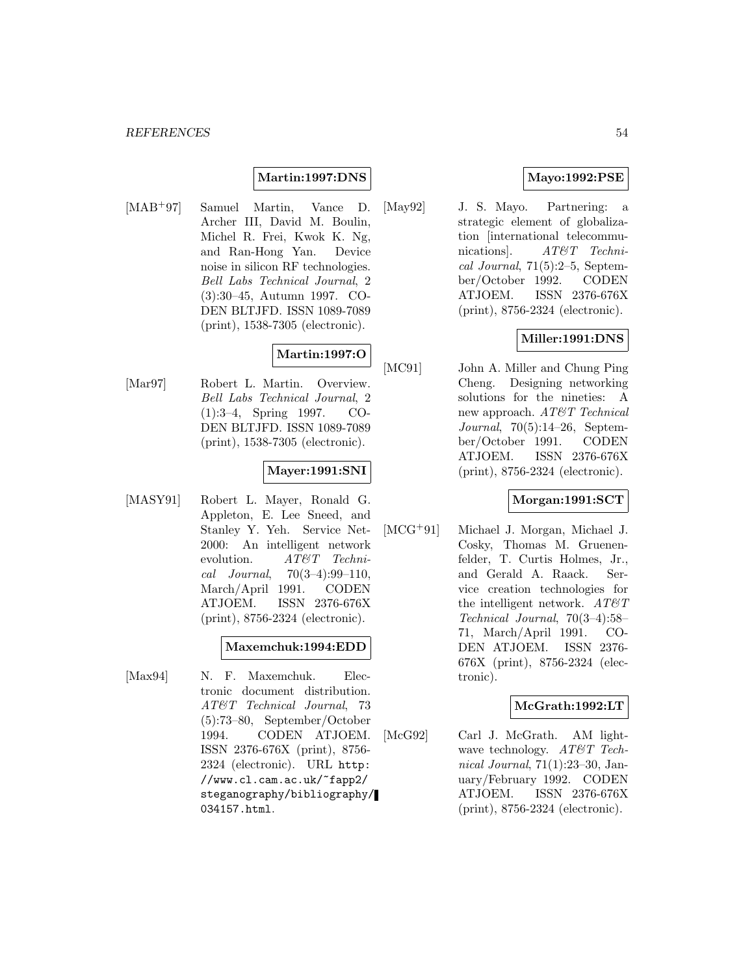### **Martin:1997:DNS**

[MAB<sup>+</sup>97] Samuel Martin, Vance D. Archer III, David M. Boulin, Michel R. Frei, Kwok K. Ng, and Ran-Hong Yan. Device noise in silicon RF technologies. Bell Labs Technical Journal, 2 (3):30–45, Autumn 1997. CO-DEN BLTJFD. ISSN 1089-7089 (print), 1538-7305 (electronic).

## **Martin:1997:O**

[Mar97] Robert L. Martin. Overview. Bell Labs Technical Journal, 2 (1):3–4, Spring 1997. CO-DEN BLTJFD. ISSN 1089-7089 (print), 1538-7305 (electronic).

### **Mayer:1991:SNI**

[MASY91] Robert L. Mayer, Ronald G. Appleton, E. Lee Sneed, and Stanley Y. Yeh. Service Net-2000: An intelligent network evolution. AT&T Techni $cal Journal. 70(3-4):99-110,$ March/April 1991. CODEN ATJOEM. ISSN 2376-676X (print), 8756-2324 (electronic).

### **Maxemchuk:1994:EDD**

[Max94] N. F. Maxemchuk. Electronic document distribution. AT&T Technical Journal, 73 (5):73–80, September/October 1994. CODEN ATJOEM. ISSN 2376-676X (print), 8756- 2324 (electronic). URL http: //www.cl.cam.ac.uk/~fapp2/ steganography/bibliography/ 034157.html.

### **Mayo:1992:PSE**

[May92] J. S. Mayo. Partnering: a strategic element of globalization [international telecommunications. AT&T Technical Journal, 71(5):2–5, September/October 1992. CODEN ATJOEM. ISSN 2376-676X (print), 8756-2324 (electronic).

## **Miller:1991:DNS**

[MC91] John A. Miller and Chung Ping Cheng. Designing networking solutions for the nineties: A new approach. AT&T Technical Journal, 70(5):14–26, September/October 1991. CODEN ATJOEM. ISSN 2376-676X (print), 8756-2324 (electronic).

### **Morgan:1991:SCT**

[MCG<sup>+</sup>91] Michael J. Morgan, Michael J. Cosky, Thomas M. Gruenenfelder, T. Curtis Holmes, Jr., and Gerald A. Raack. Service creation technologies for the intelligent network.  $AT\&T$ Technical Journal, 70(3–4):58– 71, March/April 1991. CO-DEN ATJOEM. ISSN 2376- 676X (print), 8756-2324 (electronic).

#### **McGrath:1992:LT**

[McG92] Carl J. McGrath. AM lightwave technology. AT&T Technical Journal, 71(1):23–30, January/February 1992. CODEN ATJOEM. ISSN 2376-676X (print), 8756-2324 (electronic).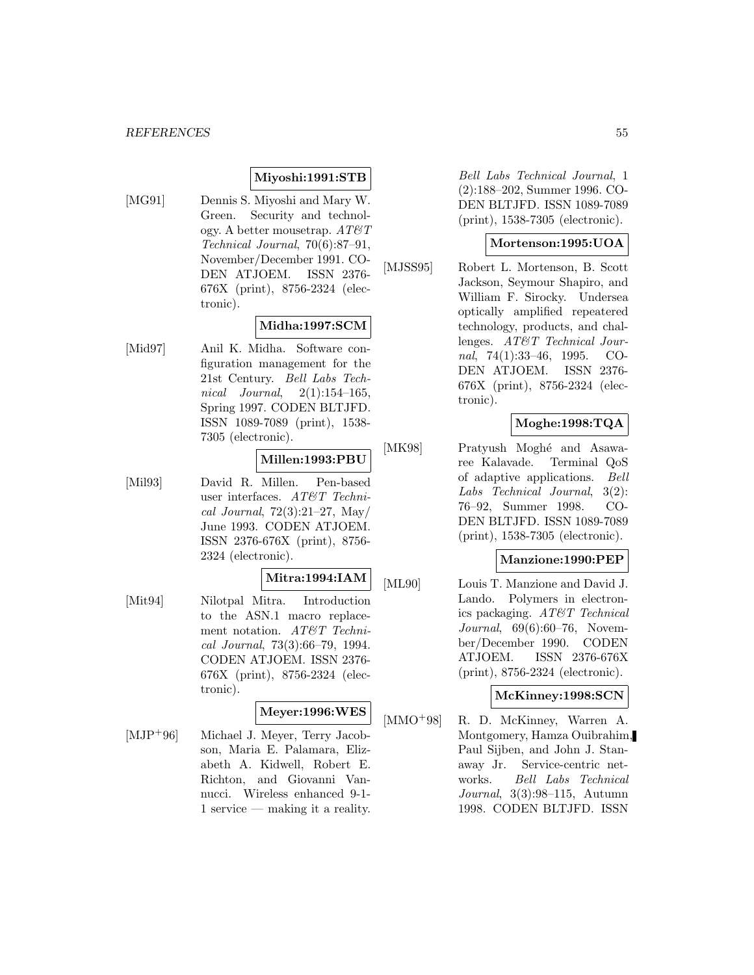#### **Miyoshi:1991:STB**

[MG91] Dennis S. Miyoshi and Mary W. Green. Security and technology. A better mousetrap.  $AT \mathcal{C}T$ Technical Journal, 70(6):87–91, November/December 1991. CO-DEN ATJOEM. ISSN 2376- 676X (print), 8756-2324 (electronic).

## **Midha:1997:SCM**

[Mid97] Anil K. Midha. Software configuration management for the 21st Century. Bell Labs Technical Journal,  $2(1):154-165$ , Spring 1997. CODEN BLTJFD. ISSN 1089-7089 (print), 1538- 7305 (electronic).

# **Millen:1993:PBU**

[Mil93] David R. Millen. Pen-based user interfaces. AT&T Technical Journal, 72(3):21–27, May/ June 1993. CODEN ATJOEM. ISSN 2376-676X (print), 8756- 2324 (electronic).

#### **Mitra:1994:IAM**

[Mit94] Nilotpal Mitra. Introduction to the ASN.1 macro replacement notation. AT&T Technical Journal, 73(3):66–79, 1994. CODEN ATJOEM. ISSN 2376- 676X (print), 8756-2324 (electronic).

## **Meyer:1996:WES**

[MJP<sup>+</sup>96] Michael J. Meyer, Terry Jacobson, Maria E. Palamara, Elizabeth A. Kidwell, Robert E. Richton, and Giovanni Vannucci. Wireless enhanced 9-1- 1 service — making it a reality.

Bell Labs Technical Journal, 1 (2):188–202, Summer 1996. CO-DEN BLTJFD. ISSN 1089-7089 (print), 1538-7305 (electronic).

### **Mortenson:1995:UOA**

[MJSS95] Robert L. Mortenson, B. Scott Jackson, Seymour Shapiro, and William F. Sirocky. Undersea optically amplified repeatered technology, products, and challenges. AT&T Technical Journal, 74(1):33–46, 1995. CO-DEN ATJOEM. ISSN 2376- 676X (print), 8756-2324 (electronic).

## **Moghe:1998:TQA**

[MK98] Pratyush Moghé and Asawaree Kalavade. Terminal QoS of adaptive applications. Bell Labs Technical Journal, 3(2): 76–92, Summer 1998. CO-DEN BLTJFD. ISSN 1089-7089 (print), 1538-7305 (electronic).

#### **Manzione:1990:PEP**

[ML90] Louis T. Manzione and David J. Lando. Polymers in electronics packaging. AT&T Technical Journal, 69(6):60–76, November/December 1990. CODEN ATJOEM. ISSN 2376-676X (print), 8756-2324 (electronic).

#### **McKinney:1998:SCN**

[MMO<sup>+</sup>98] R. D. McKinney, Warren A. Montgomery, Hamza Ouibrahim, Paul Sijben, and John J. Stanaway Jr. Service-centric networks. Bell Labs Technical Journal, 3(3):98–115, Autumn 1998. CODEN BLTJFD. ISSN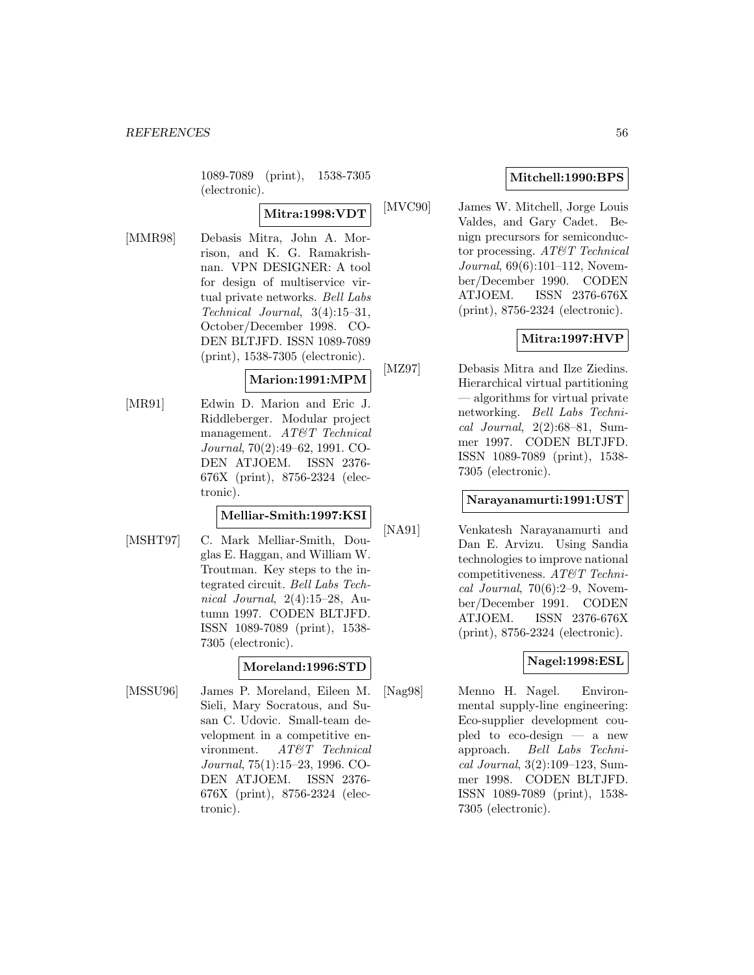1089-7089 (print), 1538-7305 (electronic).

### **Mitra:1998:VDT**

[MMR98] Debasis Mitra, John A. Morrison, and K. G. Ramakrishnan. VPN DESIGNER: A tool for design of multiservice virtual private networks. Bell Labs Technical Journal, 3(4):15–31, October/December 1998. CO-DEN BLTJFD. ISSN 1089-7089 (print), 1538-7305 (electronic).

#### **Marion:1991:MPM**

[MR91] Edwin D. Marion and Eric J. Riddleberger. Modular project management. AT&T Technical Journal, 70(2):49–62, 1991. CO-DEN ATJOEM. ISSN 2376- 676X (print), 8756-2324 (electronic).

#### **Melliar-Smith:1997:KSI**

[MSHT97] C. Mark Melliar-Smith, Douglas E. Haggan, and William W. Troutman. Key steps to the integrated circuit. Bell Labs Technical Journal, 2(4):15–28, Autumn 1997. CODEN BLTJFD. ISSN 1089-7089 (print), 1538- 7305 (electronic).

#### **Moreland:1996:STD**

[MSSU96] James P. Moreland, Eileen M. Sieli, Mary Socratous, and Susan C. Udovic. Small-team development in a competitive environment. AT&T Technical Journal, 75(1):15–23, 1996. CO-DEN ATJOEM. ISSN 2376- 676X (print), 8756-2324 (electronic).

### **Mitchell:1990:BPS**

[MVC90] James W. Mitchell, Jorge Louis Valdes, and Gary Cadet. Benign precursors for semiconductor processing. AT&T Technical Journal, 69(6):101–112, November/December 1990. CODEN ATJOEM. ISSN 2376-676X (print), 8756-2324 (electronic).

## **Mitra:1997:HVP**

[MZ97] Debasis Mitra and Ilze Ziedins. Hierarchical virtual partitioning — algorithms for virtual private networking. Bell Labs Technical Journal, 2(2):68–81, Summer 1997. CODEN BLTJFD. ISSN 1089-7089 (print), 1538- 7305 (electronic).

#### **Narayanamurti:1991:UST**

[NA91] Venkatesh Narayanamurti and Dan E. Arvizu. Using Sandia technologies to improve national competitiveness. AT&T Technical Journal,  $70(6):2-9$ , November/December 1991. CODEN ATJOEM. ISSN 2376-676X (print), 8756-2324 (electronic).

### **Nagel:1998:ESL**

[Nag98] Menno H. Nagel. Environmental supply-line engineering: Eco-supplier development coupled to eco-design — a new approach. Bell Labs Technical Journal, 3(2):109–123, Summer 1998. CODEN BLTJFD. ISSN 1089-7089 (print), 1538- 7305 (electronic).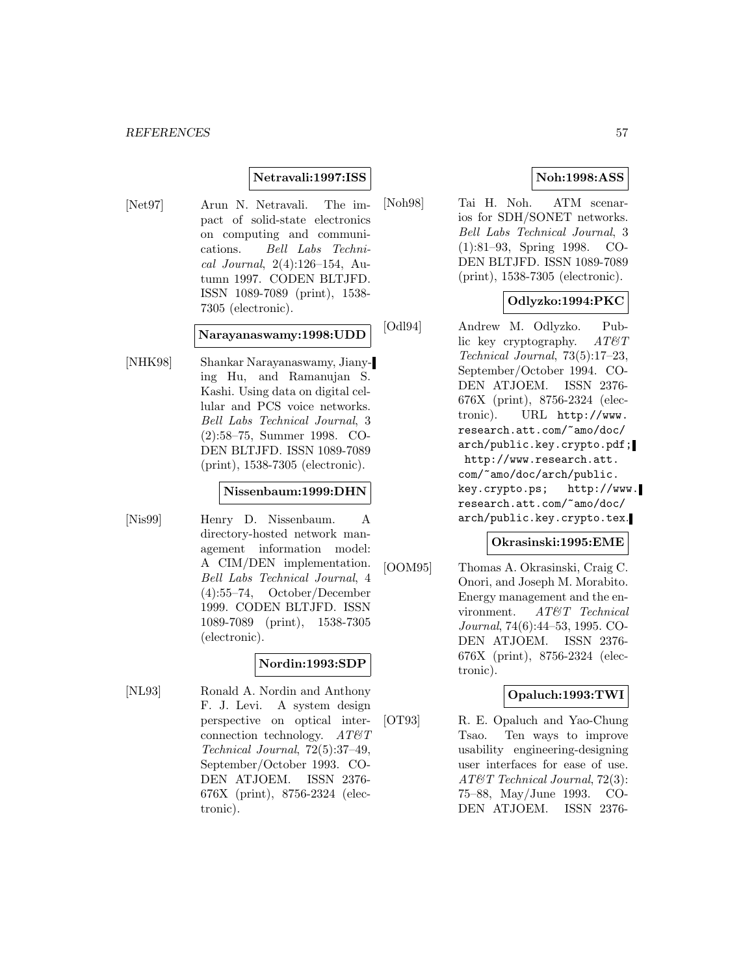#### **Netravali:1997:ISS**

[Net97] Arun N. Netravali. The impact of solid-state electronics on computing and communications. Bell Labs Technical Journal, 2(4):126–154, Autumn 1997. CODEN BLTJFD. ISSN 1089-7089 (print), 1538- 7305 (electronic).

**Narayanaswamy:1998:UDD**

[NHK98] Shankar Narayanaswamy, Jianying Hu, and Ramanujan S. Kashi. Using data on digital cellular and PCS voice networks. Bell Labs Technical Journal, 3 (2):58–75, Summer 1998. CO-DEN BLTJFD. ISSN 1089-7089 (print), 1538-7305 (electronic).

#### **Nissenbaum:1999:DHN**

[Nis99] Henry D. Nissenbaum. A directory-hosted network management information model: A CIM/DEN implementation. Bell Labs Technical Journal, 4 (4):55–74, October/December 1999. CODEN BLTJFD. ISSN 1089-7089 (print), 1538-7305 (electronic).

### **Nordin:1993:SDP**

[NL93] Ronald A. Nordin and Anthony F. J. Levi. A system design perspective on optical interconnection technology.  $AT\mathcal{O}T$ Technical Journal, 72(5):37–49, September/October 1993. CO-DEN ATJOEM. ISSN 2376- 676X (print), 8756-2324 (electronic).

### **Noh:1998:ASS**

[Noh98] Tai H. Noh. ATM scenarios for SDH/SONET networks. Bell Labs Technical Journal, 3 (1):81–93, Spring 1998. CO-DEN BLTJFD. ISSN 1089-7089 (print), 1538-7305 (electronic).

### **Odlyzko:1994:PKC**

[Odl94] Andrew M. Odlyzko. Public key cryptography.  $AT\&T$ Technical Journal, 73(5):17–23, September/October 1994. CO-DEN ATJOEM. ISSN 2376- 676X (print), 8756-2324 (electronic). URL http://www. research.att.com/~amo/doc/ arch/public.key.crypto.pdf; http://www.research.att. com/~amo/doc/arch/public. key.crypto.ps; http://www. research.att.com/~amo/doc/ arch/public.key.crypto.tex.

#### **Okrasinski:1995:EME**

[OOM95] Thomas A. Okrasinski, Craig C. Onori, and Joseph M. Morabito. Energy management and the environment. AT&T Technical Journal, 74(6):44–53, 1995. CO-DEN ATJOEM. ISSN 2376- 676X (print), 8756-2324 (electronic).

### **Opaluch:1993:TWI**

[OT93] R. E. Opaluch and Yao-Chung Tsao. Ten ways to improve usability engineering-designing user interfaces for ease of use. AT&T Technical Journal, 72(3): 75–88, May/June 1993. CO-DEN ATJOEM. ISSN 2376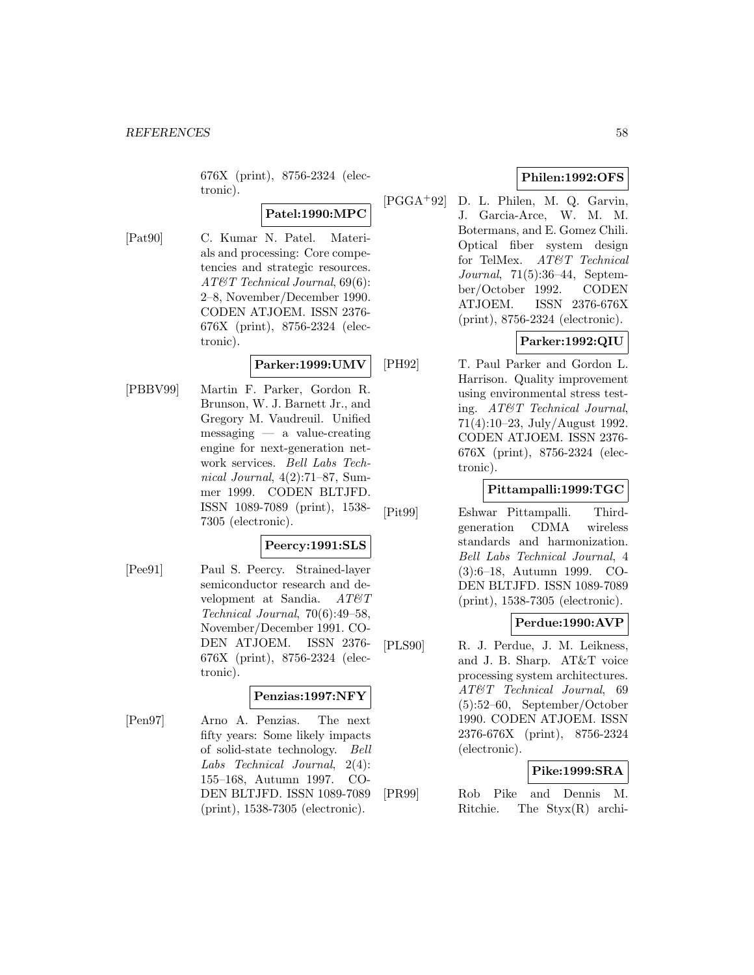676X (print), 8756-2324 (electronic).

# **Patel:1990:MPC**

[Pat90] C. Kumar N. Patel. Materials and processing: Core competencies and strategic resources. AT&T Technical Journal, 69(6): 2–8, November/December 1990. CODEN ATJOEM. ISSN 2376- 676X (print), 8756-2324 (electronic).

#### **Parker:1999:UMV**

[PBBV99] Martin F. Parker, Gordon R. Brunson, W. J. Barnett Jr., and Gregory M. Vaudreuil. Unified messaging — a value-creating engine for next-generation network services. Bell Labs Technical Journal, 4(2):71–87, Summer 1999. CODEN BLTJFD. ISSN 1089-7089 (print), 1538- 7305 (electronic).

### **Peercy:1991:SLS**

[Pee91] Paul S. Peercy. Strained-layer semiconductor research and development at Sandia.  $AT\&T$ Technical Journal, 70(6):49–58, November/December 1991. CO-DEN ATJOEM. ISSN 2376- 676X (print), 8756-2324 (electronic).

#### **Penzias:1997:NFY**

[Pen97] Arno A. Penzias. The next fifty years: Some likely impacts of solid-state technology. Bell Labs Technical Journal, 2(4): 155–168, Autumn 1997. CO-DEN BLTJFD. ISSN 1089-7089 (print), 1538-7305 (electronic).

### **Philen:1992:OFS**

[PGGA<sup>+</sup>92] D. L. Philen, M. Q. Garvin, J. Garcia-Arce, W. M. M. Botermans, and E. Gomez Chili. Optical fiber system design for TelMex. AT&T Technical Journal, 71(5):36–44, September/October 1992. CODEN ATJOEM. ISSN 2376-676X (print), 8756-2324 (electronic).

## **Parker:1992:QIU**

[PH92] T. Paul Parker and Gordon L. Harrison. Quality improvement using environmental stress testing. AT&T Technical Journal, 71(4):10–23, July/August 1992. CODEN ATJOEM. ISSN 2376- 676X (print), 8756-2324 (electronic).

## **Pittampalli:1999:TGC**

[Pit99] Eshwar Pittampalli. Thirdgeneration CDMA wireless standards and harmonization. Bell Labs Technical Journal, 4 (3):6–18, Autumn 1999. CO-DEN BLTJFD. ISSN 1089-7089 (print), 1538-7305 (electronic).

# **Perdue:1990:AVP**

[PLS90] R. J. Perdue, J. M. Leikness, and J. B. Sharp. AT&T voice processing system architectures. AT&T Technical Journal, 69 (5):52–60, September/October 1990. CODEN ATJOEM. ISSN 2376-676X (print), 8756-2324 (electronic).

### **Pike:1999:SRA**

[PR99] Rob Pike and Dennis M. Ritchie. The Styx(R) archi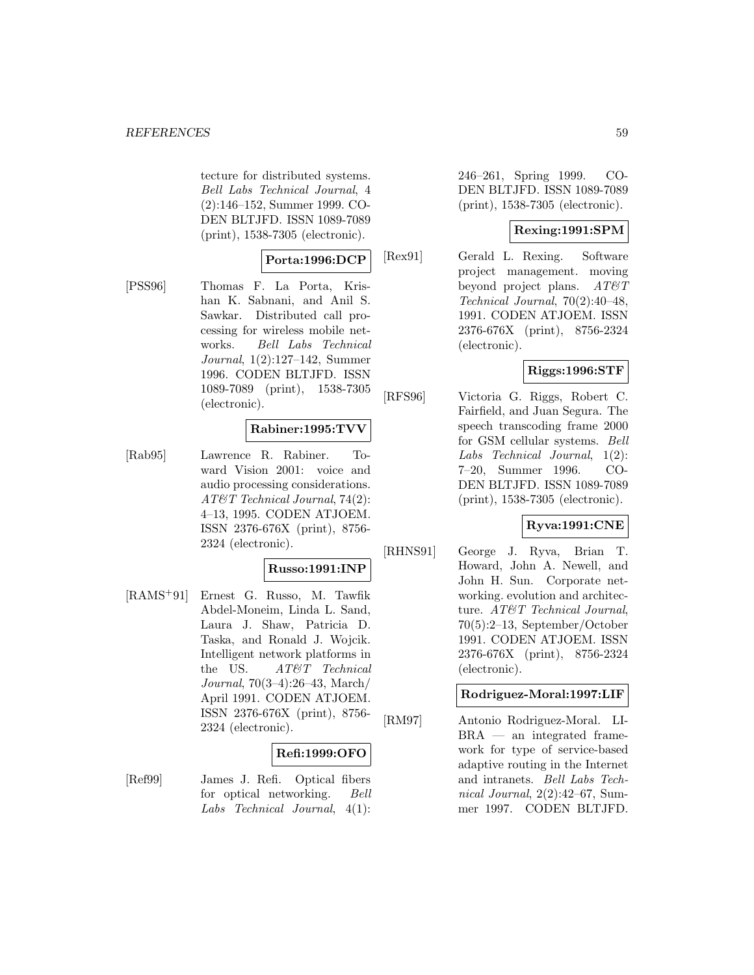tecture for distributed systems. Bell Labs Technical Journal, 4 (2):146–152, Summer 1999. CO-DEN BLTJFD. ISSN 1089-7089 (print), 1538-7305 (electronic).

### **Porta:1996:DCP**

[PSS96] Thomas F. La Porta, Krishan K. Sabnani, and Anil S. Sawkar. Distributed call processing for wireless mobile networks. Bell Labs Technical Journal, 1(2):127–142, Summer 1996. CODEN BLTJFD. ISSN 1089-7089 (print), 1538-7305 (electronic).

### **Rabiner:1995:TVV**

[Rab95] Lawrence R. Rabiner. Toward Vision 2001: voice and audio processing considerations. AT&T Technical Journal, 74(2): 4–13, 1995. CODEN ATJOEM. ISSN 2376-676X (print), 8756- 2324 (electronic).

#### **Russo:1991:INP**

[RAMS<sup>+</sup>91] Ernest G. Russo, M. Tawfik Abdel-Moneim, Linda L. Sand, Laura J. Shaw, Patricia D. Taska, and Ronald J. Wojcik. Intelligent network platforms in the US. AT&T Technical Journal, 70(3–4):26–43, March/ April 1991. CODEN ATJOEM. ISSN 2376-676X (print), 8756- 2324 (electronic).

#### **Refi:1999:OFO**

[Ref99] James J. Refi. Optical fibers for optical networking. Bell Labs Technical Journal, 4(1):

246–261, Spring 1999. CO-DEN BLTJFD. ISSN 1089-7089 (print), 1538-7305 (electronic).

## **Rexing:1991:SPM**

[Rex91] Gerald L. Rexing. Software project management. moving beyond project plans.  $AT\mathcal{O}T$ Technical Journal, 70(2):40–48, 1991. CODEN ATJOEM. ISSN 2376-676X (print), 8756-2324 (electronic).

### **Riggs:1996:STF**

[RFS96] Victoria G. Riggs, Robert C. Fairfield, and Juan Segura. The speech transcoding frame 2000 for GSM cellular systems. Bell Labs Technical Journal, 1(2): 7–20, Summer 1996. CO-DEN BLTJFD. ISSN 1089-7089 (print), 1538-7305 (electronic).

### **Ryva:1991:CNE**

[RHNS91] George J. Ryva, Brian T. Howard, John A. Newell, and John H. Sun. Corporate networking. evolution and architecture. AT&T Technical Journal, 70(5):2–13, September/October 1991. CODEN ATJOEM. ISSN 2376-676X (print), 8756-2324 (electronic).

# **Rodriguez-Moral:1997:LIF**

[RM97] Antonio Rodriguez-Moral. LI-BRA — an integrated framework for type of service-based adaptive routing in the Internet and intranets. Bell Labs Technical Journal, 2(2):42–67, Summer 1997. CODEN BLTJFD.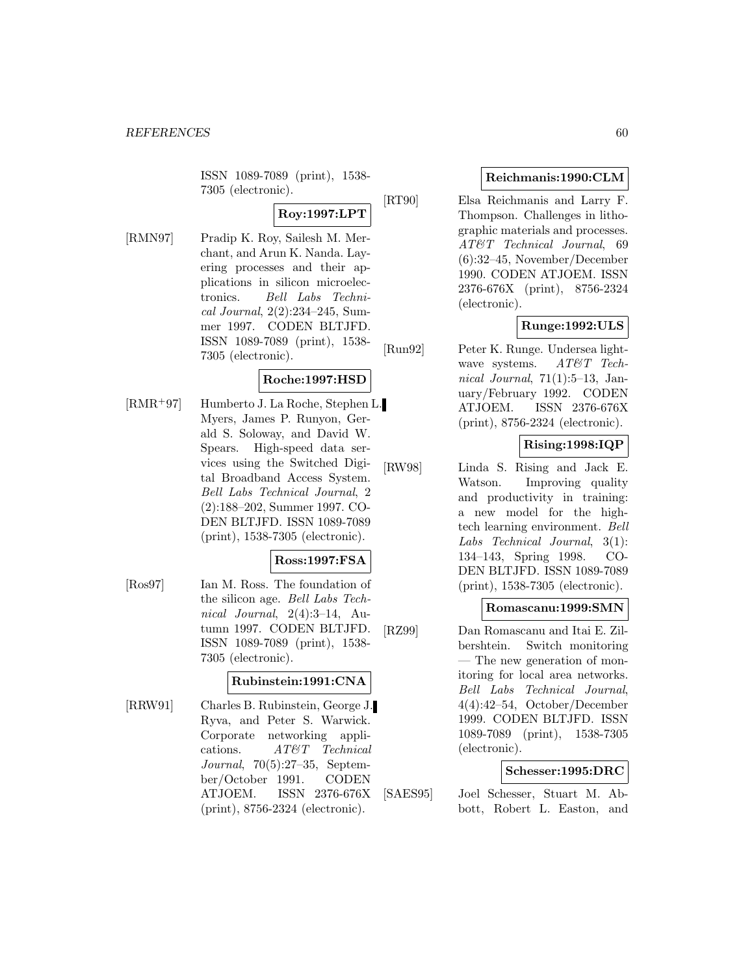ISSN 1089-7089 (print), 1538- 7305 (electronic).

# **Roy:1997:LPT**

[RMN97] Pradip K. Roy, Sailesh M. Merchant, and Arun K. Nanda. Layering processes and their applications in silicon microelectronics. Bell Labs Technical Journal, 2(2):234–245, Summer 1997. CODEN BLTJFD. ISSN 1089-7089 (print), 1538- 7305 (electronic).

# **Roche:1997:HSD**

[RMR<sup>+</sup>97] Humberto J. La Roche, Stephen L. Myers, James P. Runyon, Gerald S. Soloway, and David W. Spears. High-speed data services using the Switched Digital Broadband Access System. Bell Labs Technical Journal, 2 (2):188–202, Summer 1997. CO-DEN BLTJFD. ISSN 1089-7089 (print), 1538-7305 (electronic).

#### **Ross:1997:FSA**

[Ros97] Ian M. Ross. The foundation of the silicon age. Bell Labs Technical Journal, 2(4):3–14, Autumn 1997. CODEN BLTJFD. ISSN 1089-7089 (print), 1538- 7305 (electronic).

### **Rubinstein:1991:CNA**

[RRW91] Charles B. Rubinstein, George J. Ryva, and Peter S. Warwick. Corporate networking applications. AT&T Technical Journal, 70(5):27–35, September/October 1991. CODEN ATJOEM. ISSN 2376-676X (print), 8756-2324 (electronic).

#### **Reichmanis:1990:CLM**

[RT90] Elsa Reichmanis and Larry F. Thompson. Challenges in lithographic materials and processes. AT&T Technical Journal, 69 (6):32–45, November/December 1990. CODEN ATJOEM. ISSN 2376-676X (print), 8756-2324 (electronic).

### **Runge:1992:ULS**

[Run92] Peter K. Runge. Undersea lightwave systems. AT&T Technical Journal,  $71(1):5-13$ , January/February 1992. CODEN ATJOEM. ISSN 2376-676X (print), 8756-2324 (electronic).

### **Rising:1998:IQP**

[RW98] Linda S. Rising and Jack E. Watson. Improving quality and productivity in training: a new model for the hightech learning environment. Bell Labs Technical Journal, 3(1): 134–143, Spring 1998. CO-DEN BLTJFD. ISSN 1089-7089 (print), 1538-7305 (electronic).

#### **Romascanu:1999:SMN**

[RZ99] Dan Romascanu and Itai E. Zilbershtein. Switch monitoring — The new generation of monitoring for local area networks. Bell Labs Technical Journal, 4(4):42–54, October/December 1999. CODEN BLTJFD. ISSN 1089-7089 (print), 1538-7305 (electronic).

#### **Schesser:1995:DRC**

[SAES95] Joel Schesser, Stuart M. Abbott, Robert L. Easton, and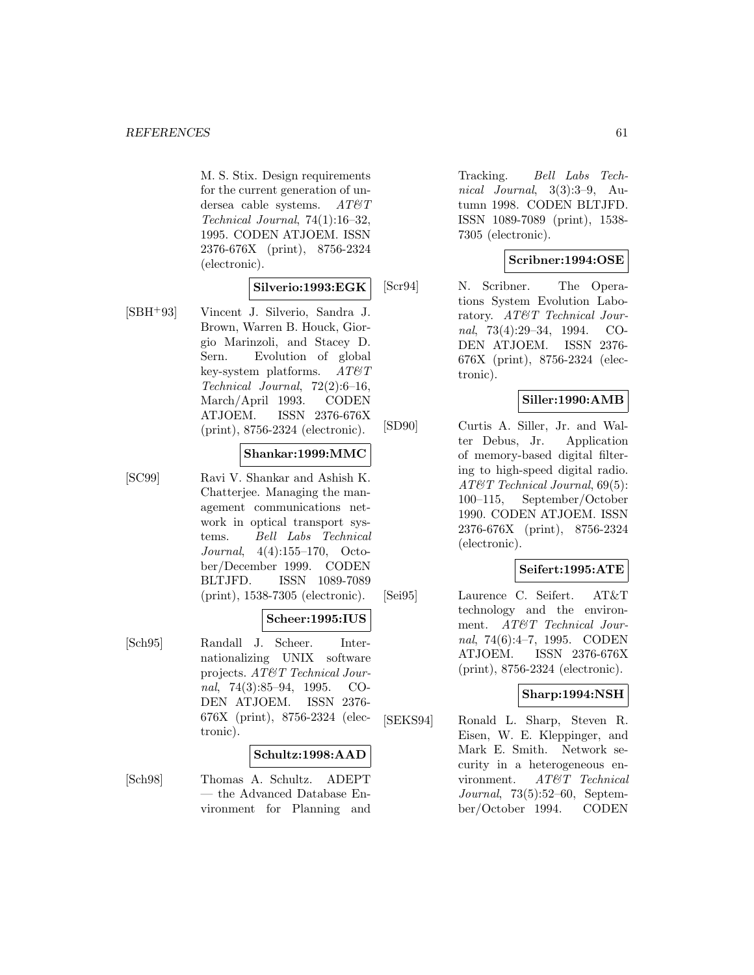M. S. Stix. Design requirements for the current generation of undersea cable systems.  $AT\mathcal{O}T$ Technical Journal, 74(1):16–32, 1995. CODEN ATJOEM. ISSN 2376-676X (print), 8756-2324 (electronic).

#### **Silverio:1993:EGK**

[SBH<sup>+</sup>93] Vincent J. Silverio, Sandra J. Brown, Warren B. Houck, Giorgio Marinzoli, and Stacey D. Sern. Evolution of global key-system platforms.  $AT\mathcal{O}T$ Technical Journal, 72(2):6–16, March/April 1993. CODEN ATJOEM. ISSN 2376-676X (print), 8756-2324 (electronic).

#### **Shankar:1999:MMC**

[SC99] Ravi V. Shankar and Ashish K. Chatterjee. Managing the management communications network in optical transport systems. Bell Labs Technical Journal, 4(4):155–170, October/December 1999. CODEN BLTJFD. ISSN 1089-7089 (print), 1538-7305 (electronic).

#### **Scheer:1995:IUS**

[Sch95] Randall J. Scheer. Internationalizing UNIX software projects. AT&T Technical Journal, 74(3):85–94, 1995. CO-DEN ATJOEM. ISSN 2376- 676X (print), 8756-2324 (electronic).

#### **Schultz:1998:AAD**

[Sch98] Thomas A. Schultz. ADEPT — the Advanced Database Environment for Planning and

Tracking. Bell Labs Technical Journal, 3(3):3–9, Autumn 1998. CODEN BLTJFD. ISSN 1089-7089 (print), 1538- 7305 (electronic).

### **Scribner:1994:OSE**

[Scr94] N. Scribner. The Operations System Evolution Laboratory. AT&T Technical Journal, 73(4):29–34, 1994. CO-DEN ATJOEM. ISSN 2376- 676X (print), 8756-2324 (electronic).

### **Siller:1990:AMB**

[SD90] Curtis A. Siller, Jr. and Walter Debus, Jr. Application of memory-based digital filtering to high-speed digital radio. AT&T Technical Journal, 69(5): 100–115, September/October 1990. CODEN ATJOEM. ISSN 2376-676X (print), 8756-2324 (electronic).

#### **Seifert:1995:ATE**

[Sei95] Laurence C. Seifert. AT&T technology and the environment. AT&T Technical Journal, 74(6):4–7, 1995. CODEN ATJOEM. ISSN 2376-676X (print), 8756-2324 (electronic).

#### **Sharp:1994:NSH**

[SEKS94] Ronald L. Sharp, Steven R. Eisen, W. E. Kleppinger, and Mark E. Smith. Network security in a heterogeneous environment. AT&T Technical Journal, 73(5):52–60, September/October 1994. CODEN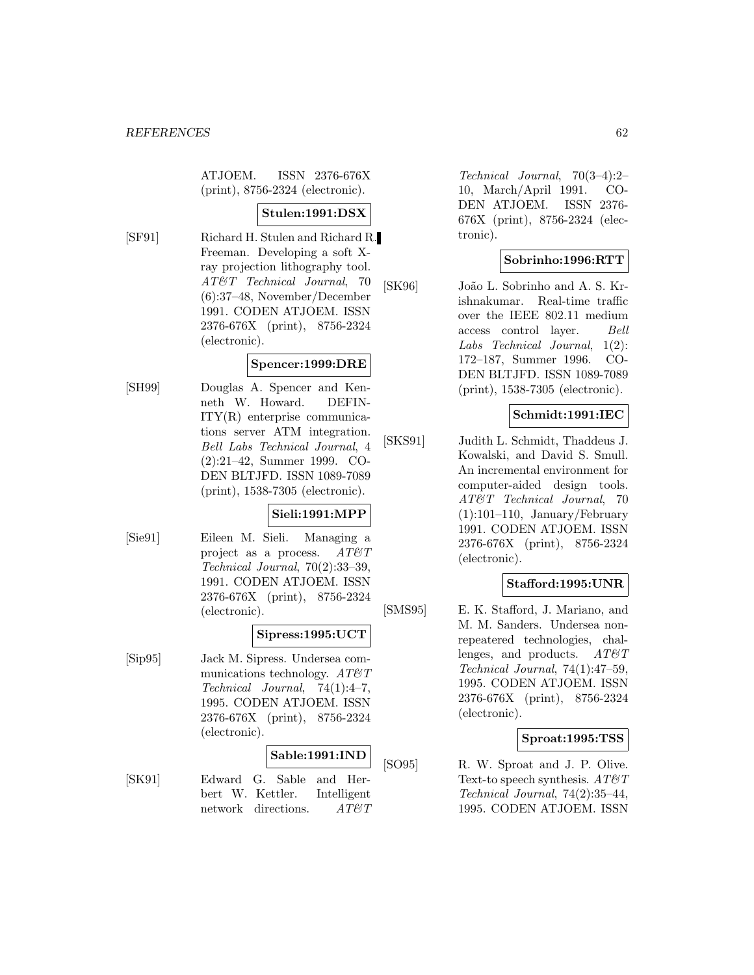ATJOEM. ISSN 2376-676X (print), 8756-2324 (electronic).

### **Stulen:1991:DSX**

[SF91] Richard H. Stulen and Richard R. Freeman. Developing a soft Xray projection lithography tool. AT&T Technical Journal, 70 (6):37–48, November/December 1991. CODEN ATJOEM. ISSN 2376-676X (print), 8756-2324 (electronic).

#### **Spencer:1999:DRE**

[SH99] Douglas A. Spencer and Kenneth W. Howard. DEFIN-ITY(R) enterprise communications server ATM integration. Bell Labs Technical Journal, 4 (2):21–42, Summer 1999. CO-DEN BLTJFD. ISSN 1089-7089 (print), 1538-7305 (electronic).

### **Sieli:1991:MPP**

[Sie91] Eileen M. Sieli. Managing a project as a process.  $AT\mathcal{O}T$ Technical Journal, 70(2):33–39, 1991. CODEN ATJOEM. ISSN 2376-676X (print), 8756-2324 (electronic).

#### **Sipress:1995:UCT**

[Sip95] Jack M. Sipress. Undersea communications technology.  $AT\&T$ Technical Journal, 74(1):4–7, 1995. CODEN ATJOEM. ISSN 2376-676X (print), 8756-2324 (electronic).

#### **Sable:1991:IND**

[SK91] Edward G. Sable and Herbert W. Kettler. Intelligent network directions. AT&T

Technical Journal, 70(3–4):2– 10, March/April 1991. CO-DEN ATJOEM. ISSN 2376- 676X (print), 8756-2324 (electronic).

### **Sobrinho:1996:RTT**

[SK96] João L. Sobrinho and A. S. Krishnakumar. Real-time traffic over the IEEE 802.11 medium access control layer. Bell Labs Technical Journal, 1(2): 172–187, Summer 1996. CO-DEN BLTJFD. ISSN 1089-7089 (print), 1538-7305 (electronic).

#### **Schmidt:1991:IEC**

[SKS91] Judith L. Schmidt, Thaddeus J. Kowalski, and David S. Smull. An incremental environment for computer-aided design tools. AT&T Technical Journal, 70  $(1):101-110$ , January/February 1991. CODEN ATJOEM. ISSN 2376-676X (print), 8756-2324 (electronic).

#### **Stafford:1995:UNR**

[SMS95] E. K. Stafford, J. Mariano, and M. M. Sanders. Undersea nonrepeatered technologies, challenges, and products.  $AT\&T$ Technical Journal, 74(1):47–59, 1995. CODEN ATJOEM. ISSN 2376-676X (print), 8756-2324 (electronic).

#### **Sproat:1995:TSS**

[SO95] R. W. Sproat and J. P. Olive. Text-to speech synthesis.  $AT\mathcal{O}T$ Technical Journal, 74(2):35–44, 1995. CODEN ATJOEM. ISSN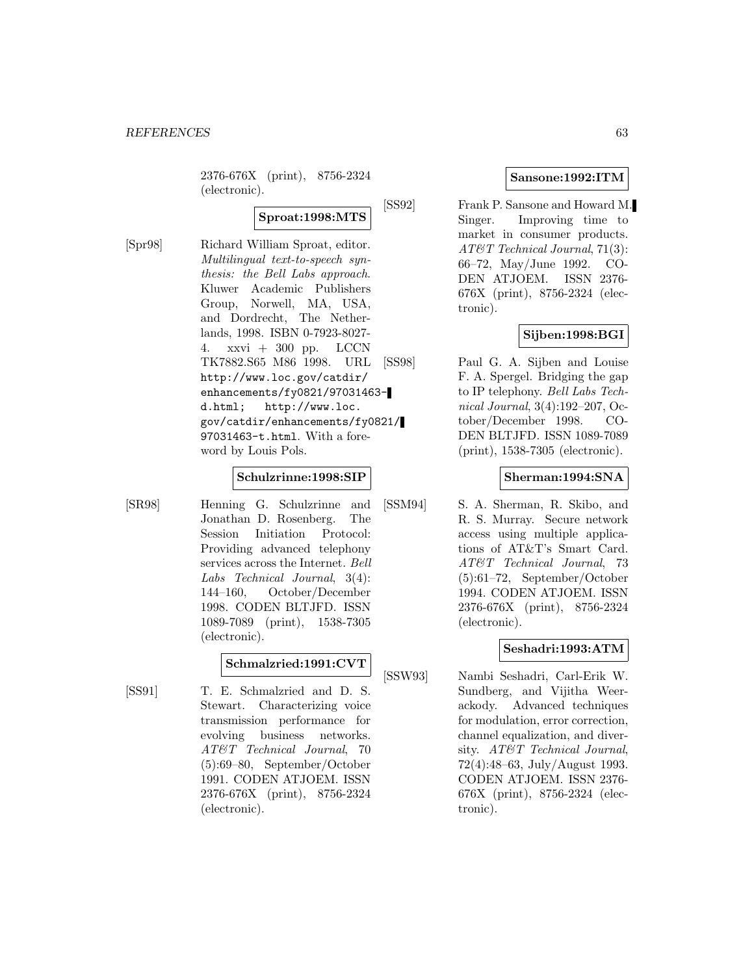2376-676X (print), 8756-2324 (electronic).

# **Sproat:1998:MTS**

[Spr98] Richard William Sproat, editor. Multilingual text-to-speech synthesis: the Bell Labs approach. Kluwer Academic Publishers Group, Norwell, MA, USA, and Dordrecht, The Netherlands, 1998. ISBN 0-7923-8027- 4. xxvi + 300 pp. LCCN TK7882.S65 M86 1998. URL http://www.loc.gov/catdir/ enhancements/fy0821/97031463 d.html; http://www.loc. gov/catdir/enhancements/fy0821/ 97031463-t.html. With a foreword by Louis Pols.

#### **Schulzrinne:1998:SIP**

[SR98] Henning G. Schulzrinne and Jonathan D. Rosenberg. The Session Initiation Protocol: Providing advanced telephony services across the Internet. Bell Labs Technical Journal, 3(4): 144–160, October/December 1998. CODEN BLTJFD. ISSN 1089-7089 (print), 1538-7305 (electronic).

# **Schmalzried:1991:CVT**

[SS91] T. E. Schmalzried and D. S. Stewart. Characterizing voice transmission performance for evolving business networks. AT&T Technical Journal, 70 (5):69–80, September/October 1991. CODEN ATJOEM. ISSN 2376-676X (print), 8756-2324 (electronic).

### **Sansone:1992:ITM**

[SS92] Frank P. Sansone and Howard M. Singer. Improving time to market in consumer products. AT&T Technical Journal, 71(3): 66–72, May/June 1992. CO-DEN ATJOEM. ISSN 2376- 676X (print), 8756-2324 (electronic).

### **Sijben:1998:BGI**

[SS98] Paul G. A. Sijben and Louise F. A. Spergel. Bridging the gap to IP telephony. Bell Labs Technical Journal, 3(4):192–207, October/December 1998. CO-DEN BLTJFD. ISSN 1089-7089 (print), 1538-7305 (electronic).

#### **Sherman:1994:SNA**

[SSM94] S. A. Sherman, R. Skibo, and R. S. Murray. Secure network access using multiple applications of AT&T's Smart Card. AT&T Technical Journal, 73 (5):61–72, September/October 1994. CODEN ATJOEM. ISSN 2376-676X (print), 8756-2324 (electronic).

### **Seshadri:1993:ATM**

[SSW93] Nambi Seshadri, Carl-Erik W. Sundberg, and Vijitha Weerackody. Advanced techniques for modulation, error correction, channel equalization, and diversity. AT&T Technical Journal, 72(4):48–63, July/August 1993. CODEN ATJOEM. ISSN 2376- 676X (print), 8756-2324 (electronic).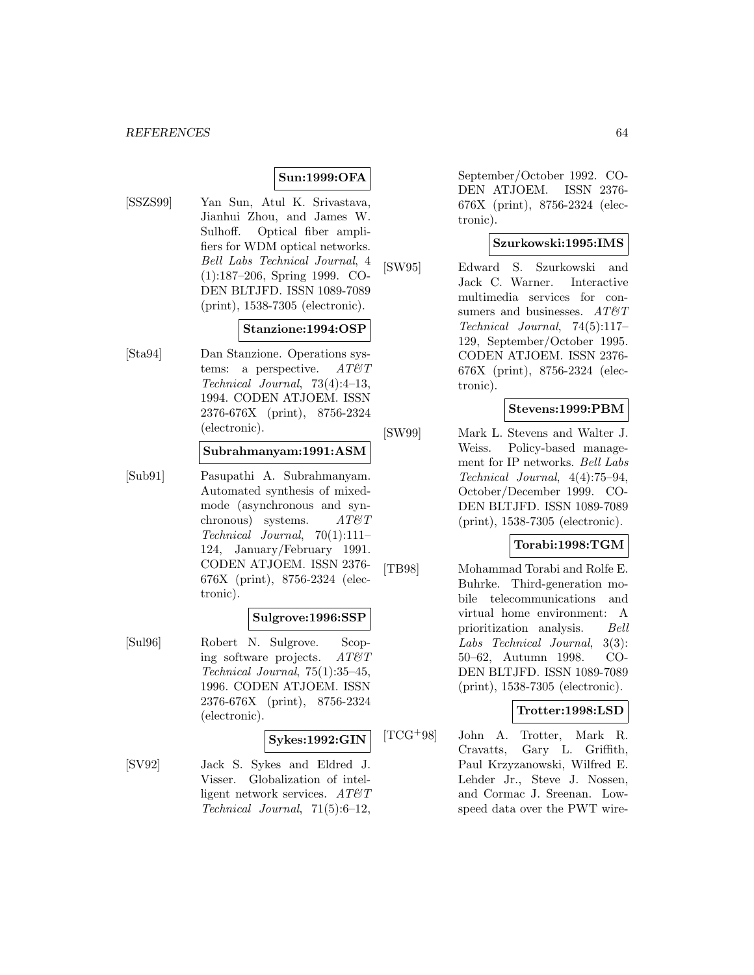### **Sun:1999:OFA**

[SSZS99] Yan Sun, Atul K. Srivastava, Jianhui Zhou, and James W. Sulhoff. Optical fiber amplifiers for WDM optical networks. Bell Labs Technical Journal, 4 (1):187–206, Spring 1999. CO-DEN BLTJFD. ISSN 1089-7089 (print), 1538-7305 (electronic).

#### **Stanzione:1994:OSP**

[Sta94] Dan Stanzione. Operations systems: a perspective.  $AT\&T$ Technical Journal, 73(4):4–13, 1994. CODEN ATJOEM. ISSN 2376-676X (print), 8756-2324 (electronic).

#### **Subrahmanyam:1991:ASM**

[Sub91] Pasupathi A. Subrahmanyam. Automated synthesis of mixedmode (asynchronous and synchronous) systems.  $AT\mathcal{O}T$ Technical Journal, 70(1):111– 124, January/February 1991. CODEN ATJOEM. ISSN 2376- 676X (print), 8756-2324 (electronic).

#### **Sulgrove:1996:SSP**

[Sul96] Robert N. Sulgrove. Scoping software projects.  $AT\&T$ Technical Journal, 75(1):35–45, 1996. CODEN ATJOEM. ISSN 2376-676X (print), 8756-2324 (electronic).

### **Sykes:1992:GIN**

[SV92] Jack S. Sykes and Eldred J. Visser. Globalization of intelligent network services.  $AT\&T$ Technical Journal, 71(5):6–12,

September/October 1992. CO-DEN ATJOEM. ISSN 2376- 676X (print), 8756-2324 (electronic).

#### **Szurkowski:1995:IMS**

[SW95] Edward S. Szurkowski and Jack C. Warner. Interactive multimedia services for consumers and businesses.  $AT \& T$ Technical Journal, 74(5):117– 129, September/October 1995. CODEN ATJOEM. ISSN 2376- 676X (print), 8756-2324 (electronic).

### **Stevens:1999:PBM**

[SW99] Mark L. Stevens and Walter J. Weiss. Policy-based management for IP networks. Bell Labs Technical Journal, 4(4):75–94, October/December 1999. CO-DEN BLTJFD. ISSN 1089-7089 (print), 1538-7305 (electronic).

#### **Torabi:1998:TGM**

[TB98] Mohammad Torabi and Rolfe E. Buhrke. Third-generation mobile telecommunications and virtual home environment: A prioritization analysis. Bell Labs Technical Journal, 3(3): 50–62, Autumn 1998. CO-DEN BLTJFD. ISSN 1089-7089 (print), 1538-7305 (electronic).

### **Trotter:1998:LSD**

[TCG<sup>+</sup>98] John A. Trotter, Mark R. Cravatts, Gary L. Griffith, Paul Krzyzanowski, Wilfred E. Lehder Jr., Steve J. Nossen, and Cormac J. Sreenan. Lowspeed data over the PWT wire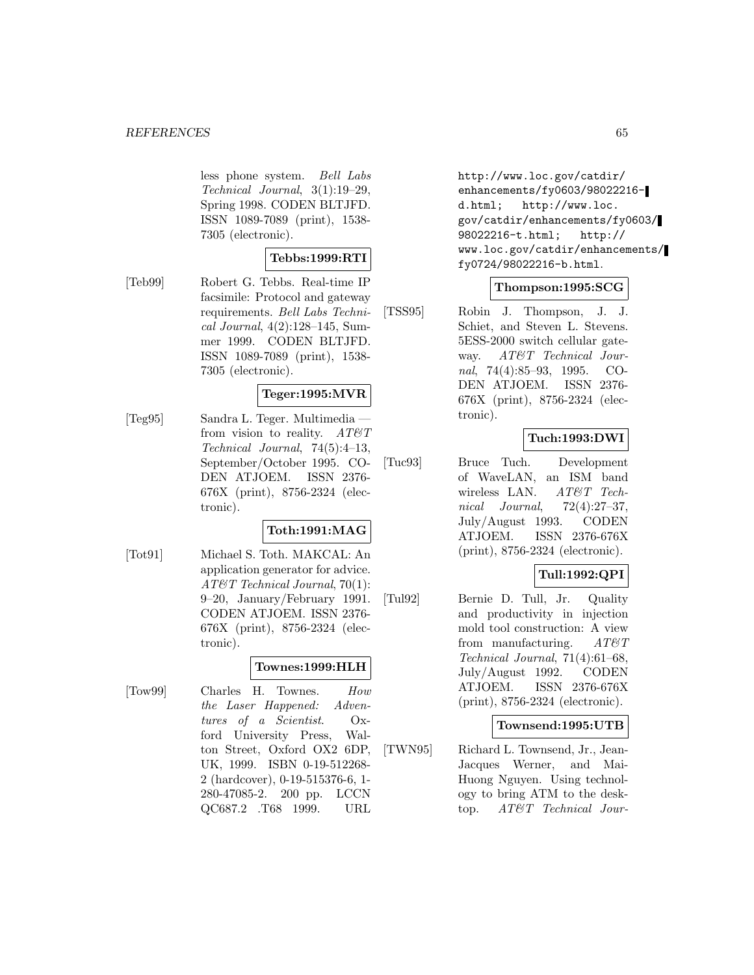less phone system. Bell Labs Technical Journal, 3(1):19–29, Spring 1998. CODEN BLTJFD. ISSN 1089-7089 (print), 1538- 7305 (electronic).

### **Tebbs:1999:RTI**

[Teb99] Robert G. Tebbs. Real-time IP facsimile: Protocol and gateway requirements. Bell Labs Technical Journal, 4(2):128–145, Summer 1999. CODEN BLTJFD. ISSN 1089-7089 (print), 1538- 7305 (electronic).

### **Teger:1995:MVR**

[Teg95] Sandra L. Teger. Multimedia from vision to reality.  $AT \mathcal{C} T$ Technical Journal, 74(5):4–13, September/October 1995. CO-DEN ATJOEM. ISSN 2376- 676X (print), 8756-2324 (electronic).

### **Toth:1991:MAG**

[Tot91] Michael S. Toth. MAKCAL: An application generator for advice. AT&T Technical Journal, 70(1): 9–20, January/February 1991. CODEN ATJOEM. ISSN 2376- 676X (print), 8756-2324 (electronic).

#### **Townes:1999:HLH**

[Tow99] Charles H. Townes. How the Laser Happened: Adventures of a Scientist. Oxford University Press, Walton Street, Oxford OX2 6DP, UK, 1999. ISBN 0-19-512268- 2 (hardcover), 0-19-515376-6, 1- 280-47085-2. 200 pp. LCCN QC687.2 .T68 1999. URL

http://www.loc.gov/catdir/ enhancements/fy0603/98022216d.html; http://www.loc. gov/catdir/enhancements/fy0603/ 98022216-t.html; http:// www.loc.gov/catdir/enhancements/ fy0724/98022216-b.html.

### **Thompson:1995:SCG**

[TSS95] Robin J. Thompson, J. J. Schiet, and Steven L. Stevens. 5ESS-2000 switch cellular gateway. AT&T Technical Journal, 74(4):85–93, 1995. CO-DEN ATJOEM. ISSN 2376- 676X (print), 8756-2324 (electronic).

### **Tuch:1993:DWI**

[Tuc93] Bruce Tuch. Development of WaveLAN, an ISM band wireless LAN. AT&T Technical Journal, 72(4):27–37, July/August 1993. CODEN ATJOEM. ISSN 2376-676X (print), 8756-2324 (electronic).

### **Tull:1992:QPI**

[Tul92] Bernie D. Tull, Jr. Quality and productivity in injection mold tool construction: A view from manufacturing.  $AT\&T$ Technical Journal, 71(4):61–68, July/August 1992. CODEN ATJOEM. ISSN 2376-676X (print), 8756-2324 (electronic).

#### **Townsend:1995:UTB**

[TWN95] Richard L. Townsend, Jr., Jean-Jacques Werner, and Mai-Huong Nguyen. Using technology to bring ATM to the desktop. AT&T Technical Jour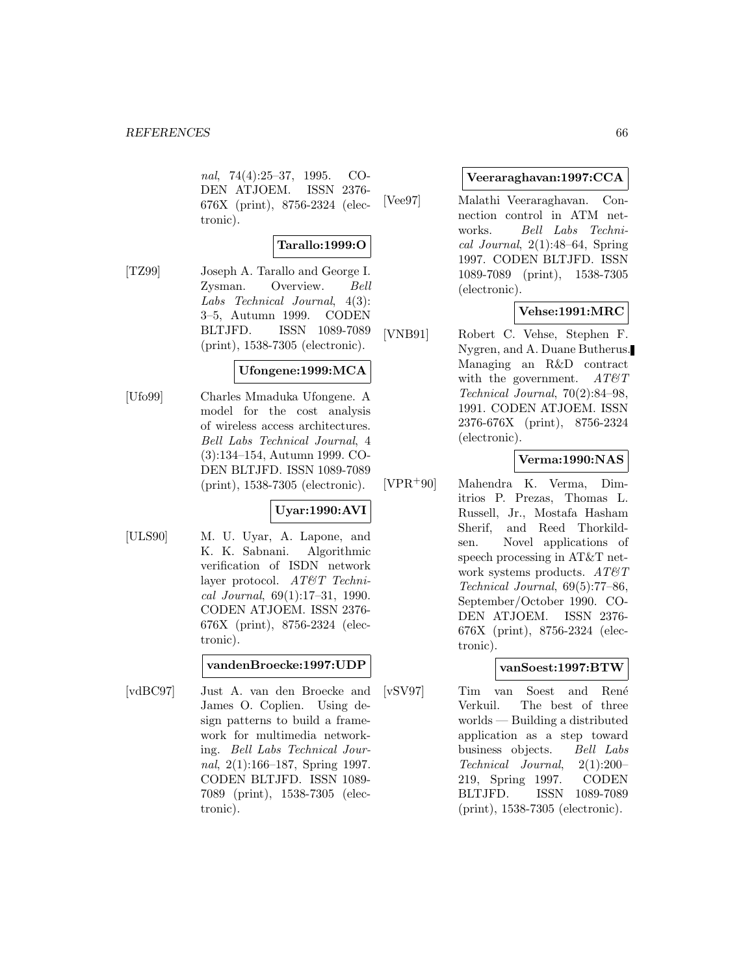nal, 74(4):25–37, 1995. CO-DEN ATJOEM. ISSN 2376- 676X (print), 8756-2324 (electronic).

$$
\fbox{}{\bf Tarallo:} 1999:O
$$

[TZ99] Joseph A. Tarallo and George I. Zysman. Overview. Bell Labs Technical Journal, 4(3): 3–5, Autumn 1999. CODEN BLTJFD. ISSN 1089-7089 (print), 1538-7305 (electronic).

### **Ufongene:1999:MCA**

[Ufo99] Charles Mmaduka Ufongene. A model for the cost analysis of wireless access architectures. Bell Labs Technical Journal, 4 (3):134–154, Autumn 1999. CO-DEN BLTJFD. ISSN 1089-7089 (print), 1538-7305 (electronic).

#### **Uyar:1990:AVI**

[ULS90] M. U. Uyar, A. Lapone, and K. K. Sabnani. Algorithmic verification of ISDN network layer protocol. AT&T Technical Journal, 69(1):17–31, 1990. CODEN ATJOEM. ISSN 2376- 676X (print), 8756-2324 (electronic).

#### **vandenBroecke:1997:UDP**

[vdBC97] Just A. van den Broecke and James O. Coplien. Using design patterns to build a framework for multimedia networking. Bell Labs Technical Journal, 2(1):166–187, Spring 1997. CODEN BLTJFD. ISSN 1089- 7089 (print), 1538-7305 (electronic).

#### **Veeraraghavan:1997:CCA**

[Vee97] Malathi Veeraraghavan. Connection control in ATM networks. Bell Labs Technical Journal,  $2(1):48-64$ , Spring 1997. CODEN BLTJFD. ISSN 1089-7089 (print), 1538-7305 (electronic).

## **Vehse:1991:MRC**

[VNB91] Robert C. Vehse, Stephen F. Nygren, and A. Duane Butherus. Managing an R&D contract with the government.  $AT\mathcal{O}T$ Technical Journal, 70(2):84–98, 1991. CODEN ATJOEM. ISSN 2376-676X (print), 8756-2324 (electronic).

### **Verma:1990:NAS**

[VPR<sup>+</sup>90] Mahendra K. Verma, Dimitrios P. Prezas, Thomas L. Russell, Jr., Mostafa Hasham Sherif, and Reed Thorkildsen. Novel applications of speech processing in AT&T network systems products.  $AT\&T$ Technical Journal, 69(5):77–86, September/October 1990. CO-DEN ATJOEM. ISSN 2376- 676X (print), 8756-2324 (electronic).

### **vanSoest:1997:BTW**

[vSV97] Tim van Soest and Ren´e Verkuil. The best of three worlds — Building a distributed application as a step toward business objects. Bell Labs Technical Journal, 2(1):200– 219, Spring 1997. CODEN BLTJFD. ISSN 1089-7089 (print), 1538-7305 (electronic).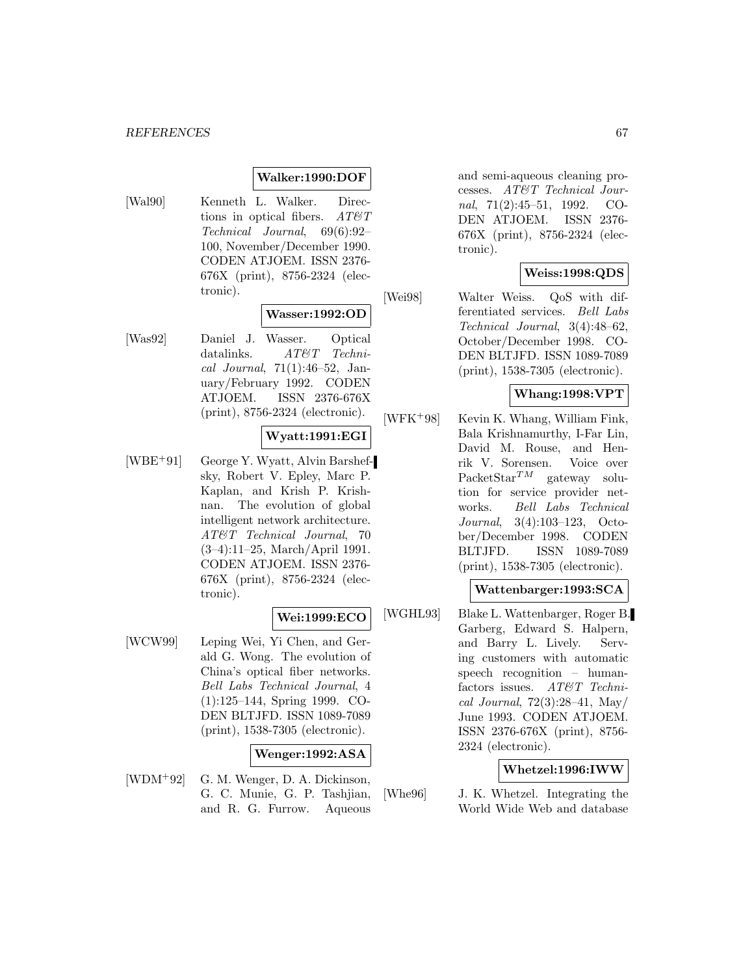#### *REFERENCES* 67

### **Walker:1990:DOF**

[Wal90] Kenneth L. Walker. Directions in optical fibers.  $AT \mathcal{C}T$ Technical Journal, 69(6):92– 100, November/December 1990. CODEN ATJOEM. ISSN 2376- 676X (print), 8756-2324 (electronic).

#### **Wasser:1992:OD**

[Was92] Daniel J. Wasser. Optical datalinks.  $AT\&Techni$ cal Journal, 71(1):46–52, January/February 1992. CODEN ATJOEM. ISSN 2376-676X (print), 8756-2324 (electronic).

### **Wyatt:1991:EGI**

[WBE<sup>+</sup>91] George Y. Wyatt, Alvin Barshefsky, Robert V. Epley, Marc P. Kaplan, and Krish P. Krishnan. The evolution of global intelligent network architecture. AT&T Technical Journal, 70 (3–4):11–25, March/April 1991. CODEN ATJOEM. ISSN 2376- 676X (print), 8756-2324 (electronic).

### **Wei:1999:ECO**

[WCW99] Leping Wei, Yi Chen, and Gerald G. Wong. The evolution of China's optical fiber networks. Bell Labs Technical Journal, 4 (1):125–144, Spring 1999. CO-DEN BLTJFD. ISSN 1089-7089 (print), 1538-7305 (electronic).

### **Wenger:1992:ASA**

[WDM<sup>+</sup>92] G. M. Wenger, D. A. Dickinson, G. C. Munie, G. P. Tashjian, and R. G. Furrow. Aqueous and semi-aqueous cleaning processes. AT&T Technical Journal, 71(2):45–51, 1992. CO-DEN ATJOEM. ISSN 2376- 676X (print), 8756-2324 (electronic).

### **Weiss:1998:QDS**

[Wei98] Walter Weiss. QoS with differentiated services. Bell Labs Technical Journal, 3(4):48–62, October/December 1998. CO-DEN BLTJFD. ISSN 1089-7089 (print), 1538-7305 (electronic).

## **Whang:1998:VPT**

 $[WFK+98]$  Kevin K. Whang, William Fink, Bala Krishnamurthy, I-Far Lin, David M. Rouse, and Henrik V. Sorensen. Voice over PacketStar<sup>TM</sup> gateway solution for service provider networks. Bell Labs Technical Journal, 3(4):103–123, October/December 1998. CODEN BLTJFD. ISSN 1089-7089 (print), 1538-7305 (electronic).

### **Wattenbarger:1993:SCA**

[WGHL93] Blake L. Wattenbarger, Roger B. Garberg, Edward S. Halpern, and Barry L. Lively. Serving customers with automatic speech recognition – humanfactors issues. AT&T Technical Journal,  $72(3):28-41$ , May/ June 1993. CODEN ATJOEM. ISSN 2376-676X (print), 8756- 2324 (electronic).

### **Whetzel:1996:IWW**

[Whe96] J. K. Whetzel. Integrating the World Wide Web and database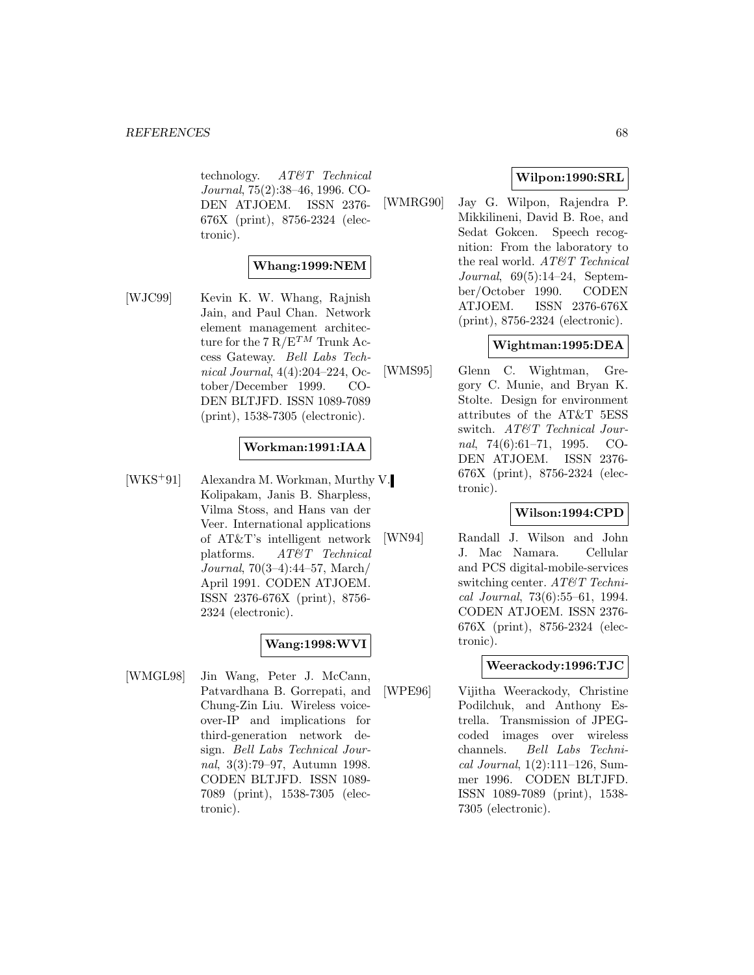technology. AT&T Technical Journal, 75(2):38–46, 1996. CO-DEN ATJOEM. ISSN 2376- 676X (print), 8756-2324 (electronic).

### **Whang:1999:NEM**

[WJC99] Kevin K. W. Whang, Rajnish Jain, and Paul Chan. Network element management architecture for the 7  $R/E^{TM}$  Trunk Access Gateway. Bell Labs Technical Journal, 4(4):204–224, October/December 1999. CO-DEN BLTJFD. ISSN 1089-7089 (print), 1538-7305 (electronic).

### **Workman:1991:IAA**

[WKS<sup>+</sup>91] Alexandra M. Workman, Murthy V. Kolipakam, Janis B. Sharpless, Vilma Stoss, and Hans van der Veer. International applications of AT&T's intelligent network platforms. AT&T Technical Journal, 70(3–4):44–57, March/ April 1991. CODEN ATJOEM. ISSN 2376-676X (print), 8756- 2324 (electronic).

### **Wang:1998:WVI**

[WMGL98] Jin Wang, Peter J. McCann, Patvardhana B. Gorrepati, and Chung-Zin Liu. Wireless voiceover-IP and implications for third-generation network design. Bell Labs Technical Journal, 3(3):79–97, Autumn 1998. CODEN BLTJFD. ISSN 1089- 7089 (print), 1538-7305 (electronic).

## **Wilpon:1990:SRL**

[WMRG90] Jay G. Wilpon, Rajendra P. Mikkilineni, David B. Roe, and Sedat Gokcen. Speech recognition: From the laboratory to the real world. AT&T Technical Journal, 69(5):14–24, September/October 1990. CODEN ATJOEM. ISSN 2376-676X (print), 8756-2324 (electronic).

# **Wightman:1995:DEA**

[WMS95] Glenn C. Wightman, Gregory C. Munie, and Bryan K. Stolte. Design for environment attributes of the AT&T 5ESS switch. AT&T Technical Journal, 74(6):61–71, 1995. CO-DEN ATJOEM. ISSN 2376- 676X (print), 8756-2324 (electronic).

### **Wilson:1994:CPD**

[WN94] Randall J. Wilson and John J. Mac Namara. Cellular and PCS digital-mobile-services switching center.  $AT\&T$  Technical Journal, 73(6):55–61, 1994. CODEN ATJOEM. ISSN 2376- 676X (print), 8756-2324 (electronic).

#### **Weerackody:1996:TJC**

[WPE96] Vijitha Weerackody, Christine Podilchuk, and Anthony Estrella. Transmission of JPEGcoded images over wireless channels. Bell Labs Technical Journal, 1(2):111–126, Summer 1996. CODEN BLTJFD. ISSN 1089-7089 (print), 1538- 7305 (electronic).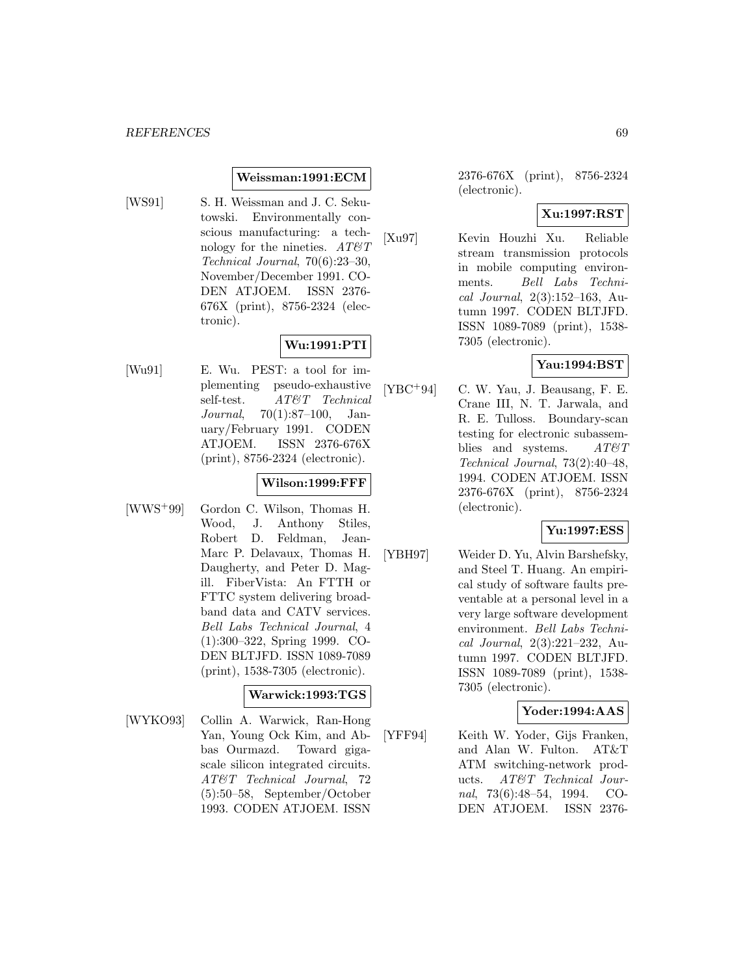#### **Weissman:1991:ECM**

[WS91] S. H. Weissman and J. C. Sekutowski. Environmentally conscious manufacturing: a technology for the nineties.  $AT\mathscr{C}T$ Technical Journal, 70(6):23–30, November/December 1991. CO-DEN ATJOEM. ISSN 2376- 676X (print), 8756-2324 (electronic).

# **Wu:1991:PTI**

[Wu91] E. Wu. PEST: a tool for implementing pseudo-exhaustive self-test.  $AT\&T$  Technical Journal, 70(1):87–100, January/February 1991. CODEN ATJOEM. ISSN 2376-676X (print), 8756-2324 (electronic).

## **Wilson:1999:FFF**

[WWS<sup>+</sup>99] Gordon C. Wilson, Thomas H. Wood, J. Anthony Stiles, Robert D. Feldman, Jean-Marc P. Delavaux, Thomas H. Daugherty, and Peter D. Magill. FiberVista: An FTTH or FTTC system delivering broadband data and CATV services. Bell Labs Technical Journal, 4 (1):300–322, Spring 1999. CO-DEN BLTJFD. ISSN 1089-7089 (print), 1538-7305 (electronic).

#### **Warwick:1993:TGS**

[WYKO93] Collin A. Warwick, Ran-Hong Yan, Young Ock Kim, and Abbas Ourmazd. Toward gigascale silicon integrated circuits. AT&T Technical Journal, 72 (5):50–58, September/October 1993. CODEN ATJOEM. ISSN

2376-676X (print), 8756-2324 (electronic).

#### **Xu:1997:RST**

[Xu97] Kevin Houzhi Xu. Reliable stream transmission protocols in mobile computing environments. Bell Labs Technical Journal, 2(3):152–163, Autumn 1997. CODEN BLTJFD. ISSN 1089-7089 (print), 1538- 7305 (electronic).

### **Yau:1994:BST**

[YBC<sup>+</sup>94] C. W. Yau, J. Beausang, F. E. Crane III, N. T. Jarwala, and R. E. Tulloss. Boundary-scan testing for electronic subassemblies and systems.  $AT\mathcal{O}T$ Technical Journal, 73(2):40–48, 1994. CODEN ATJOEM. ISSN 2376-676X (print), 8756-2324 (electronic).

#### **Yu:1997:ESS**

[YBH97] Weider D. Yu, Alvin Barshefsky, and Steel T. Huang. An empirical study of software faults preventable at a personal level in a very large software development environment. Bell Labs Technical Journal, 2(3):221–232, Autumn 1997. CODEN BLTJFD. ISSN 1089-7089 (print), 1538- 7305 (electronic).

#### **Yoder:1994:AAS**

[YFF94] Keith W. Yoder, Gijs Franken, and Alan W. Fulton. AT&T ATM switching-network products. AT&T Technical Journal, 73(6):48–54, 1994. CO-DEN ATJOEM. ISSN 2376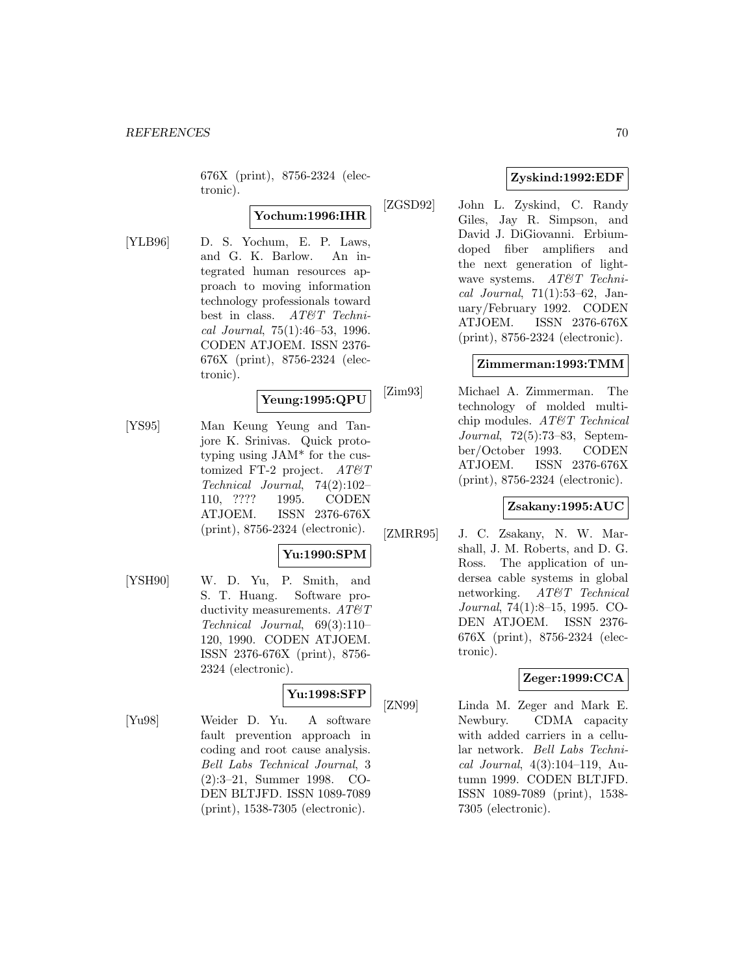676X (print), 8756-2324 (electronic).

## **Yochum:1996:IHR**

[YLB96] D. S. Yochum, E. P. Laws, and G. K. Barlow. An integrated human resources approach to moving information technology professionals toward best in class. AT&T Technical Journal, 75(1):46–53, 1996. CODEN ATJOEM. ISSN 2376- 676X (print), 8756-2324 (electronic).

## **Yeung:1995:QPU**

[YS95] Man Keung Yeung and Tanjore K. Srinivas. Quick prototyping using JAM\* for the customized FT-2 project.  $AT\&T$ Technical Journal, 74(2):102– 110, ???? 1995. CODEN ATJOEM. ISSN 2376-676X (print), 8756-2324 (electronic).

### **Yu:1990:SPM**

[YSH90] W. D. Yu, P. Smith, and S. T. Huang. Software productivity measurements.  $AT\&T$ Technical Journal, 69(3):110– 120, 1990. CODEN ATJOEM. ISSN 2376-676X (print), 8756- 2324 (electronic).

### **Yu:1998:SFP**

[Yu98] Weider D. Yu. A software fault prevention approach in coding and root cause analysis. Bell Labs Technical Journal, 3 (2):3–21, Summer 1998. CO-DEN BLTJFD. ISSN 1089-7089 (print), 1538-7305 (electronic).

# **Zyskind:1992:EDF**

[ZGSD92] John L. Zyskind, C. Randy Giles, Jay R. Simpson, and David J. DiGiovanni. Erbiumdoped fiber amplifiers and the next generation of lightwave systems. AT&T Technical Journal, 71(1):53–62, January/February 1992. CODEN ATJOEM. ISSN 2376-676X (print), 8756-2324 (electronic).

### **Zimmerman:1993:TMM**

[Zim93] Michael A. Zimmerman. The technology of molded multichip modules. AT&T Technical Journal, 72(5):73–83, September/October 1993. CODEN ATJOEM. ISSN 2376-676X (print), 8756-2324 (electronic).

## **Zsakany:1995:AUC**

[ZMRR95] J. C. Zsakany, N. W. Marshall, J. M. Roberts, and D. G. Ross. The application of undersea cable systems in global networking. AT&T Technical Journal, 74(1):8–15, 1995. CO-DEN ATJOEM. ISSN 2376- 676X (print), 8756-2324 (electronic).

### **Zeger:1999:CCA**

[ZN99] Linda M. Zeger and Mark E. Newbury. CDMA capacity with added carriers in a cellular network. Bell Labs Technical Journal, 4(3):104–119, Autumn 1999. CODEN BLTJFD. ISSN 1089-7089 (print), 1538- 7305 (electronic).